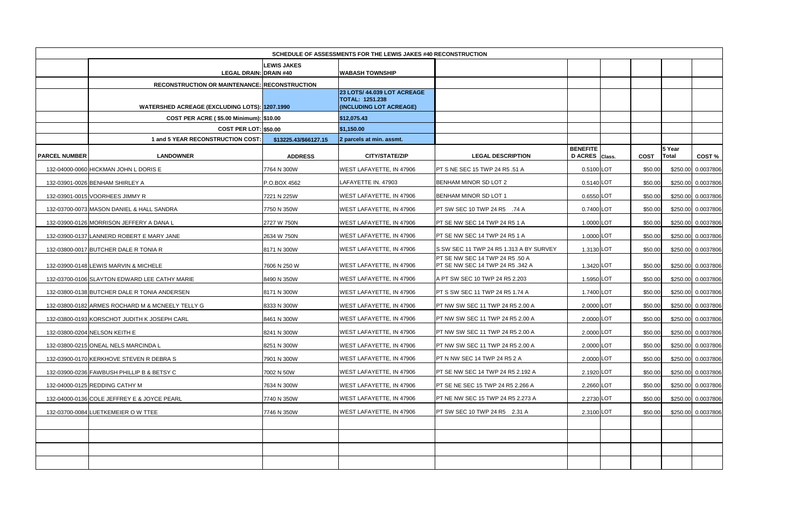|                      | SCHEDULE OF ASSESSMENTS FOR THE LEWIS JAKES #40 RECONSTRUCTION |                       |                                                   |                                                                     |                                   |  |             |                 |                    |  |  |  |
|----------------------|----------------------------------------------------------------|-----------------------|---------------------------------------------------|---------------------------------------------------------------------|-----------------------------------|--|-------------|-----------------|--------------------|--|--|--|
|                      | <b>LEGAL DRAIN: DRAIN #40</b>                                  | <b>LEWIS JAKES</b>    | <b>WABASH TOWNSHIP</b>                            |                                                                     |                                   |  |             |                 |                    |  |  |  |
|                      | <b>RECONSTRUCTION OR MAINTENANCE: RECONSTRUCTION</b>           |                       |                                                   |                                                                     |                                   |  |             |                 |                    |  |  |  |
|                      |                                                                |                       | 23 LOTS/ 44.039 LOT ACREAGE                       |                                                                     |                                   |  |             |                 |                    |  |  |  |
|                      | <b>WATERSHED ACREAGE (EXCLUDING LOTS): 1207.1990</b>           |                       | <b>TOTAL: 1251.238</b><br>(INCLUDING LOT ACREAGE) |                                                                     |                                   |  |             |                 |                    |  |  |  |
|                      | COST PER ACRE (\$5.00 Minimum): \$10.00                        |                       | \$12,075.43                                       |                                                                     |                                   |  |             |                 |                    |  |  |  |
|                      | <b>COST PER LOT: \$50.00</b>                                   |                       | \$1,150.00                                        |                                                                     |                                   |  |             |                 |                    |  |  |  |
|                      | 1 and 5 YEAR RECONSTRUCTION COST:                              | \$13225.43/\$66127.15 | 2 parcels at min. assmt.                          |                                                                     |                                   |  |             |                 |                    |  |  |  |
| <b>PARCEL NUMBER</b> | <b>LANDOWNER</b>                                               | <b>ADDRESS</b>        | <b>CITY/STATE/ZIP</b>                             | <b>LEGAL DESCRIPTION</b>                                            | <b>BENEFITE</b><br>D ACRES Class. |  | <b>COST</b> | 5 Year<br>Total | COST%              |  |  |  |
|                      | 132-04000-0060 HICKMAN JOHN L DORIS E                          | 7764 N 300W           | <b>WEST LAFAYETTE, IN 47906</b>                   | <b>PT S NE SEC 15 TWP 24 R5 .51 A</b>                               | 0.5100 LOT                        |  | \$50.00     |                 | \$250.00 0.0037806 |  |  |  |
|                      | 132-03901-0026 BENHAM SHIRLEY A                                | P.O.BOX 4562          | LAFAYETTE IN. 47903                               | BENHAM MINOR SD LOT 2                                               | 0.5140 LOT                        |  | \$50.00     |                 | \$250.00 0.0037806 |  |  |  |
|                      | 132-03901-0015 VOORHEES JIMMY R                                | 7221 N 225W           | WEST LAFAYETTE, IN 47906                          | <b>BENHAM MINOR SD LOT 1</b>                                        | 0.6550 LOT                        |  | \$50.00     |                 | \$250.00 0.0037806 |  |  |  |
|                      | 132-03700-0073 MASON DANIEL & HALL SANDRA                      | 7750 N 350W           | WEST LAFAYETTE, IN 47906                          | <b>PT SW SEC 10 TWP 24 R5 .74 A</b>                                 | 0.7400 LOT                        |  | \$50.00     |                 | \$250.00 0.0037806 |  |  |  |
|                      | 132-03900-0126 MORRISON JEFFERY A DANA L                       | 2727 W 750N           | WEST LAFAYETTE, IN 47906                          | <b>IPT SE NW SEC 14 TWP 24 R5 1 A</b>                               | 1.0000 LOT                        |  | \$50.00     |                 | \$250.00 0.0037806 |  |  |  |
|                      | 132-03900-0137 LANNERD ROBERT E MARY JANE                      | 2634 W 750N           | WEST LAFAYETTE, IN 47906                          | PT SE NW SEC 14 TWP 24 R5 1 A                                       | 1.0000 LOT                        |  | \$50.00     |                 | \$250.00 0.0037806 |  |  |  |
|                      | 132-03800-0017 BUTCHER DALE R TONIA R                          | 8171 N 300W           | <b>WEST LAFAYETTE, IN 47906</b>                   | IS SW SEC 11 TWP 24 R5 1.313 A BY SURVEY                            | 1.3130 LOT                        |  | \$50.00     |                 | \$250.00 0.0037806 |  |  |  |
|                      | 132-03900-0148 LEWIS MARVIN & MICHELE                          | 7606 N 250 W          | WEST LAFAYETTE, IN 47906                          | PT SE NW SEC 14 TWP 24 R5 .50 A<br>PT SE NW SEC 14 TWP 24 R5 .342 A | 1.3420 LOT                        |  | \$50.00     |                 | \$250.00 0.0037806 |  |  |  |
|                      | 132-03700-0106 SLAYTON EDWARD LEE CATHY MARIE                  | 8490 N 350W           | WEST LAFAYETTE, IN 47906                          | A PT SW SEC 10 TWP 24 R5 2.203                                      | 1.5950 LOT                        |  | \$50.00     |                 | \$250.00 0.0037806 |  |  |  |
|                      | 132-03800-0138 BUTCHER DALE R TONIA ANDERSEN                   | 8171 N 300W           | <b>WEST LAFAYETTE, IN 47906</b>                   | PT S SW SEC 11 TWP 24 R5 1.74 A                                     | 1.7400 LOT                        |  | \$50.00     |                 | \$250.00 0.0037806 |  |  |  |
|                      | 132-03800-0182 ARMES ROCHARD M & MCNEELY TELLY G               | 8333 N 300W           | <b>IWEST LAFAYETTE. IN 47906</b>                  | <b>PT NW SW SEC 11 TWP 24 R5 2.00 A</b>                             | 2.0000 LOT                        |  | \$50.00     |                 | \$250.00 0.0037806 |  |  |  |
|                      | 132-03800-0193 KORSCHOT JUDITH K JOSEPH CARL                   | 8461 N 300W           | WEST LAFAYETTE, IN 47906                          | PT NW SW SEC 11 TWP 24 R5 2.00 A                                    | 2.0000 LOT                        |  | \$50.00     |                 | \$250.00 0.0037806 |  |  |  |
|                      | 132-03800-0204 NELSON KEITH E                                  | 8241 N 300W           | <b>WEST LAFAYETTE, IN 47906</b>                   | <b>PT NW SW SEC 11 TWP 24 R5 2.00 A</b>                             | 2.0000 LOT                        |  | \$50.00     |                 | \$250.00 0.0037806 |  |  |  |
|                      | 132-03800-0215 ONEAL NELS MARCINDA L                           | 8251 N 300W           | WEST LAFAYETTE, IN 47906                          | PT NW SW SEC 11 TWP 24 R5 2.00 A                                    | 2.0000 LOT                        |  | \$50.00     |                 | \$250.00 0.0037806 |  |  |  |
|                      | 132-03900-0170 KERKHOVE STEVEN R DEBRA S                       | 7901 N 300W           | WEST LAFAYETTE, IN 47906                          | PT N NW SEC 14 TWP 24 R5 2 A                                        | 2.0000 LOT                        |  | \$50.00     |                 | \$250.00 0.0037806 |  |  |  |
|                      | 132-03900-0236 FAWBUSH PHILLIP B & BETSY C                     | 7002 N 50W            | WEST LAFAYETTE, IN 47906                          | PT SE NW SEC 14 TWP 24 R5 2.192 A                                   | 2.1920 LOT                        |  | \$50.00     |                 | \$250.00 0.0037806 |  |  |  |
|                      | 132-04000-0125 REDDING CATHY M                                 | 7634 N 300W           | WEST LAFAYETTE, IN 47906                          | PT SE NE SEC 15 TWP 24 R5 2.266 A                                   | 2.2660 LOT                        |  | \$50.00     |                 | \$250.00 0.0037806 |  |  |  |
|                      | 132-04000-0136 COLE JEFFREY E & JOYCE PEARL                    | 7740 N 350W           | WEST LAFAYETTE, IN 47906                          | PT NE NW SEC 15 TWP 24 R5 2.273 A                                   | 2.2730 LOT                        |  | \$50.00     |                 | \$250.00 0.0037806 |  |  |  |
|                      | 132-03700-0084 LUETKEMEIER O W TTEE                            | 7746 N 350W           | <b>WEST LAFAYETTE, IN 47906</b>                   | <b>PT SW SEC 10 TWP 24 R5 2.31 A</b>                                | 2.3100 LOT                        |  | \$50.00     |                 | \$250.00 0.0037806 |  |  |  |
|                      |                                                                |                       |                                                   |                                                                     |                                   |  |             |                 |                    |  |  |  |
|                      |                                                                |                       |                                                   |                                                                     |                                   |  |             |                 |                    |  |  |  |
|                      |                                                                |                       |                                                   |                                                                     |                                   |  |             |                 |                    |  |  |  |
|                      |                                                                |                       |                                                   |                                                                     |                                   |  |             |                 |                    |  |  |  |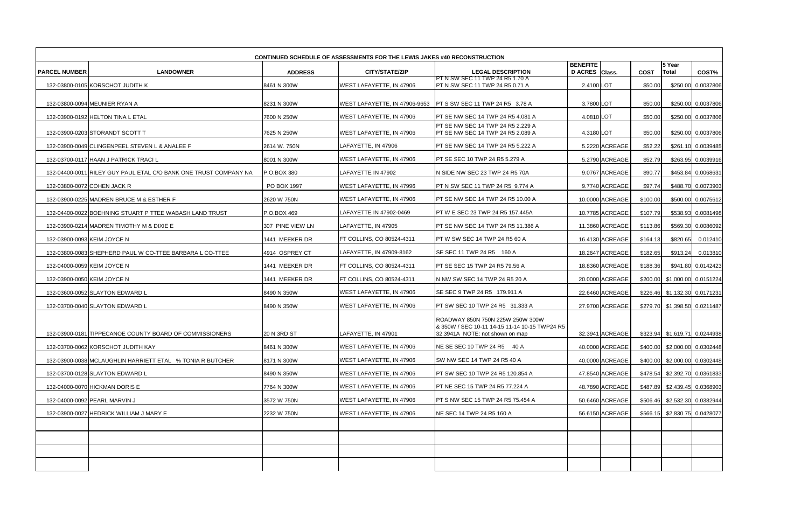| <b>CONTINUED SCHEDULE OF ASSESSMENTS FOR THE LEWIS JAKES #40 RECONSTRUCTION</b> |                                                                  |                  |                                 |                                                                                                                      |                                   |                 |             |                               |                      |  |  |
|---------------------------------------------------------------------------------|------------------------------------------------------------------|------------------|---------------------------------|----------------------------------------------------------------------------------------------------------------------|-----------------------------------|-----------------|-------------|-------------------------------|----------------------|--|--|
| <b>PARCEL NUMBER</b>                                                            | <b>LANDOWNER</b>                                                 | <b>ADDRESS</b>   | <b>CITY/STATE/ZIP</b>           | <b>LEGAL DESCRIPTION</b>                                                                                             | <b>BENEFITE</b><br>D ACRES Class. |                 | <b>COST</b> | 5 Year<br>Total               | COST%                |  |  |
|                                                                                 | 132-03800-0105 KORSCHOT JUDITH K                                 | 8461 N 300W      | <b>WEST LAFAYETTE, IN 47906</b> | PT N SW SEC 11 TWP 24 R5 1.70 A<br>PT N SW SEC 11 TWP 24 R5 0.71 A                                                   | 2.4100 LOT                        |                 | \$50.00     | \$250.00                      | 0.0037806            |  |  |
|                                                                                 |                                                                  |                  |                                 |                                                                                                                      |                                   |                 |             |                               |                      |  |  |
|                                                                                 | 132-03800-0094 MEUNIER RYAN A                                    | 8231 N 300W      | WEST LAFAYETTE, IN 47906-9653   | <b>PT S SW SEC 11 TWP 24 R5 3.78 A</b>                                                                               | 3.7800 LOT                        |                 | \$50.00     |                               | \$250.00 0.0037806   |  |  |
|                                                                                 | 132-03900-0192 HELTON TINA L ETAL                                | 7600 N 250W      | WEST LAFAYETTE, IN 47906        | PT SE NW SEC 14 TWP 24 R5 4.081 A                                                                                    | 4.0810 LOT                        |                 | \$50.00     |                               | \$250.00 0.0037806   |  |  |
|                                                                                 | 132-03900-0203 STORANDT SCOTT T                                  | 7625 N 250W      | WEST LAFAYETTE, IN 47906        | PT SE NW SEC 14 TWP 24 R5 2.229 A<br>PT SE NW SEC 14 TWP 24 R5 2.089 A                                               | 4.3180 LOT                        |                 | \$50.00     |                               | \$250.00 0.0037806   |  |  |
|                                                                                 | 132-03900-0049 CLINGENPEEL STEVEN L & ANALEE F                   | 2614 W. 750N     | LAFAYETTE, IN 47906             | PT SE NW SEC 14 TWP 24 R5 5.222 A                                                                                    |                                   | 5.2220 ACREAGE  | \$52.22     |                               | \$261.10 0.0039485   |  |  |
|                                                                                 | 132-03700-0117 HAAN J PATRICK TRACI L                            | 8001 N 300W      | WEST LAFAYETTE, IN 47906        | PT SE SEC 10 TWP 24 R5 5.279 A                                                                                       |                                   | 5.2790 ACREAGE  | \$52.79     |                               | \$263.95 0.0039916   |  |  |
|                                                                                 | 132-04400-0011 RILEY GUY PAUL ETAL C/O BANK ONE TRUST COMPANY NA | P.O.BOX 380      | LAFAYETTE IN 47902              | N SIDE NW SEC 23 TWP 24 R5 70A                                                                                       |                                   | 9.0767 ACREAGE  | \$90.77     | \$453.84                      | 0.0068631            |  |  |
|                                                                                 | 132-03800-0072 COHEN JACK R                                      | PO BOX 1997      | <b>WEST LAFAYETTE, IN 47996</b> | PT N SW SEC 11 TWP 24 R5 9.774 A                                                                                     |                                   | 9.7740 ACREAGE  | \$97.74     |                               | \$488.70 0.0073903   |  |  |
|                                                                                 | 132-03900-0225 MADREN BRUCE M & ESTHER F                         | 2620 W 750N      | <b>WEST LAFAYETTE, IN 47906</b> | <b>PT SE NW SEC 14 TWP 24 R5 10.00 A</b>                                                                             |                                   | 10.0000 ACREAGE | \$100.00    |                               | \$500.00 0.0075612   |  |  |
|                                                                                 | 132-04400-0022 BOEHNING STUART P TTEE WABASH LAND TRUST          | P.O.BOX 469      | LAFAYETTE IN 47902-0469         | PT W E SEC 23 TWP 24 R5 157.445A                                                                                     |                                   | 10.7785 ACREAGE | \$107.79    |                               | \$538.93 0.0081498   |  |  |
|                                                                                 | 132-03900-0214 MADREN TIMOTHY M & DIXIE E                        | 307 PINE VIEW LN | LAFAYETTE, IN 47905             | PT SE NW SEC 14 TWP 24 R5 11.386 A                                                                                   |                                   | 11.3860 ACREAGE | \$113.86    |                               | \$569.30 0.0086092   |  |  |
|                                                                                 | 132-03900-0093 KEIM JOYCE N                                      | 1441 MEEKER DR   | FT COLLINS, CO 80524-4311       | PT W SW SEC 14 TWP 24 R5 60 A                                                                                        |                                   | 16.4130 ACREAGE | \$164.13    | \$820.65                      | 0.012410             |  |  |
|                                                                                 | 132-03800-0083 SHEPHERD PAUL W CO-TTEE BARBARA L CO-TTEE         | 4914 OSPREY CT   | LAFAYETTE, IN 47909-8162        | SE SEC 11 TWP 24 R5 160 A                                                                                            |                                   | 18.2647 ACREAGE | \$182.65    | \$913.24                      | 0.013810             |  |  |
|                                                                                 | 132-04000-0059 KEIM JOYCE N                                      | 1441 MEEKER DR   | FT COLLINS, CO 80524-4311       | PT SE SEC 15 TWP 24 R5 79.56 A                                                                                       |                                   | 18.8360 ACREAGE | \$188.36    |                               | \$941.80 0.0142423   |  |  |
|                                                                                 | 132-03900-0050 KEIM JOYCE N                                      | 1441 MEEKER DR   | FT COLLINS, CO 80524-4311       | N NW SW SEC 14 TWP 24 R5 20 A                                                                                        |                                   | 20.0000 ACREAGE | \$200.00    |                               | \$1,000.00 0.0151224 |  |  |
|                                                                                 | 132-03600-0052 SLAYTON EDWARD L                                  | 8490 N 350W      | <b>WEST LAFAYETTE, IN 47906</b> | SE SEC 9 TWP 24 R5 179.911 A                                                                                         |                                   | 22.6460 ACREAGE | \$226.46    | \$1,132.30 0.0171231          |                      |  |  |
|                                                                                 | 132-03700-0040 SLAYTON EDWARD L                                  | 8490 N 350W      | <b>WEST LAFAYETTE, IN 47906</b> | PT SW SEC 10 TWP 24 R5 31.333 A                                                                                      |                                   | 27.9700 ACREAGE |             | \$279.70 \$1,398.50 0.0211487 |                      |  |  |
|                                                                                 | 132-03900-0181 TIPPECANOE COUNTY BOARD OF COMMISSIONERS          | 20 N 3RD ST      | LAFAYETTE, IN 47901             | ROADWAY 850N 750N 225W 250W 300W<br>& 350W / SEC 10-11 14-15 11-14 10-15 TWP24 R5<br>32.3941A NOTE: not shown on map |                                   | 32.3941 ACREAGE |             | \$323.94 \$1,619.71 0.0244938 |                      |  |  |
|                                                                                 | 132-03700-0062 KORSCHOT JUDITH KAY                               | 8461 N 300W      | WEST LAFAYETTE, IN 47906        | NE SE SEC 10 TWP 24 R5 40 A                                                                                          |                                   | 40.0000 ACREAGE |             | \$400.00 \$2,000.00 0.0302448 |                      |  |  |
|                                                                                 | 132-03900-0038 MCLAUGHLIN HARRIETT ETAL % TONIA R BUTCHER        | 8171 N 300W      | WEST LAFAYETTE, IN 47906        | SW NW SEC 14 TWP 24 R5 40 A                                                                                          |                                   | 40.0000 ACREAGE | \$400.00    |                               | \$2,000.00 0.0302448 |  |  |
|                                                                                 | 132-03700-0128 SLAYTON EDWARD L                                  | 8490 N 350W      | WEST LAFAYETTE. IN 47906        | PT SW SEC 10 TWP 24 R5 120.854 A                                                                                     |                                   | 47.8540 ACREAGE |             | \$478.54 \$2,392.70 0.0361833 |                      |  |  |
|                                                                                 | 132-04000-0070 HICKMAN DORIS E                                   | 7764 N 300W      | WEST LAFAYETTE, IN 47906        | PT NE SEC 15 TWP 24 R5 77.224 A                                                                                      |                                   | 48.7890 ACREAGE |             | \$487.89 \$2,439.45 0.0368903 |                      |  |  |
|                                                                                 | 132-04000-0092 PEARL MARVIN J                                    | 3572 W 750N      | WEST LAFAYETTE, IN 47906        | PT S NW SEC 15 TWP 24 R5 75.454 A                                                                                    |                                   | 50.6460 ACREAGE |             | \$506.46 \$2,532.30 0.0382944 |                      |  |  |
|                                                                                 | 132-03900-0027 HEDRICK WILLIAM J MARY E                          | 2232 W 750N      | WEST LAFAYETTE, IN 47906        | NE SEC 14 TWP 24 R5 160 A                                                                                            |                                   | 56.6150 ACREAGE |             | \$566.15 \$2,830.75 0.0428077 |                      |  |  |
|                                                                                 |                                                                  |                  |                                 |                                                                                                                      |                                   |                 |             |                               |                      |  |  |
|                                                                                 |                                                                  |                  |                                 |                                                                                                                      |                                   |                 |             |                               |                      |  |  |
|                                                                                 |                                                                  |                  |                                 |                                                                                                                      |                                   |                 |             |                               |                      |  |  |
|                                                                                 |                                                                  |                  |                                 |                                                                                                                      |                                   |                 |             |                               |                      |  |  |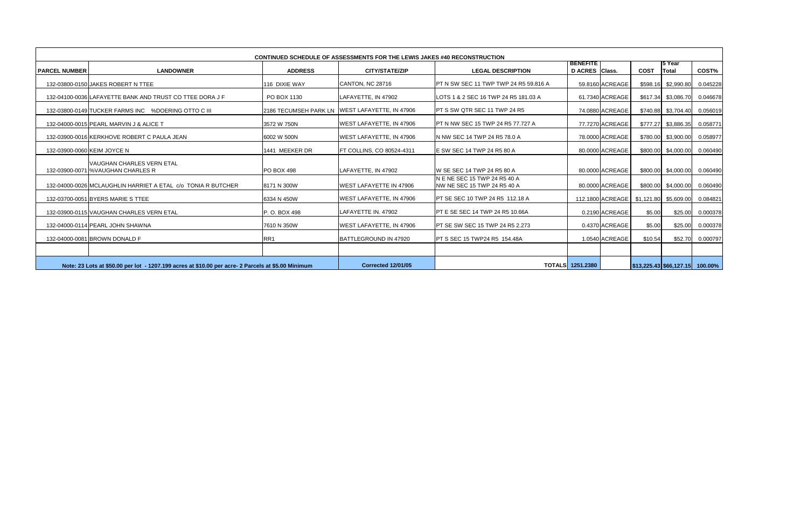|                        | <b>CONTINUED SCHEDULE OF ASSESSMENTS FOR THE LEWIS JAKES #40 RECONSTRUCTION</b>                    |                   |                                                |                                                              |                                   |                  |             |                                    |          |  |  |  |
|------------------------|----------------------------------------------------------------------------------------------------|-------------------|------------------------------------------------|--------------------------------------------------------------|-----------------------------------|------------------|-------------|------------------------------------|----------|--|--|--|
| <b>I PARCEL NUMBER</b> | <b>LANDOWNER</b>                                                                                   | <b>ADDRESS</b>    | <b>CITY/STATE/ZIP</b>                          | <b>LEGAL DESCRIPTION</b>                                     | <b>BENEFITE</b><br>D ACRES Class. |                  | <b>COST</b> | l5 Year<br><b>Total</b>            | COST%    |  |  |  |
|                        | 132-03800-0150 JAKES ROBERT N TTEE                                                                 | 116 DIXIE WAY     | CANTON, NC 28716                               | <b>IPT N SW SEC 11 TWP TWP 24 R5 59.816 A</b>                |                                   | 59.8160 ACREAGE  | \$598.16    | \$2,990.80                         | 0.045228 |  |  |  |
|                        | 132-04100-0036 LAFAYETTE BANK AND TRUST CO TTEE DORA J F                                           | PO BOX 1130       | LAFAYETTE, IN 47902                            | LOTS 1 & 2 SEC 16 TWP 24 R5 181.03 A                         |                                   | 61.7340 ACREAGE  | \$617.34    | \$3,086.70                         | 0.046678 |  |  |  |
|                        | 132-03800-0149 TUCKER FARMS INC %DOERING OTTO C III                                                |                   | 2186 TECUMSEH PARK LN WEST LAFAYETTE, IN 47906 | <b>PT S SW QTR SEC 11 TWP 24 R5</b>                          |                                   | 74.0880 ACREAGE  |             | \$740.88 \$3,704.40                | 0.056019 |  |  |  |
|                        | 132-04000-0015 PEARL MARVIN J & ALICE T                                                            | 3572 W 750N       | <b>WEST LAFAYETTE, IN 47906</b>                | <b>IPT N NW SEC 15 TWP 24 R5 77.727 A</b>                    |                                   | 77.7270 ACREAGE  | \$777.27    | \$3,886.35                         | 0.058771 |  |  |  |
|                        | 132-03900-0016 KERKHOVE ROBERT C PAULA JEAN                                                        | 6002 W 500N       | <b>IWEST LAFAYETTE. IN 47906</b>               | IN NW SEC 14 TWP 24 R5 78.0 A                                |                                   | 78.0000 ACREAGE  |             | \$780.00 \$3,900.00                | 0.058977 |  |  |  |
|                        | 132-03900-0060 KEIM JOYCE N                                                                        | 1441 MEEKER DR    | <b>FT COLLINS, CO 80524-4311</b>               | <b>IE SW SEC 14 TWP 24 R5 80 A</b>                           |                                   | 80.0000 ACREAGE  |             | \$800.00 \$4,000.00                | 0.060490 |  |  |  |
|                        | VAUGHAN CHARLES VERN ETAL<br>132-03900-0071 %VAUGHAN CHARLES R                                     | <b>PO BOX 498</b> | LAFAYETTE. IN 47902                            | W SE SEC 14 TWP 24 R5 80 A                                   |                                   | 80.0000 ACREAGE  |             | \$800.00 \$4,000.00                | 0.060490 |  |  |  |
|                        | 132-04000-0026 MCLAUGHLIN HARRIET A ETAL_c/o_TONIA R BUTCHER                                       | 8171 N 300W       | <b>WEST LAFAYETTE IN 47906</b>                 | IN E NE SEC 15 TWP 24 R5 40 A<br>NW NE SEC 15 TWP 24 R5 40 A |                                   | 80.0000 ACREAGE  | \$800.00    | \$4,000.00                         | 0.060490 |  |  |  |
|                        | 132-03700-0051 BYERS MARIE S TTEE                                                                  | 6334 N 450W       | <b>WEST LAFAYETTE, IN 47906</b>                | <b>PT SE SEC 10 TWP 24 R5 112.18 A</b>                       |                                   | 112.1800 ACREAGE | \$1,121.80  | \$5,609.00                         | 0.084821 |  |  |  |
|                        | 132-03900-0115 VAUGHAN CHARLES VERN ETAL                                                           | P. O. BOX 498     | LAFAYETTE IN. 47902                            | <b>PT E SE SEC 14 TWP 24 R5 10.66A</b>                       |                                   | 0.2190 ACREAGE   | \$5.00      | \$25.00                            | 0.000378 |  |  |  |
|                        | 132-04000-0114 PEARL JOHN SHAWNA                                                                   | 7610 N 350W       | WEST LAFAYETTE, IN 47906                       | <b>PT SE SW SEC 15 TWP 24 R5 2.273</b>                       |                                   | 0.4370 ACREAGE   | \$5.00      | \$25.00                            | 0.000378 |  |  |  |
|                        | 132-04000-0081 BROWN DONALD F                                                                      | RR1               | BATTLEGROUND IN 47920                          | <b>IPT S SEC 15 TWP24 R5 154.48A</b>                         |                                   | 1.0540 ACREAGE   | \$10.54     | \$52.70                            | 0.000797 |  |  |  |
|                        |                                                                                                    |                   |                                                |                                                              |                                   |                  |             |                                    |          |  |  |  |
|                        | Note: 23 Lots at \$50.00 per lot - 1207.199 acres at \$10.00 per acre- 2 Parcels at \$5.00 Minimum |                   | <b>Corrected 12/01/05</b>                      |                                                              | <b>TOTALS</b> 1251.2380           |                  |             | $ $13,225.43 $66,127.15  100.00\%$ |          |  |  |  |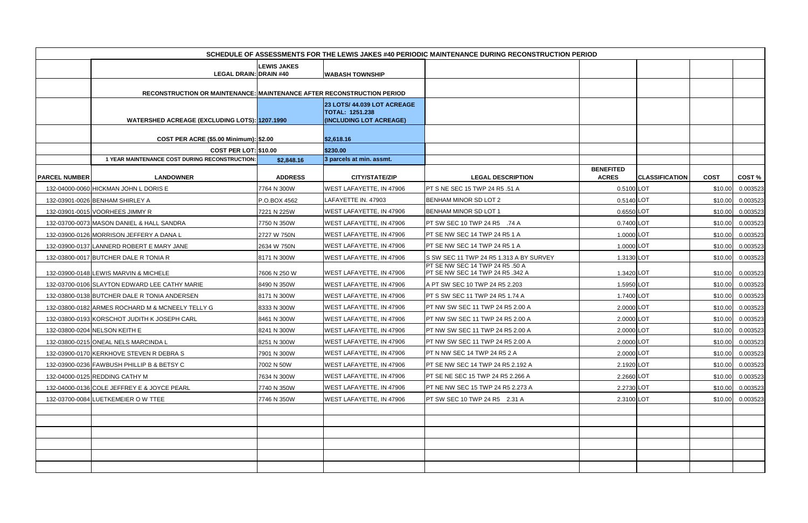|                      |                                                                                |                    |                                                                                  | SCHEDULE OF ASSESSMENTS FOR THE LEWIS JAKES #40 PERIODIC MAINTENANCE DURING RECONSTRUCTION PERIOD |                                  |                       |             |                  |
|----------------------|--------------------------------------------------------------------------------|--------------------|----------------------------------------------------------------------------------|---------------------------------------------------------------------------------------------------|----------------------------------|-----------------------|-------------|------------------|
|                      |                                                                                | <b>LEWIS JAKES</b> |                                                                                  |                                                                                                   |                                  |                       |             |                  |
|                      | <b>LEGAL DRAIN: DRAIN #40</b>                                                  |                    | <b>WABASH TOWNSHIP</b>                                                           |                                                                                                   |                                  |                       |             |                  |
|                      | RECONSTRUCTION OR MAINTENANCE: MAINTENANCE AFTER RECONSTRUCTION PERIOD         |                    |                                                                                  |                                                                                                   |                                  |                       |             |                  |
|                      | <b>WATERSHED ACREAGE (EXCLUDING LOTS): 1207.1990</b>                           |                    | 23 LOTS/ 44.039 LOT ACREAGE<br><b>TOTAL: 1251.238</b><br>(INCLUDING LOT ACREAGE) |                                                                                                   |                                  |                       |             |                  |
|                      |                                                                                |                    |                                                                                  |                                                                                                   |                                  |                       |             |                  |
|                      | COST PER ACRE (\$5.00 Minimum): \$2.00                                         |                    | \$2,618.16                                                                       |                                                                                                   |                                  |                       |             |                  |
|                      | <b>COST PER LOT: \$10.00</b><br>1 YEAR MAINTENANCE COST DURING RECONSTRUCTION: | \$2,848.16         | \$230.00<br>3 parcels at min. assmt.                                             |                                                                                                   |                                  |                       |             |                  |
| <b>PARCEL NUMBER</b> | <b>LANDOWNER</b>                                                               | <b>ADDRESS</b>     | <b>CITY/STATE/ZIP</b>                                                            | <b>LEGAL DESCRIPTION</b>                                                                          | <b>BENEFITED</b><br><b>ACRES</b> | <b>CLASSIFICATION</b> | <b>COST</b> | COST%            |
|                      | 132-04000-0060 HICKMAN JOHN L DORIS E                                          | 7764 N 300W        | WEST LAFAYETTE, IN 47906                                                         | PT S NE SEC 15 TWP 24 R5 .51 A                                                                    | 0.5100 LOT                       |                       | \$10.00     | 0.003523         |
|                      | 132-03901-0026 BENHAM SHIRLEY A                                                | P.O.BOX 4562       | LAFAYETTE IN. 47903                                                              | BENHAM MINOR SD LOT 2                                                                             | 0.5140 LOT                       |                       | \$10.00     | 0.003523         |
|                      | 132-03901-0015 VOORHEES JIMMY R                                                | 7221 N 225W        | WEST LAFAYETTE, IN 47906                                                         | BENHAM MINOR SD LOT 1                                                                             | 0.6550 LOT                       |                       | \$10.00     | 0.003523         |
|                      | 132-03700-0073 MASON DANIEL & HALL SANDRA                                      | 7750 N 350W        | WEST LAFAYETTE, IN 47906                                                         | <b>PT SW SEC 10 TWP 24 R5 .74 A</b>                                                               | 0.7400 LOT                       |                       | \$10.00     | 0.003523         |
|                      | 132-03900-0126 MORRISON JEFFERY A DANA L                                       | 2727 W 750N        | WEST LAFAYETTE, IN 47906                                                         | PT SE NW SEC 14 TWP 24 R5 1 A                                                                     | 1.0000 LOT                       |                       | \$10.00     | 0.003523         |
|                      | 132-03900-0137 LANNERD ROBERT E MARY JANE                                      | 2634 W 750N        | <b>WEST LAFAYETTE, IN 47906</b>                                                  | PT SE NW SEC 14 TWP 24 R5 1 A                                                                     | 1.0000LOT                        |                       | \$10.00     | 0.003523         |
|                      | 132-03800-0017 BUTCHER DALE R TONIA R                                          | 8171 N 300W        | WEST LAFAYETTE, IN 47906                                                         | S SW SEC 11 TWP 24 R5 1.313 A BY SURVEY                                                           | 1.3130 LOT                       |                       | \$10.00     | 0.003523         |
|                      | 132-03900-0148 LEWIS MARVIN & MICHELE                                          | 7606 N 250 W       | WEST LAFAYETTE, IN 47906                                                         | PT SE NW SEC 14 TWP 24 R5 .50 A<br>PT SE NW SEC 14 TWP 24 R5 .342 A                               | 1.3420 LOT                       |                       | \$10.00     | 0.003523         |
|                      | 132-03700-0106 SLAYTON EDWARD LEE CATHY MARIE                                  | 8490 N 350W        | WEST LAFAYETTE, IN 47906                                                         | A PT SW SEC 10 TWP 24 R5 2.203                                                                    | 1.5950LOT                        |                       | \$10.00     | 0.003523         |
|                      | 132-03800-0138 BUTCHER DALE R TONIA ANDERSEN                                   | 8171 N 300W        | WEST LAFAYETTE, IN 47906                                                         | PT S SW SEC 11 TWP 24 R5 1.74 A                                                                   | 1.7400 LOT                       |                       | \$10.00     | 0.003523         |
|                      | 132-03800-0182 ARMES ROCHARD M & MCNEELY TELLY G                               | 8333 N 300W        | WEST LAFAYETTE, IN 47906                                                         | PT NW SW SEC 11 TWP 24 R5 2.00 A                                                                  | 2.0000 LOT                       |                       | \$10.00     | 0.003523         |
|                      | 132-03800-0193 KORSCHOT JUDITH K JOSEPH CARL                                   | 8461 N 300W        | WEST LAFAYETTE, IN 47906                                                         | PT NW SW SEC 11 TWP 24 R5 2.00 A                                                                  | 2.0000 LOT                       |                       | \$10.00     | 0.003523         |
|                      | 132-03800-0204 NELSON KEITH E                                                  | 8241 N 300W        | WEST LAFAYETTE, IN 47906                                                         | PT NW SW SEC 11 TWP 24 R5 2.00 A                                                                  | 2.0000 LOT                       |                       | \$10.00     | 0.003523         |
|                      | 132-03800-0215 ONEAL NELS MARCINDA L                                           | 8251 N 300W        | WEST LAFAYETTE, IN 47906                                                         | PT NW SW SEC 11 TWP 24 R5 2.00 A                                                                  | 2.0000 LOT                       |                       |             | \$10.00 0.003523 |
|                      | 132-03900-0170 KERKHOVE STEVEN R DEBRA S                                       | 7901 N 300W        | WEST LAFAYETTE, IN 47906                                                         | PT N NW SEC 14 TWP 24 R5 2 A                                                                      | 2.0000 LOT                       |                       | \$10.00     | 0.003523         |
|                      | 132-03900-0236 FAWBUSH PHILLIP B & BETSY C                                     | 7002 N 50W         | WEST LAFAYETTE, IN 47906                                                         | <b>IPT SE NW SEC 14 TWP 24 R5 2.192 A</b>                                                         | 2.1920 LOT                       |                       |             | \$10.00 0.003523 |
|                      | 132-04000-0125 REDDING CATHY M                                                 | 7634 N 300W        | WEST LAFAYETTE, IN 47906                                                         | <b>PT SE NE SEC 15 TWP 24 R5 2.266 A</b>                                                          | 2.2660 LOT                       |                       | \$10.00     | 0.003523         |
|                      | 132-04000-0136 COLE JEFFREY E & JOYCE PEARL                                    | 7740 N 350W        | WEST LAFAYETTE, IN 47906                                                         | PT NE NW SEC 15 TWP 24 R5 2.273 A                                                                 | 2.2730 LOT                       |                       |             | \$10.00 0.003523 |
|                      | 132-03700-0084 LUETKEMEIER O W TTEE                                            | 7746 N 350W        | <b>WEST LAFAYETTE, IN 47906</b>                                                  | PT SW SEC 10 TWP 24 R5 2.31 A                                                                     | 2.3100 LOT                       |                       |             | \$10.00 0.003523 |
|                      |                                                                                |                    |                                                                                  |                                                                                                   |                                  |                       |             |                  |
|                      |                                                                                |                    |                                                                                  |                                                                                                   |                                  |                       |             |                  |
|                      |                                                                                |                    |                                                                                  |                                                                                                   |                                  |                       |             |                  |
|                      |                                                                                |                    |                                                                                  |                                                                                                   |                                  |                       |             |                  |
|                      |                                                                                |                    |                                                                                  |                                                                                                   |                                  |                       |             |                  |
|                      |                                                                                |                    |                                                                                  |                                                                                                   |                                  |                       |             |                  |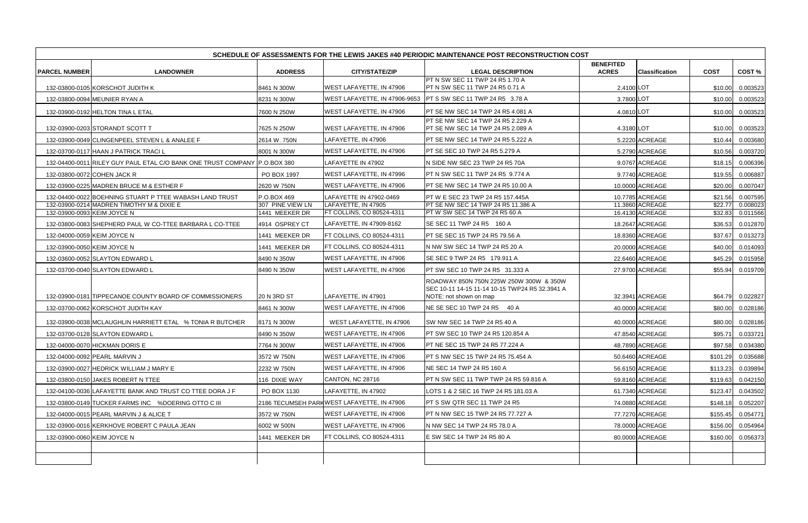|                             | SCHEDULE OF ASSESSMENTS FOR THE LEWIS JAKES #40 PERIODIC MAINTENANCE POST RECONSTRUCTION COST |                                    |                                                  |                                                                                                                     |                                  |                                    |                    |                      |  |  |  |
|-----------------------------|-----------------------------------------------------------------------------------------------|------------------------------------|--------------------------------------------------|---------------------------------------------------------------------------------------------------------------------|----------------------------------|------------------------------------|--------------------|----------------------|--|--|--|
| <b>PARCEL NUMBER</b>        | <b>LANDOWNER</b>                                                                              | <b>ADDRESS</b>                     | <b>CITY/STATE/ZIP</b>                            | <b>LEGAL DESCRIPTION</b>                                                                                            | <b>BENEFITED</b><br><b>ACRES</b> | <b>Classification</b>              | <b>COST</b>        | COST%                |  |  |  |
|                             | 132-03800-0105 KORSCHOT JUDITH K                                                              | 8461 N 300W                        | WEST LAFAYETTE, IN 47906                         | PT N SW SEC 11 TWP 24 R5 1.70 A<br><b>PT N SW SEC 11 TWP 24 R5 0.71 A</b>                                           | 2.4100 LOT                       |                                    | \$10.00            | 0.003523             |  |  |  |
|                             | 132-03800-0094 MEUNIER RYAN A                                                                 | 8231 N 300W                        |                                                  | WEST LAFAYETTE, IN 47906-9653 PT S SW SEC 11 TWP 24 R5 3.78 A                                                       | 3.7800 LOT                       |                                    | \$10.00            | 0.003523             |  |  |  |
|                             | 132-03900-0192 HELTON TINA L ETAL                                                             | 7600 N 250W                        | WEST LAFAYETTE, IN 47906                         | <b>PT SE NW SEC 14 TWP 24 R5 4.081 A</b>                                                                            | 4.0810 LOT                       |                                    | \$10.00            | 0.003523             |  |  |  |
|                             | 132-03900-0203 STORANDT SCOTT T                                                               | 7625 N 250W                        | WEST LAFAYETTE, IN 47906                         | PT SE NW SEC 14 TWP 24 R5 2.229 A<br>PT SE NW SEC 14 TWP 24 R5 2.089 A                                              | 4.3180 LOT                       |                                    | \$10.00            | 0.003523             |  |  |  |
|                             | 132-03900-0049 CLINGENPEEL STEVEN L & ANALEE F                                                | 2614 W. 750N                       | LAFAYETTE, IN 47906                              | <b>PT SE NW SEC 14 TWP 24 R5 5.222 A</b>                                                                            |                                  | 5.2220 ACREAGE                     | \$10.44            | 0.003680             |  |  |  |
|                             | 132-03700-0117 HAAN J PATRICK TRACI L                                                         | 8001 N 300W                        | WEST LAFAYETTE, IN 47906                         | <b>PT SE SEC 10 TWP 24 R5 5.279 A</b>                                                                               |                                  | 5.2790 ACREAGE                     | \$10.56            | 0.003720             |  |  |  |
|                             | 132-04400-0011 RILEY GUY PAUL ETAL C/O BANK ONE TRUST COMPANY P.O.BOX 380                     |                                    | LAFAYETTE IN 47902                               | N SIDE NW SEC 23 TWP 24 R5 70A                                                                                      |                                  | 9.0767 ACREAGE                     | \$18.15            | 0.006396             |  |  |  |
|                             | 132-03800-0072 COHEN JACK R                                                                   | PO BOX 1997                        | WEST LAFAYETTE, IN 47996                         | PT N SW SEC 11 TWP 24 R5 9.774 A                                                                                    |                                  | 9.7740 ACREAGE                     | \$19.55            | 0.006887             |  |  |  |
|                             | 132-03900-0225 MADREN BRUCE M & ESTHER F                                                      | 2620 W 750N                        | WEST LAFAYETTE, IN 47906                         | <b>PT SE NW SEC 14 TWP 24 R5 10.00 A</b>                                                                            |                                  | 10.0000 ACREAGE                    | \$20.00            | 0.007047             |  |  |  |
|                             | 132-04400-0022 BOEHNING STUART P TTEE WABASH LAND TRUST                                       | P.O.BOX 469                        | LAFAYETTE IN 47902-0469                          | PT W E SEC 23 TWP 24 R5 157.445A                                                                                    |                                  | 10.7785 ACREAGE                    | \$21.56            | 0.007595             |  |  |  |
| 132-03900-0093 KEIM JOYCE N | 132-03900-0214 MADREN TIMOTHY M & DIXIE E                                                     | 307 PINE VIEW LN<br>1441 MEEKER DR | LAFAYETTE, IN 47905<br>FT COLLINS, CO 80524-4311 | PT SE NW SEC 14 TWP 24 R5 11.386 A<br>PT W SW SEC 14 TWP 24 R5 60 A                                                 |                                  | 11.3860 ACREAGE<br>16.4130 ACREAGE | \$22.77<br>\$32.83 | 0.008023<br>0.011566 |  |  |  |
|                             |                                                                                               |                                    | LAFAYETTE, IN 47909-8162                         | SE SEC 11 TWP 24 R5 160 A                                                                                           |                                  |                                    |                    |                      |  |  |  |
|                             | 132-03800-0083 SHEPHERD PAUL W CO-TTEE BARBARA L CO-TTEE                                      | 4914 OSPREY CT                     |                                                  |                                                                                                                     |                                  | 18.2647 ACREAGE                    | \$36.53            | 0.012870             |  |  |  |
| 132-04000-0059 KEIM JOYCE N |                                                                                               | 1441 MEEKER DR                     | FT COLLINS, CO 80524-4311                        | PT SE SEC 15 TWP 24 R5 79.56 A                                                                                      |                                  | 18.8360 ACREAGE                    | \$37.67            | 0.013273             |  |  |  |
| 132-03900-0050 KEIM JOYCE N |                                                                                               | 1441 MEEKER DR                     | FT COLLINS, CO 80524-4311                        | N NW SW SEC 14 TWP 24 R5 20 A                                                                                       |                                  | 20.0000 ACREAGE                    | \$40.00            | 0.014093             |  |  |  |
|                             | 132-03600-0052 SLAYTON EDWARD L                                                               | 8490 N 350W                        | WEST LAFAYETTE, IN 47906                         | SE SEC 9 TWP 24 R5 179.911 A                                                                                        |                                  | 22.6460 ACREAGE                    | \$45.29            | 0.015958             |  |  |  |
|                             | 132-03700-0040 SLAYTON EDWARD L                                                               | 8490 N 350W                        | WEST LAFAYETTE, IN 47906                         | PT SW SEC 10 TWP 24 R5 31.333 A                                                                                     |                                  | 27.9700 ACREAGE                    | \$55.94            | 0.019709             |  |  |  |
|                             | 132-03900-0181 TIPPECANOE COUNTY BOARD OF COMMISSIONERS                                       | <b>20 N 3RD ST</b>                 | LAFAYETTE, IN 47901                              | ROADWAY 850N 750N 225W 250W 300W & 350W<br>SEC 10-11 14-15 11-14 10-15 TWP24 R5 32.3941 A<br>NOTE: not shown on map |                                  | 32.3941 ACREAGE                    | \$64.79            | 0.022827             |  |  |  |
|                             | 132-03700-0062 KORSCHOT JUDITH KAY                                                            | 8461 N 300W                        | WEST LAFAYETTE, IN 47906                         | NE SE SEC 10 TWP 24 R5 40 A                                                                                         |                                  | 40.0000 ACREAGE                    | \$80.00            | 0.028186             |  |  |  |
|                             | 132-03900-0038 MCLAUGHLIN HARRIETT ETAL % TONIA R BUTCHER                                     | 8171 N 300W                        | WEST LAFAYETTE, IN 47906                         | SW NW SEC 14 TWP 24 R5 40 A                                                                                         |                                  | 40.0000 ACREAGE                    | \$80.00            | 0.028186             |  |  |  |
|                             | 132-03700-0128 SLAYTON EDWARD L                                                               | 8490 N 350W                        | <b>WEST LAFAYETTE, IN 47906</b>                  | <b>PT SW SEC 10 TWP 24 R5 120.854 A</b>                                                                             |                                  | 47.8540 ACREAGE                    | \$95.71            | 0.033721             |  |  |  |
|                             | 132-04000-0070 HICKMAN DORIS E                                                                | 7764 N 300W                        | <b>WEST LAFAYETTE, IN 47906</b>                  | PT NE SEC 15 TWP 24 R5 77.224 A                                                                                     |                                  | 48.7890 ACREAGE                    |                    | \$97.58  0.034380    |  |  |  |
|                             | 132-04000-0092 PEARL MARVIN J                                                                 | 3572 W 750N                        | WEST LAFAYETTE, IN 47906                         | PT S NW SEC 15 TWP 24 R5 75.454 A                                                                                   |                                  | 50.6460 ACREAGE                    | \$101.29           | 0.035688             |  |  |  |
|                             | 132-03900-0027 HEDRICK WILLIAM J MARY E                                                       | 2232 W 750N                        | WEST LAFAYETTE, IN 47906                         | NE SEC 14 TWP 24 R5 160 A                                                                                           |                                  | 56.6150 ACREAGE                    | \$113.23           | 0.039894             |  |  |  |
|                             | 132-03800-0150 JAKES ROBERT N TTEE                                                            | 116 DIXIE WAY                      | CANTON, NC 28716                                 | <b>IPT N SW SEC 11 TWP TWP 24 R5 59.816 A</b>                                                                       |                                  | 59.8160 ACREAGE                    | \$119.63           | 0.042150             |  |  |  |
|                             | 132-04100-0036 LAFAYETTE BANK AND TRUST CO TTEE DORA J F                                      | PO BOX 1130                        | LAFAYETTE, IN 47902                              | LOTS 1 & 2 SEC 16 TWP 24 R5 181.03 A                                                                                |                                  | 61.7340 ACREAGE                    | \$123.47           | 0.043502             |  |  |  |
|                             | 132-03800-0149 TUCKER FARMS INC %DOERING OTTO C III                                           |                                    | 2186 TECUMSEH PARKWEST LAFAYETTE, IN 47906       | <b>PT S SW QTR SEC 11 TWP 24 R5</b>                                                                                 |                                  | 74.0880 ACREAGE                    | \$148.18           | 0.052207             |  |  |  |
|                             | 132-04000-0015 PEARL MARVIN J & ALICE T                                                       | 3572 W 750N                        | WEST LAFAYETTE, IN 47906                         | <b>PT N NW SEC 15 TWP 24 R5 77.727 A</b>                                                                            |                                  | 77.7270 ACREAGE                    | \$155.45           | 0.054771             |  |  |  |
|                             | 132-03900-0016 KERKHOVE ROBERT C PAULA JEAN                                                   | 6002 W 500N                        | WEST LAFAYETTE, IN 47906                         | N NW SEC 14 TWP 24 R5 78.0 A                                                                                        |                                  | 78.0000 ACREAGE                    | \$156.00           | 0.054964             |  |  |  |
| 132-03900-0060 KEIM JOYCE N |                                                                                               | 1441 MEEKER DR                     | FT COLLINS, CO 80524-4311                        | E SW SEC 14 TWP 24 R5 80 A                                                                                          |                                  | 80.0000 ACREAGE                    | \$160.00           | 0.056373             |  |  |  |
|                             |                                                                                               |                                    |                                                  |                                                                                                                     |                                  |                                    |                    |                      |  |  |  |
|                             |                                                                                               |                                    |                                                  |                                                                                                                     |                                  |                                    |                    |                      |  |  |  |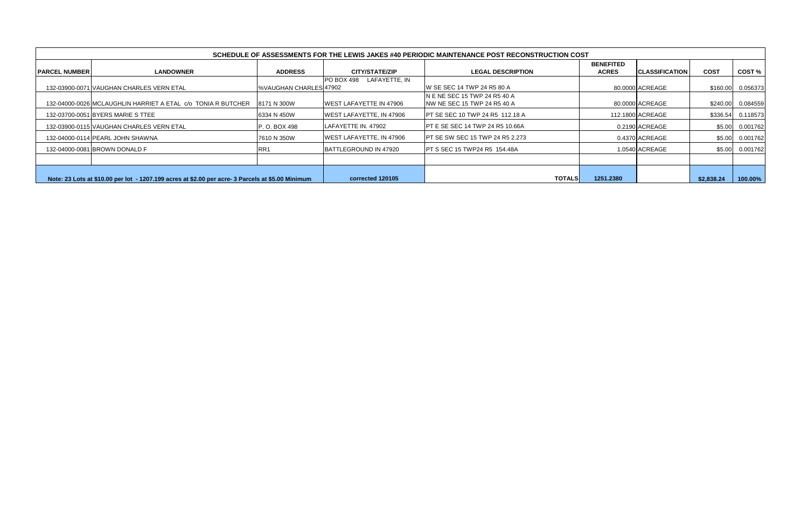|                       |                                                                                                   |                         |                                    | SCHEDULE OF ASSESSMENTS FOR THE LEWIS JAKES #40 PERIODIC MAINTENANCE POST RECONSTRUCTION COST |                                  |                        |             |          |
|-----------------------|---------------------------------------------------------------------------------------------------|-------------------------|------------------------------------|-----------------------------------------------------------------------------------------------|----------------------------------|------------------------|-------------|----------|
| <b>IPARCEL NUMBER</b> | <b>LANDOWNER</b>                                                                                  | <b>ADDRESS</b>          | <b>CITY/STATE/ZIP</b>              | <b>LEGAL DESCRIPTION</b>                                                                      | <b>BENEFITED</b><br><b>ACRES</b> | <b>ICLASSIFICATION</b> | <b>COST</b> | COST%    |
|                       | 132-03900-0071 VAUGHAN CHARLES VERN ETAL                                                          | I%VAUGHAN CHARLES 47902 | LAFAYETTE, IN<br><b>PO BOX 498</b> | IW SE SEC 14 TWP 24 R5 80 A                                                                   |                                  | 80.0000 ACREAGE        | \$160.00    | 0.056373 |
|                       | 132-04000-0026 MCLAUGHLIN HARRIET A ETAL C/O TONIA R BUTCHER                                      | 8171 N 300W             | <b>IWEST LAFAYETTE IN 47906</b>    | IN E NE SEC 15 TWP 24 R5 40 A<br><b>NW NE SEC 15 TWP 24 R5 40 A</b>                           |                                  | 80.0000 ACREAGE        | \$240.00    | 0.084559 |
|                       | 132-03700-0051 BYERS MARIE S TTEE                                                                 | 6334 N 450W             | WEST LAFAYETTE, IN 47906           | <b>IPT SE SEC 10 TWP 24 R5 112.18 A</b>                                                       |                                  | 112.1800 ACREAGE       | \$336.54    | 0.118573 |
|                       | 132-03900-0115 VAUGHAN CHARLES VERN ETAL                                                          | P. O. BOX 498           | <b>ILAFAYETTE IN. 47902</b>        | <b>IPT E SE SEC 14 TWP 24 R5 10.66A</b>                                                       |                                  | 0.2190 ACREAGE         | \$5.00      | 0.001762 |
|                       | 132-04000-0114 PEARL JOHN SHAWNA                                                                  | 7610 N 350W             | WEST LAFAYETTE, IN 47906           | IPT SE SW SEC 15 TWP 24 R5 2.273                                                              |                                  | 0.4370 ACREAGE         | \$5.00      | 0.001762 |
|                       | 132-04000-0081 BROWN DONALD F                                                                     | RR <sub>1</sub>         | <b>IBATTLEGROUND IN 47920</b>      | <b>IPT S SEC 15 TWP24 R5 154.48A</b>                                                          |                                  | 1.0540 ACREAGE         | \$5.00      | 0.001762 |
|                       |                                                                                                   |                         |                                    |                                                                                               |                                  |                        |             |          |
|                       | Note: 23 Lots at \$10.00 per lot - 1207.199 acres at \$2.00 per acre- 3 Parcels at \$5.00 Minimum | corrected 120105        | <b>TOTALS</b>                      | 1251.2380                                                                                     |                                  | \$2,838.24             | 100.00%     |          |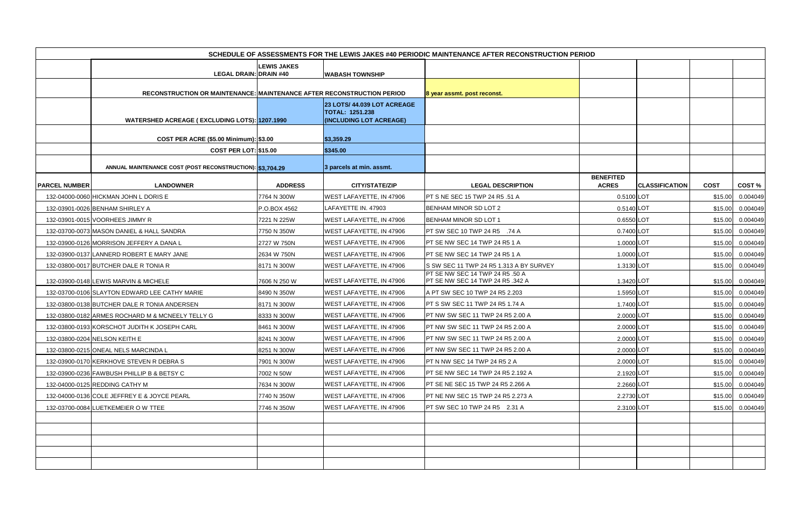|                      | SCHEDULE OF ASSESSMENTS FOR THE LEWIS JAKES #40 PERIODIC MAINTENANCE AFTER RECONSTRUCTION PERIOD |                    |                                                       |                                                                     |                                  |                       |             |                   |  |  |  |  |
|----------------------|--------------------------------------------------------------------------------------------------|--------------------|-------------------------------------------------------|---------------------------------------------------------------------|----------------------------------|-----------------------|-------------|-------------------|--|--|--|--|
|                      |                                                                                                  | <b>LEWIS JAKES</b> |                                                       |                                                                     |                                  |                       |             |                   |  |  |  |  |
|                      | <b>LEGAL DRAIN: DRAIN #40</b>                                                                    |                    | <b>WABASH TOWNSHIP</b>                                |                                                                     |                                  |                       |             |                   |  |  |  |  |
|                      | RECONSTRUCTION OR MAINTENANCE: MAINTENANCE AFTER RECONSTRUCTION PERIOD                           |                    |                                                       |                                                                     |                                  |                       |             |                   |  |  |  |  |
|                      |                                                                                                  |                    |                                                       | 8 year assmt. post reconst.                                         |                                  |                       |             |                   |  |  |  |  |
|                      |                                                                                                  |                    | 23 LOTS/ 44.039 LOT ACREAGE<br><b>TOTAL: 1251.238</b> |                                                                     |                                  |                       |             |                   |  |  |  |  |
|                      | <b>WATERSHED ACREAGE (EXCLUDING LOTS): 1207.1990</b>                                             |                    | (INCLUDING LOT ACREAGE)                               |                                                                     |                                  |                       |             |                   |  |  |  |  |
|                      | COST PER ACRE (\$5.00 Minimum): \$3.00                                                           |                    | \$3,359.29                                            |                                                                     |                                  |                       |             |                   |  |  |  |  |
|                      | <b>COST PER LOT: \$15.00</b>                                                                     |                    | \$345.00                                              |                                                                     |                                  |                       |             |                   |  |  |  |  |
|                      |                                                                                                  |                    |                                                       |                                                                     |                                  |                       |             |                   |  |  |  |  |
|                      | ANNUAL MAINTENANCE COST (POST RECONSTRUCTION): \$3,704.29                                        |                    | 3 parcels at min. assmt.                              |                                                                     |                                  |                       |             |                   |  |  |  |  |
| <b>PARCEL NUMBER</b> | <b>LANDOWNER</b>                                                                                 | <b>ADDRESS</b>     | <b>CITY/STATE/ZIP</b>                                 | <b>LEGAL DESCRIPTION</b>                                            | <b>BENEFITED</b><br><b>ACRES</b> | <b>CLASSIFICATION</b> | <b>COST</b> | COST %            |  |  |  |  |
|                      | 132-04000-0060 HICKMAN JOHN L DORIS E                                                            | 7764 N 300W        | WEST LAFAYETTE, IN 47906                              | PT S NE SEC 15 TWP 24 R5 .51 A                                      | 0.5100 LOT                       |                       | \$15.00     | 0.004049          |  |  |  |  |
|                      | 132-03901-0026 BENHAM SHIRLEY A                                                                  | P.O.BOX 4562       | LAFAYETTE IN. 47903                                   | <b>BENHAM MINOR SD LOT 2</b>                                        | 0.5140 LOT                       |                       | \$15.00     | 0.004049          |  |  |  |  |
|                      | 132-03901-0015 VOORHEES JIMMY R                                                                  | 7221 N 225W        | WEST LAFAYETTE, IN 47906                              | <b>BENHAM MINOR SD LOT 1</b>                                        | 0.6550 LOT                       |                       | \$15.00     | 0.004049          |  |  |  |  |
|                      | 132-03700-0073 MASON DANIEL & HALL SANDRA                                                        | 7750 N 350W        | WEST LAFAYETTE, IN 47906                              | <b>PT SW SEC 10 TWP 24 R5 .74 A</b>                                 | 0.7400 LOT                       |                       | \$15.00     | 0.004049          |  |  |  |  |
|                      | 132-03900-0126 MORRISON JEFFERY A DANA L                                                         | 2727 W 750N        | WEST LAFAYETTE, IN 47906                              | PT SE NW SEC 14 TWP 24 R5 1 A                                       | 1.0000 LOT                       |                       | \$15.00     | 0.004049          |  |  |  |  |
|                      | 132-03900-0137 LANNERD ROBERT E MARY JANE                                                        | 2634 W 750N        | WEST LAFAYETTE, IN 47906                              | <b>PT SE NW SEC 14 TWP 24 R5 1 A</b>                                | 1.0000 LOT                       |                       | \$15.00     | 0.004049          |  |  |  |  |
|                      | 132-03800-0017 BUTCHER DALE R TONIA R                                                            | 8171 N 300W        | WEST LAFAYETTE, IN 47906                              | S SW SEC 11 TWP 24 R5 1.313 A BY SURVEY                             | 1.3130 LOT                       |                       | \$15.00     | 0.004049          |  |  |  |  |
|                      | 132-03900-0148 LEWIS MARVIN & MICHELE                                                            | 7606 N 250 W       | WEST LAFAYETTE, IN 47906                              | PT SE NW SEC 14 TWP 24 R5 .50 A<br>PT SE NW SEC 14 TWP 24 R5 .342 A | 1.3420 LOT                       |                       | \$15.00     | 0.004049          |  |  |  |  |
|                      | 132-03700-0106 SLAYTON EDWARD LEE CATHY MARIE                                                    | 8490 N 350W        | WEST LAFAYETTE, IN 47906                              | A PT SW SEC 10 TWP 24 R5 2.203                                      | 1.5950 LOT                       |                       | \$15.00     | 0.004049          |  |  |  |  |
|                      | 132-03800-0138 BUTCHER DALE R TONIA ANDERSEN                                                     | 8171 N 300W        | WEST LAFAYETTE, IN 47906                              | <b>PT S SW SEC 11 TWP 24 R5 1.74 A</b>                              | 1.7400 LOT                       |                       | \$15.00     | 0.004049          |  |  |  |  |
|                      | 132-03800-0182 ARMES ROCHARD M & MCNEELY TELLY G                                                 | 8333 N 300W        | WEST LAFAYETTE, IN 47906                              | PT NW SW SEC 11 TWP 24 R5 2.00 A                                    | 2.0000 LOT                       |                       | \$15.00     | 0.004049          |  |  |  |  |
|                      | 132-03800-0193 KORSCHOT JUDITH K JOSEPH CARL                                                     | 8461 N 300W        | WEST LAFAYETTE, IN 47906                              | <b>IPT NW SW SEC 11 TWP 24 R5 2.00 A</b>                            | 2.0000 LOT                       |                       | \$15.00     | 0.004049          |  |  |  |  |
|                      | 132-03800-0204 NELSON KEITH E                                                                    | 8241 N 300W        | <b>WEST LAFAYETTE, IN 47906</b>                       | PT NW SW SEC 11 TWP 24 R5 2.00 A                                    | 2.0000 LOT                       |                       |             | \$15.00  0.004049 |  |  |  |  |
|                      | 132-03800-0215 ONEAL NELS MARCINDA L                                                             | 8251 N 300W        | WEST LAFAYETTE, IN 47906                              | PT NW SW SEC 11 TWP 24 R5 2.00 A                                    | 2.0000 LOT                       |                       | \$15.00     | 0.004049          |  |  |  |  |
|                      | 132-03900-0170 KERKHOVE STEVEN R DEBRA S                                                         | 7901 N 300W        | WEST LAFAYETTE, IN 47906                              | PT N NW SEC 14 TWP 24 R5 2 A                                        | 2.0000 LOT                       |                       | \$15.00     | 0.004049          |  |  |  |  |
|                      | 132-03900-0236 FAWBUSH PHILLIP B & BETSY C                                                       | 7002 N 50W         | WEST LAFAYETTE, IN 47906                              | <b>PT SE NW SEC 14 TWP 24 R5 2.192 A</b>                            | 2.1920 LOT                       |                       | \$15.00     | 0.004049          |  |  |  |  |
|                      | 132-04000-0125 REDDING CATHY M                                                                   | 7634 N 300W        | <b>WEST LAFAYETTE, IN 47906</b>                       | <b>PT SE NE SEC 15 TWP 24 R5 2.266 A</b>                            | 2.2660 LOT                       |                       | \$15.00     | 0.004049          |  |  |  |  |
|                      | 132-04000-0136 COLE JEFFREY E & JOYCE PEARL                                                      | 7740 N 350W        | WEST LAFAYETTE, IN 47906                              | <b>PT NE NW SEC 15 TWP 24 R5 2.273 A</b>                            | 2.2730 LOT                       |                       | \$15.00     | 0.004049          |  |  |  |  |
|                      | 132-03700-0084 LUETKEMEIER O W TTEE                                                              | 7746 N 350W        | WEST LAFAYETTE, IN 47906                              | PT SW SEC 10 TWP 24 R5 2.31 A                                       | 2.3100 LOT                       |                       | \$15.00     | 0.004049          |  |  |  |  |
|                      |                                                                                                  |                    |                                                       |                                                                     |                                  |                       |             |                   |  |  |  |  |
|                      |                                                                                                  |                    |                                                       |                                                                     |                                  |                       |             |                   |  |  |  |  |
|                      |                                                                                                  |                    |                                                       |                                                                     |                                  |                       |             |                   |  |  |  |  |
|                      |                                                                                                  |                    |                                                       |                                                                     |                                  |                       |             |                   |  |  |  |  |
|                      |                                                                                                  |                    |                                                       |                                                                     |                                  |                       |             |                   |  |  |  |  |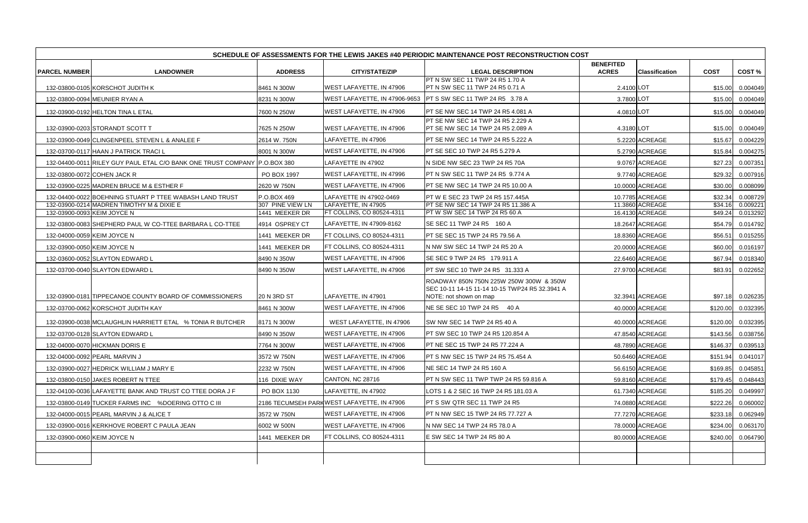|                             |                                                                           |                                    |                                                  | SCHEDULE OF ASSESSMENTS FOR THE LEWIS JAKES #40 PERIODIC MAINTENANCE POST RECONSTRUCTION COST                       |                                  |                                    |                    |                      |
|-----------------------------|---------------------------------------------------------------------------|------------------------------------|--------------------------------------------------|---------------------------------------------------------------------------------------------------------------------|----------------------------------|------------------------------------|--------------------|----------------------|
| <b>PARCEL NUMBER</b>        | <b>LANDOWNER</b>                                                          | <b>ADDRESS</b>                     | <b>CITY/STATE/ZIP</b>                            | <b>LEGAL DESCRIPTION</b>                                                                                            | <b>BENEFITED</b><br><b>ACRES</b> | <b>Classification</b>              | <b>COST</b>        | COST%                |
|                             | 132-03800-0105 KORSCHOT JUDITH K                                          | 8461 N 300W                        | WEST LAFAYETTE, IN 47906                         | PT N SW SEC 11 TWP 24 R5 1.70 A<br><b>PT N SW SEC 11 TWP 24 R5 0.71 A</b>                                           | 2.4100 LOT                       |                                    | \$15.00            | 0.004049             |
|                             | 132-03800-0094 MEUNIER RYAN A                                             | 8231 N 300W                        |                                                  | WEST LAFAYETTE, IN 47906-9653 PT S SW SEC 11 TWP 24 R5 3.78 A                                                       | 3.7800 LOT                       |                                    | \$15.00            | 0.004049             |
|                             | 132-03900-0192 HELTON TINA L ETAL                                         | 7600 N 250W                        | WEST LAFAYETTE, IN 47906                         | <b>PT SE NW SEC 14 TWP 24 R5 4.081 A</b>                                                                            | 4.0810 LOT                       |                                    | \$15.00            | 0.004049             |
|                             | 132-03900-0203 STORANDT SCOTT T                                           | 7625 N 250W                        | WEST LAFAYETTE, IN 47906                         | PT SE NW SEC 14 TWP 24 R5 2.229 A<br>PT SE NW SEC 14 TWP 24 R5 2.089 A                                              | 4.3180 LOT                       |                                    | \$15.00            | 0.004049             |
|                             | 132-03900-0049 CLINGENPEEL STEVEN L & ANALEE F                            | 2614 W. 750N                       | LAFAYETTE, IN 47906                              | <b>PT SE NW SEC 14 TWP 24 R5 5.222 A</b>                                                                            |                                  | 5.2220 ACREAGE                     | \$15.67            | 0.004229             |
|                             | 132-03700-0117 HAAN J PATRICK TRACI L                                     | 8001 N 300W                        | WEST LAFAYETTE, IN 47906                         | <b>PT SE SEC 10 TWP 24 R5 5.279 A</b>                                                                               |                                  | 5.2790 ACREAGE                     | \$15.84            | 0.004275             |
|                             | 132-04400-0011 RILEY GUY PAUL ETAL C/O BANK ONE TRUST COMPANY P.O.BOX 380 |                                    | LAFAYETTE IN 47902                               | N SIDE NW SEC 23 TWP 24 R5 70A                                                                                      |                                  | 9.0767 ACREAGE                     | \$27.23            | 0.007351             |
|                             | 132-03800-0072 COHEN JACK R                                               | PO BOX 1997                        | WEST LAFAYETTE, IN 47996                         | PT N SW SEC 11 TWP 24 R5 9.774 A                                                                                    |                                  | 9.7740 ACREAGE                     | \$29.32            | 0.007916             |
|                             | 132-03900-0225 MADREN BRUCE M & ESTHER F                                  | 2620 W 750N                        | WEST LAFAYETTE, IN 47906                         | <b>PT SE NW SEC 14 TWP 24 R5 10.00 A</b>                                                                            |                                  | 10.0000 ACREAGE                    | \$30.00            | 0.008099             |
|                             | 132-04400-0022 BOEHNING STUART P TTEE WABASH LAND TRUST                   | P.O.BOX 469                        | LAFAYETTE IN 47902-0469                          | PT W E SEC 23 TWP 24 R5 157.445A                                                                                    |                                  | 10.7785 ACREAGE                    | \$32.34            | 0.008729             |
| 132-03900-0093 KEIM JOYCE N | 132-03900-0214 MADREN TIMOTHY M & DIXIE E                                 | 307 PINE VIEW LN<br>1441 MEEKER DR | LAFAYETTE, IN 47905<br>FT COLLINS, CO 80524-4311 | PT SE NW SEC 14 TWP 24 R5 11.386 A<br>PT W SW SEC 14 TWP 24 R5 60 A                                                 |                                  | 11.3860 ACREAGE<br>16.4130 ACREAGE | \$34.16<br>\$49.24 | 0.009221<br>0.013292 |
|                             |                                                                           |                                    | LAFAYETTE, IN 47909-8162                         | SE SEC 11 TWP 24 R5 160 A                                                                                           |                                  |                                    |                    |                      |
|                             | 132-03800-0083 SHEPHERD PAUL W CO-TTEE BARBARA L CO-TTEE                  | 4914 OSPREY CT                     |                                                  |                                                                                                                     |                                  | 18.2647 ACREAGE                    | \$54.79            | 0.014792             |
| 132-04000-0059 KEIM JOYCE N |                                                                           | 1441 MEEKER DR                     | FT COLLINS, CO 80524-4311                        | PT SE SEC 15 TWP 24 R5 79.56 A                                                                                      |                                  | 18.8360 ACREAGE                    | \$56.51            | 0.015255             |
| 132-03900-0050 KEIM JOYCE N |                                                                           | 1441 MEEKER DR                     | FT COLLINS, CO 80524-4311                        | N NW SW SEC 14 TWP 24 R5 20 A                                                                                       |                                  | 20.0000 ACREAGE                    | \$60.00            | 0.016197             |
|                             | 132-03600-0052 SLAYTON EDWARD L                                           | 8490 N 350W                        | WEST LAFAYETTE, IN 47906                         | SE SEC 9 TWP 24 R5 179.911 A                                                                                        |                                  | 22.6460 ACREAGE                    | \$67.94            | 0.018340             |
|                             | 132-03700-0040 SLAYTON EDWARD L                                           | 8490 N 350W                        | WEST LAFAYETTE, IN 47906                         | PT SW SEC 10 TWP 24 R5 31.333 A                                                                                     |                                  | 27.9700 ACREAGE                    | \$83.91            | 0.022652             |
|                             | 132-03900-0181 TIPPECANOE COUNTY BOARD OF COMMISSIONERS                   | <b>20 N 3RD ST</b>                 | LAFAYETTE, IN 47901                              | ROADWAY 850N 750N 225W 250W 300W & 350W<br>SEC 10-11 14-15 11-14 10-15 TWP24 R5 32.3941 A<br>NOTE: not shown on map |                                  | 32.3941 ACREAGE                    | \$97.18            | 0.026235             |
|                             | 132-03700-0062 KORSCHOT JUDITH KAY                                        | 8461 N 300W                        | WEST LAFAYETTE, IN 47906                         | NE SE SEC 10 TWP 24 R5 40 A                                                                                         |                                  | 40.0000 ACREAGE                    | \$120.00           | 0.032395             |
|                             | 132-03900-0038 MCLAUGHLIN HARRIETT ETAL % TONIA R BUTCHER                 | 8171 N 300W                        | WEST LAFAYETTE, IN 47906                         | SW NW SEC 14 TWP 24 R5 40 A                                                                                         |                                  | 40.0000 ACREAGE                    | \$120.00           | 0.032395             |
|                             | 132-03700-0128 SLAYTON EDWARD L                                           | 8490 N 350W                        | <b>WEST LAFAYETTE, IN 47906</b>                  | <b>PT SW SEC 10 TWP 24 R5 120.854 A</b>                                                                             |                                  | 47.8540 ACREAGE                    | \$143.56           | 0.038756             |
|                             | 132-04000-0070 HICKMAN DORIS E                                            | 7764 N 300W                        | <b>WEST LAFAYETTE, IN 47906</b>                  | PT NE SEC 15 TWP 24 R5 77.224 A                                                                                     |                                  | 48.7890 ACREAGE                    |                    | \$146.37 0.039513    |
|                             | 132-04000-0092 PEARL MARVIN J                                             | 3572 W 750N                        | WEST LAFAYETTE, IN 47906                         | PT S NW SEC 15 TWP 24 R5 75.454 A                                                                                   |                                  | 50.6460 ACREAGE                    | \$151.94           | 0.041017             |
|                             | 132-03900-0027 HEDRICK WILLIAM J MARY E                                   | 2232 W 750N                        | WEST LAFAYETTE, IN 47906                         | NE SEC 14 TWP 24 R5 160 A                                                                                           |                                  | 56.6150 ACREAGE                    | \$169.85           | 0.045851             |
|                             | 132-03800-0150 JAKES ROBERT N TTEE                                        | 116 DIXIE WAY                      | CANTON, NC 28716                                 | <b>IPT N SW SEC 11 TWP TWP 24 R5 59.816 A</b>                                                                       |                                  | 59.8160 ACREAGE                    | \$179.45           | 0.048443             |
|                             | 132-04100-0036 LAFAYETTE BANK AND TRUST CO TTEE DORA J F                  | PO BOX 1130                        | LAFAYETTE, IN 47902                              | LOTS 1 & 2 SEC 16 TWP 24 R5 181.03 A                                                                                |                                  | 61.7340 ACREAGE                    | \$185.20           | 0.049997             |
|                             | 132-03800-0149 TUCKER FARMS INC %DOERING OTTO C III                       |                                    | 2186 TECUMSEH PARKWEST LAFAYETTE, IN 47906       | <b>PT S SW QTR SEC 11 TWP 24 R5</b>                                                                                 |                                  | 74.0880 ACREAGE                    | \$222.26           | 0.060002             |
|                             | 132-04000-0015 PEARL MARVIN J & ALICE T                                   | 3572 W 750N                        | WEST LAFAYETTE, IN 47906                         | <b>PT N NW SEC 15 TWP 24 R5 77.727 A</b>                                                                            |                                  | 77.7270 ACREAGE                    | \$233.18           | 0.062949             |
|                             | 132-03900-0016 KERKHOVE ROBERT C PAULA JEAN                               | 6002 W 500N                        | WEST LAFAYETTE, IN 47906                         | N NW SEC 14 TWP 24 R5 78.0 A                                                                                        |                                  | 78.0000 ACREAGE                    | \$234.00           | 0.063170             |
| 132-03900-0060 KEIM JOYCE N |                                                                           | 1441 MEEKER DR                     | FT COLLINS, CO 80524-4311                        | E SW SEC 14 TWP 24 R5 80 A                                                                                          |                                  | 80.0000 ACREAGE                    | \$240.00           | 0.064790             |
|                             |                                                                           |                                    |                                                  |                                                                                                                     |                                  |                                    |                    |                      |
|                             |                                                                           |                                    |                                                  |                                                                                                                     |                                  |                                    |                    |                      |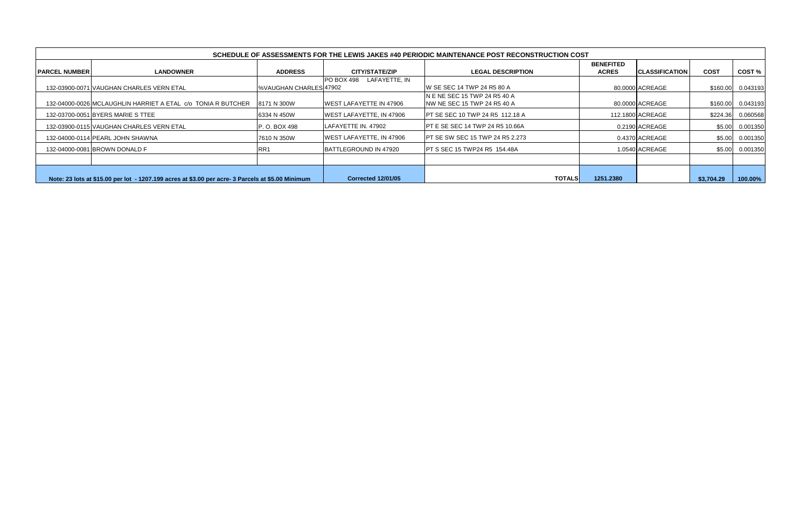|                        |                                                                                                   |                           |                                    | SCHEDULE OF ASSESSMENTS FOR THE LEWIS JAKES #40 PERIODIC MAINTENANCE POST RECONSTRUCTION COST |                                  |                       |             |          |
|------------------------|---------------------------------------------------------------------------------------------------|---------------------------|------------------------------------|-----------------------------------------------------------------------------------------------|----------------------------------|-----------------------|-------------|----------|
| <b>IPARCEL NUMBERI</b> | <b>LANDOWNER</b>                                                                                  | <b>ADDRESS</b>            | <b>CITY/STATE/ZIP</b>              | <b>LEGAL DESCRIPTION</b>                                                                      | <b>BENEFITED</b><br><b>ACRES</b> | <b>CLASSIFICATION</b> | <b>COST</b> | COST%    |
|                        | 132-03900-0071 VAUGHAN CHARLES VERN ETAL                                                          | I%VAUGHAN CHARLES 47902   | LAFAYETTE, IN<br><b>PO BOX 498</b> | IW SE SEC 14 TWP 24 R5 80 A                                                                   |                                  | 80.0000 ACREAGE       | \$160.00    | 0.043193 |
|                        | 132-04000-0026 MCLAUGHLIN HARRIET A ETAL c/o TONIA R BUTCHER                                      | 8171 N 300W               | <b>WEST LAFAYETTE IN 47906</b>     | IN E NE SEC 15 TWP 24 R5 40 A<br><b>NW NE SEC 15 TWP 24 R5 40 A</b>                           |                                  | 80.0000 ACREAGE       | \$160.00    | 0.043193 |
|                        | 132-03700-0051 BYERS MARIE S TTEE                                                                 | 6334 N 450W               | WEST LAFAYETTE, IN 47906           | <b>PT SE SEC 10 TWP 24 R5 112.18 A</b>                                                        |                                  | 112.1800 ACREAGE      | \$224.36    | 0.060568 |
|                        | 132-03900-0115 VAUGHAN CHARLES VERN ETAL                                                          | <b>P.O. BOX 498</b>       | LAFAYETTE IN. 47902                | <b>IPT E SE SEC 14 TWP 24 R5 10.66A</b>                                                       |                                  | 0.2190 ACREAGE        | \$5.00      | 0.001350 |
|                        | 132-04000-0114 PEARL JOHN SHAWNA                                                                  | 7610 N 350W               | <b>WEST LAFAYETTE, IN 47906</b>    | <b>IPT SE SW SEC 15 TWP 24 R5 2.273</b>                                                       |                                  | 0.4370 ACREAGE        | \$5.00      | 0.001350 |
|                        | 132-04000-0081 BROWN DONALD F                                                                     | RR <sub>1</sub>           | <b>IBATTLEGROUND IN 47920</b>      | <b>IPT S SEC 15 TWP24 R5 154.48A</b>                                                          |                                  | 1.0540 ACREAGE        | \$5.00      | 0.001350 |
|                        |                                                                                                   |                           |                                    |                                                                                               |                                  |                       |             |          |
|                        | Note: 23 lots at \$15.00 per lot - 1207.199 acres at \$3.00 per acre- 3 Parcels at \$5.00 Minimum | <b>Corrected 12/01/05</b> | <b>TOTALS</b>                      | 1251.2380                                                                                     |                                  | \$3,704.29            | 100.00%     |          |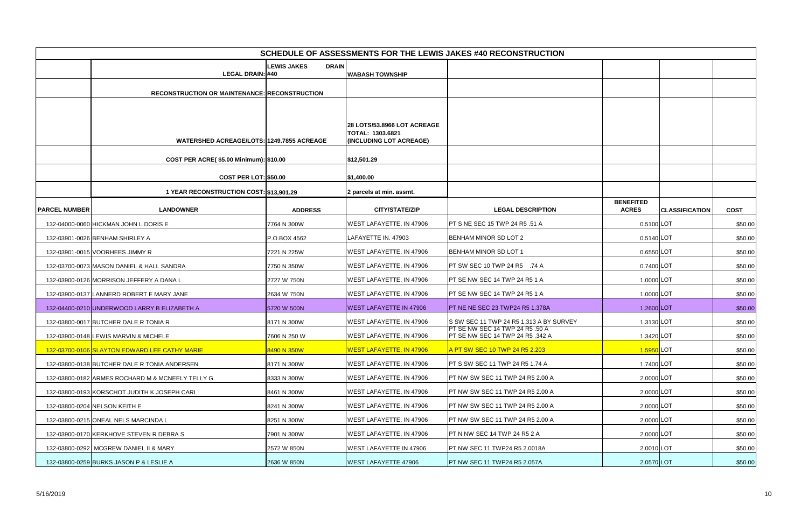|                      | SCHEDULE OF ASSESSMENTS FOR THE LEWIS JAKES #40 RECONSTRUCTION |                                    |                                                                                   |                                                                     |                                  |                       |             |  |  |  |  |  |  |
|----------------------|----------------------------------------------------------------|------------------------------------|-----------------------------------------------------------------------------------|---------------------------------------------------------------------|----------------------------------|-----------------------|-------------|--|--|--|--|--|--|
|                      |                                                                | <b>DRAIN</b><br><b>LEWIS JAKES</b> |                                                                                   |                                                                     |                                  |                       |             |  |  |  |  |  |  |
|                      | LEGAL DRAIN: #40                                               |                                    | <b>WABASH TOWNSHIP</b>                                                            |                                                                     |                                  |                       |             |  |  |  |  |  |  |
|                      | <b>RECONSTRUCTION OR MAINTENANCE: RECONSTRUCTION</b>           |                                    |                                                                                   |                                                                     |                                  |                       |             |  |  |  |  |  |  |
|                      |                                                                |                                    |                                                                                   |                                                                     |                                  |                       |             |  |  |  |  |  |  |
|                      | WATERSHED ACREAGE/LOTS: 1249.7855 ACREAGE                      |                                    | <b>28 LOTS/53.8966 LOT ACREAGE</b><br>TOTAL: 1303.6821<br>(INCLUDING LOT ACREAGE) |                                                                     |                                  |                       |             |  |  |  |  |  |  |
|                      |                                                                |                                    |                                                                                   |                                                                     |                                  |                       |             |  |  |  |  |  |  |
|                      | COST PER ACRE(\$5.00 Minimum): \$10.00                         |                                    | \$12,501.29                                                                       |                                                                     |                                  |                       |             |  |  |  |  |  |  |
|                      | <b>COST PER LOT: \$50.00</b>                                   |                                    | \$1,400.00                                                                        |                                                                     |                                  |                       |             |  |  |  |  |  |  |
|                      | 1 YEAR RECONSTRUCTION COST: \$13,901.29                        |                                    | 2 parcels at min. assmt.                                                          |                                                                     |                                  |                       |             |  |  |  |  |  |  |
| <b>PARCEL NUMBER</b> | <b>LANDOWNER</b>                                               | <b>ADDRESS</b>                     | <b>CITY/STATE/ZIP</b>                                                             | <b>LEGAL DESCRIPTION</b>                                            | <b>BENEFITED</b><br><b>ACRES</b> | <b>CLASSIFICATION</b> | <b>COST</b> |  |  |  |  |  |  |
|                      | 132-04000-0060 HICKMAN JOHN L DORIS E                          | 7764 N 300W                        | WEST LAFAYETTE, IN 47906                                                          | PT S NE SEC 15 TWP 24 R5 .51 A                                      | 0.5100 LOT                       |                       | \$50.00     |  |  |  |  |  |  |
|                      | 132-03901-0026 BENHAM SHIRLEY A                                | P.O.BOX 4562                       | LAFAYETTE IN. 47903                                                               | BENHAM MINOR SD LOT 2                                               | 0.5140 LOT                       |                       | \$50.00     |  |  |  |  |  |  |
|                      | 132-03901-0015 VOORHEES JIMMY R                                | 7221 N 225W                        | WEST LAFAYETTE, IN 47906                                                          | <b>BENHAM MINOR SD LOT 1</b>                                        | 0.6550LOT                        |                       | \$50.00     |  |  |  |  |  |  |
|                      | 132-03700-0073 MASON DANIEL & HALL SANDRA                      | 7750 N 350W                        | WEST LAFAYETTE, IN 47906                                                          | PT SW SEC 10 TWP 24 R5 .74 A                                        | 0.7400 LOT                       |                       | \$50.00     |  |  |  |  |  |  |
|                      | 132-03900-0126 MORRISON JEFFERY A DANA L                       | 2727 W 750N                        | WEST LAFAYETTE, IN 47906                                                          | PT SE NW SEC 14 TWP 24 R5 1 A                                       | 1.0000 LOT                       |                       | \$50.00     |  |  |  |  |  |  |
|                      | 132-03900-0137 LANNERD ROBERT E MARY JANE                      | 2634 W 750N                        | WEST LAFAYETTE, IN 47906                                                          | PT SE NW SEC 14 TWP 24 R5 1 A                                       | 1.0000 LOT                       |                       | \$50.00     |  |  |  |  |  |  |
|                      | 132-04400-0210 UNDERWOOD LARRY B ELIZABETH A                   | 5720 W 500N                        | <b>WEST LAFAYETTE IN 47906</b>                                                    | PT NE NE SEC 23 TWP24 R5 1.378A                                     | 1.2600 LOT                       |                       | \$50.00     |  |  |  |  |  |  |
|                      | 132-03800-0017 BUTCHER DALE R TONIA R                          | 8171 N 300W                        | WEST LAFAYETTE, IN 47906                                                          | S SW SEC 11 TWP 24 R5 1.313 A BY SURVEY                             | 1.3130 LOT                       |                       | \$50.00     |  |  |  |  |  |  |
|                      | 132-03900-0148 LEWIS MARVIN & MICHELE                          | 7606 N 250 W                       | WEST LAFAYETTE, IN 47906                                                          | PT SE NW SEC 14 TWP 24 R5 .50 A<br>PT SE NW SEC 14 TWP 24 R5 .342 A | 1.3420 LOT                       |                       | \$50.00     |  |  |  |  |  |  |
|                      | 132-03700-0106 SLAYTON EDWARD LEE CATHY MARIE                  | 8490 N 350W                        | <b>WEST LAFAYETTE, IN 47906</b>                                                   | A PT SW SEC 10 TWP 24 R5 2.203                                      | 1.5950 LOT                       |                       | \$50.00     |  |  |  |  |  |  |
|                      | 132-03800-0138 BUTCHER DALE R TONIA ANDERSEN                   | 8171 N 300W                        | WEST LAFAYETTE, IN 47906                                                          | PT S SW SEC 11 TWP 24 R5 1.74 A                                     | 1.7400 LOT                       |                       | \$50.00     |  |  |  |  |  |  |
|                      | 132-03800-0182 ARMES ROCHARD M & MCNEELY TELLY G               | 8333 N 300W                        | WEST LAFAYETTE, IN 47906                                                          | PT NW SW SEC 11 TWP 24 R5 2.00 A                                    | 2.0000 LOT                       |                       | \$50.00     |  |  |  |  |  |  |
|                      | 132-03800-0193 KORSCHOT JUDITH K JOSEPH CARL                   | 8461 N 300W                        | WEST LAFAYETTE, IN 47906                                                          | PT NW SW SEC 11 TWP 24 R5 2.00 A                                    | 2.0000 LOT                       |                       | \$50.00     |  |  |  |  |  |  |
|                      | 132-03800-0204 NELSON KEITH E                                  | 8241 N 300W                        | WEST LAFAYETTE, IN 47906                                                          | PT NW SW SEC 11 TWP 24 R5 2.00 A                                    | 2.0000 LOT                       |                       | \$50.00     |  |  |  |  |  |  |
|                      | 132-03800-0215 ONEAL NELS MARCINDA L                           | 8251 N 300W                        | WEST LAFAYETTE, IN 47906                                                          | PT NW SW SEC 11 TWP 24 R5 2.00 A                                    | 2.0000 LOT                       |                       | \$50.00     |  |  |  |  |  |  |
|                      | 132-03900-0170 KERKHOVE STEVEN R DEBRA S                       | 7901 N 300W                        | WEST LAFAYETTE, IN 47906                                                          | PT N NW SEC 14 TWP 24 R5 2 A                                        | 2.0000 LOT                       |                       | \$50.00     |  |  |  |  |  |  |
|                      | 132-03800-0292 MCGREW DANIEL II & MARY                         | 2572 W 850N                        | WEST LAFAYETTE IN 47906                                                           | PT NW SEC 11 TWP24 R5 2.0018A                                       | 2.0010 LOT                       |                       | \$50.00     |  |  |  |  |  |  |
|                      | 132-03800-0259 BURKS JASON P & LESLIE A                        | 2636 W 850N                        | <b>WEST LAFAYETTE 47906</b>                                                       | PT NW SEC 11 TWP24 R5 2.057A                                        | 2.0570 LOT                       |                       | \$50.00     |  |  |  |  |  |  |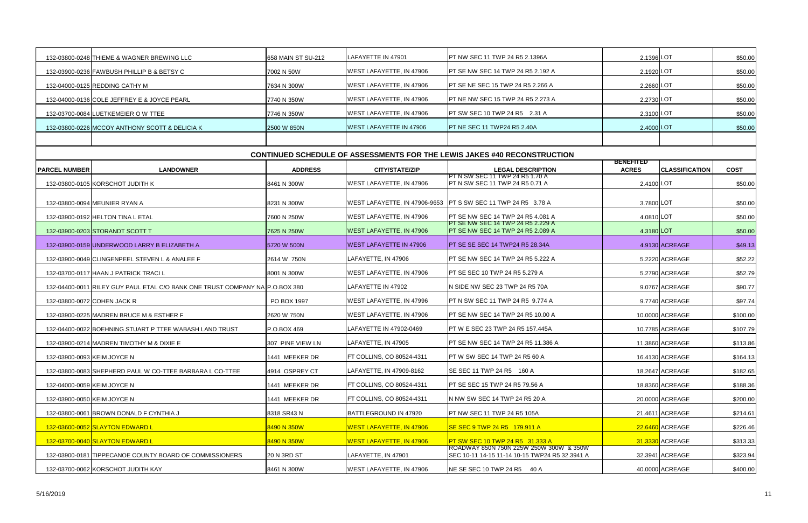|                      | 132-03800-0248 THIEME & WAGNER BREWING LLC                                   | 658 MAIN ST SU-212 | LAFAYETTE IN 47901              | <b>IPT NW SEC 11 TWP 24 R5 2.1396A</b>                                                    | 2.1396 LOT                       |                       | \$50.00     |
|----------------------|------------------------------------------------------------------------------|--------------------|---------------------------------|-------------------------------------------------------------------------------------------|----------------------------------|-----------------------|-------------|
|                      | 132-03900-0236 FAWBUSH PHILLIP B & BETSY C                                   | 7002 N 50W         | WEST LAFAYETTE, IN 47906        | <b>PT SE NW SEC 14 TWP 24 R5 2.192 A</b>                                                  | 2.1920 LOT                       |                       | \$50.00     |
|                      | 132-04000-0125 REDDING CATHY M                                               | 7634 N 300W        | WEST LAFAYETTE, IN 47906        | <b>PT SE NE SEC 15 TWP 24 R5 2.266 A</b>                                                  | 2.2660 LOT                       |                       | \$50.00     |
|                      | 132-04000-0136 COLE JEFFREY E & JOYCE PEARL                                  | 7740 N 350W        | WEST LAFAYETTE, IN 47906        | <b>PT NE NW SEC 15 TWP 24 R5 2.273 A</b>                                                  | 2.2730 LOT                       |                       | \$50.00     |
|                      | 132-03700-0084 LUETKEMEIER O W TTEE                                          | 7746 N 350W        | WEST LAFAYETTE, IN 47906        | <b>PT SW SEC 10 TWP 24 R5 2.31 A</b>                                                      | 2.3100 LOT                       |                       | \$50.00     |
|                      | 132-03800-0226 MCCOY ANTHONY SCOTT & DELICIA K                               | 2500 W 850N        | <b>WEST LAFAYETTE IN 47906</b>  | PT NE SEC 11 TWP24 R5 2.40A                                                               | 2.4000 LOT                       |                       | \$50.00     |
|                      |                                                                              |                    |                                 |                                                                                           |                                  |                       |             |
|                      |                                                                              |                    |                                 | <b>CONTINUED SCHEDULE OF ASSESSMENTS FOR THE LEWIS JAKES #40 RECONSTRUCTION</b>           |                                  |                       |             |
| <b>PARCEL NUMBER</b> | <b>LANDOWNER</b>                                                             | <b>ADDRESS</b>     | <b>CITY/STATE/ZIP</b>           | <b>LEGAL DESCRIPTION</b>                                                                  | <b>BENEFITED</b><br><b>ACRES</b> | <b>CLASSIFICATION</b> | <b>COST</b> |
|                      | 132-03800-0105 KORSCHOT JUDITH K                                             | 8461 N 300W        | <b>WEST LAFAYETTE, IN 47906</b> | IPT N SW SEC 11 TWP 24 R5 1.70 A<br><b>PT N SW SEC 11 TWP 24 R5 0.71 A</b>                | 2.4100 LOT                       |                       | \$50.00     |
|                      |                                                                              |                    |                                 |                                                                                           |                                  |                       |             |
|                      | 132-03800-0094 MEUNIER RYAN A                                                | 8231 N 300W        |                                 | WEST LAFAYETTE, IN 47906-9653   PT S SW SEC 11 TWP 24 R5 3.78 A                           | 3.7800 LOT                       |                       | \$50.00     |
|                      | 132-03900-0192 HELTON TINA L ETAL                                            | 7600 N 250W        | WEST LAFAYETTE, IN 47906        | <b>IPT SE NW SEC 14 TWP 24 R5 4.081 A</b><br>IPT SE NW SEC 14 TWP 24 R5 2.229 A           | 4.0810 LOT                       |                       | \$50.00     |
|                      | 132-03900-0203 STORANDT SCOTT T                                              | 7625 N 250W        | <b>WEST LAFAYETTE, IN 47906</b> | <b>PT SE NW SEC 14 TWP 24 R5 2.089 A</b>                                                  | 4.3180 LOT                       |                       | \$50.00     |
|                      | 132-03900-0159 UNDERWOOD LARRY B ELIZABETH A                                 | 5720 W 500N        | <b>WEST LAFAYETTE IN 47906</b>  | <b>PT SE SE SEC 14 TWP24 R5 28.34A</b>                                                    |                                  | 4.9130 ACREAGE        | \$49.13     |
|                      | 132-03900-0049 CLINGENPEEL STEVEN L & ANALEE F                               | 2614 W. 750N       | LAFAYETTE, IN 47906             | <b>PT SE NW SEC 14 TWP 24 R5 5.222 A</b>                                                  |                                  | 5.2220 ACREAGE        | \$52.22     |
|                      | 132-03700-0117 HAAN J PATRICK TRACI L                                        | 8001 N 300W        | <b>WEST LAFAYETTE, IN 47906</b> | <b>PT SE SEC 10 TWP 24 R5 5.279 A</b>                                                     |                                  | 5.2790 ACREAGE        | \$52.79     |
|                      | 132-04400-0011 RILEY GUY PAUL ETAL C/O BANK ONE TRUST COMPANY NA P.O.BOX 380 |                    | LAFAYETTE IN 47902              | IN SIDE NW SEC 23 TWP 24 R5 70A                                                           |                                  | 9.0767 ACREAGE        | \$90.77     |
|                      | 132-03800-0072 COHEN JACK R                                                  | PO BOX 1997        | WEST LAFAYETTE, IN 47996        | <b>PT N SW SEC 11 TWP 24 R5 9.774 A</b>                                                   |                                  | 9.7740 ACREAGE        | \$97.74     |
|                      | 132-03900-0225 MADREN BRUCE M & ESTHER F                                     | 2620 W 750N        | WEST LAFAYETTE, IN 47906        | <b>PT SE NW SEC 14 TWP 24 R5 10.00 A</b>                                                  |                                  | 10.0000 ACREAGE       | \$100.00    |
|                      | 132-04400-0022 BOEHNING STUART P TTEE WABASH LAND TRUST                      | P.O.BOX 469        | LAFAYETTE IN 47902-0469         | <b>PT W E SEC 23 TWP 24 R5 157.445A</b>                                                   |                                  | 10.7785 ACREAGE       | \$107.79    |
|                      | 132-03900-0214 MADREN TIMOTHY M & DIXIE E                                    | 307 PINE VIEW LN   | LAFAYETTE, IN 47905             | <b>IPT SE NW SEC 14 TWP 24 R5 11.386 A</b>                                                |                                  | 11.3860 ACREAGE       | \$113.86    |
|                      | 132-03900-0093 KEIM JOYCE N                                                  | 1441 MEEKER DR     | FT COLLINS, CO 80524-4311       | PT W SW SEC 14 TWP 24 R5 60 A                                                             |                                  | 16.4130 ACREAGE       | \$164.13    |
|                      | 132-03800-0083 SHEPHERD PAUL W CO-TTEE BARBARA L CO-TTEE                     | 4914 OSPREY CT     | LAFAYETTE, IN 47909-8162        | SE SEC 11 TWP 24 R5 160 A                                                                 |                                  | 18.2647 ACREAGE       | \$182.65    |
|                      | 132-04000-0059 KEIM JOYCE N                                                  | 1441 MEEKER DR     | FT COLLINS, CO 80524-4311       | <b>PT SE SEC 15 TWP 24 R5 79.56 A</b>                                                     |                                  | 18.8360 ACREAGE       | \$188.36    |
|                      | 132-03900-0050 KEIM JOYCE N                                                  | 1441 MEEKER DR     | FT COLLINS, CO 80524-4311       | N NW SW SEC 14 TWP 24 R5 20 A                                                             |                                  | 20.0000 ACREAGE       | \$200.00    |
|                      | 132-03800-0061 BROWN DONALD F CYNTHIA J                                      | 8318 SR43 N        | BATTLEGROUND IN 47920           | <b>PT NW SEC 11 TWP 24 R5 105A</b>                                                        |                                  | 21.4611 ACREAGE       | \$214.61    |
|                      | 132-03600-0052 SLAYTON EDWARD L                                              | 8490 N 350W        | <b>WEST LAFAYETTE, IN 47906</b> | <mark>ISE SEC 9 TWP 24 R5 _179.911 A</mark>                                               |                                  | 22.6460 ACREAGE       | \$226.46    |
|                      | 132-03700-0040 SLAYTON EDWARD L                                              | 8490 N 350W        | <b>WEST LAFAYETTE, IN 47906</b> | <b>PT SW SEC 10 TWP 24 R5 31.333 A</b>                                                    |                                  | 31.3330 ACREAGE       | \$313.33    |
|                      | 132-03900-0181 TIPPECANOE COUNTY BOARD OF COMMISSIONERS                      | 20 N 3RD ST        | LAFAYETTE, IN 47901             | ROADWAY 850N 750N 225W 250W 300W & 350W<br>SEC 10-11 14-15 11-14 10-15 TWP24 R5 32.3941 A |                                  | 32.3941 ACREAGE       | \$323.94    |
|                      | 132-03700-0062 KORSCHOT JUDITH KAY                                           | 8461 N 300W        | WEST LAFAYETTE, IN 47906        | NE SE SEC 10 TWP 24 R5 40 A                                                               |                                  | 40.0000 ACREAGE       | \$400.00    |
|                      |                                                                              |                    |                                 |                                                                                           |                                  |                       |             |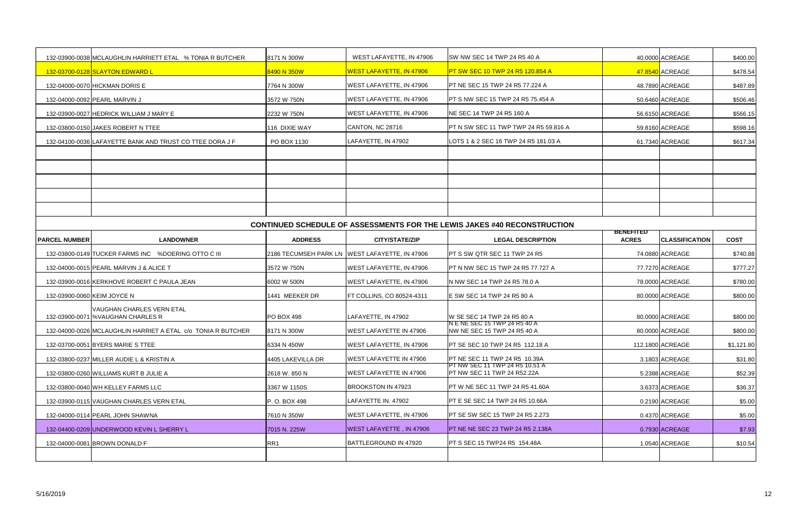|                      | 132-03900-0038 MCLAUGHLIN HARRIETT ETAL % TONIA R BUTCHER    | 8171 N 300W       | WEST LAFAYETTE, IN 47906                       | SW NW SEC 14 TWP 24 R5 40 A                                                     |                                  | 40.0000 ACREAGE       | \$400.00    |
|----------------------|--------------------------------------------------------------|-------------------|------------------------------------------------|---------------------------------------------------------------------------------|----------------------------------|-----------------------|-------------|
|                      | 132-03700-0128 SLAYTON EDWARD L                              | 8490 N 350W       | <b>WEST LAFAYETTE, IN 47906</b>                | <b>PT SW SEC 10 TWP 24 R5 120.854 A</b>                                         |                                  | 47.8540 ACREAGE       | \$478.54    |
|                      | 132-04000-0070 HICKMAN DORIS E                               | 7764 N 300W       | <b>WEST LAFAYETTE, IN 47906</b>                | PT NE SEC 15 TWP 24 R5 77.224 A                                                 |                                  | 48.7890 ACREAGE       | \$487.89    |
|                      | 132-04000-0092 PEARL MARVIN J                                | 3572 W 750N       | <b>WEST LAFAYETTE, IN 47906</b>                | PT S NW SEC 15 TWP 24 R5 75.454 A                                               |                                  | 50.6460 ACREAGE       | \$506.46    |
|                      | 132-03900-0027 HEDRICK WILLIAM J MARY E                      | 2232 W 750N       | <b>WEST LAFAYETTE, IN 47906</b>                | NE SEC 14 TWP 24 R5 160 A                                                       |                                  | 56.6150 ACREAGE       | \$566.15    |
|                      | 132-03800-0150 JAKES ROBERT N TTEE                           | 116 DIXIE WAY     | CANTON, NC 28716                               | PT N SW SEC 11 TWP TWP 24 R5 59.816 A                                           |                                  | 59.8160 ACREAGE       | \$598.16    |
|                      | 132-04100-0036 LAFAYETTE BANK AND TRUST CO TTEE DORA J F     | PO BOX 1130       | LAFAYETTE, IN 47902                            | LOTS 1 & 2 SEC 16 TWP 24 R5 181.03 A                                            |                                  | 61.7340 ACREAGE       | \$617.34    |
|                      |                                                              |                   |                                                |                                                                                 |                                  |                       |             |
|                      |                                                              |                   |                                                |                                                                                 |                                  |                       |             |
|                      |                                                              |                   |                                                |                                                                                 |                                  |                       |             |
|                      |                                                              |                   |                                                |                                                                                 |                                  |                       |             |
|                      |                                                              |                   |                                                |                                                                                 |                                  |                       |             |
|                      |                                                              |                   |                                                | <b>CONTINUED SCHEDULE OF ASSESSMENTS FOR THE LEWIS JAKES #40 RECONSTRUCTION</b> |                                  |                       |             |
| <b>PARCEL NUMBER</b> | <b>LANDOWNER</b>                                             | <b>ADDRESS</b>    | <b>CITY/STATE/ZIP</b>                          | <b>LEGAL DESCRIPTION</b>                                                        | <b>BENEFITED</b><br><b>ACRES</b> | <b>CLASSIFICATION</b> | <b>COST</b> |
|                      | 132-03800-0149 TUCKER FARMS INC %DOERING OTTO C III          |                   | 2186 TECUMSEH PARK LN WEST LAFAYETTE, IN 47906 | PT S SW QTR SEC 11 TWP 24 R5                                                    |                                  | 74.0880 ACREAGE       | \$740.88    |
|                      | 132-04000-0015 PEARL MARVIN J & ALICE T                      | 3572 W 750N       | <b>WEST LAFAYETTE, IN 47906</b>                | PT N NW SEC 15 TWP 24 R5 77.727 A                                               |                                  | 77.7270 ACREAGE       | \$777.27    |
|                      | 132-03900-0016 KERKHOVE ROBERT C PAULA JEAN                  | 6002 W 500N       | <b>WEST LAFAYETTE, IN 47906</b>                | N NW SEC 14 TWP 24 R5 78.0 A                                                    |                                  | 78.0000 ACREAGE       | \$780.00    |
|                      | 132-03900-0060 KEIM JOYCE N                                  | 1441 MEEKER DR    | FT COLLINS, CO 80524-4311                      | E SW SEC 14 TWP 24 R5 80 A                                                      |                                  | 80.0000 ACREAGE       | \$800.00    |
|                      | VAUGHAN CHARLES VERN ETAL                                    |                   |                                                |                                                                                 |                                  |                       |             |
|                      | 132-03900-0071 %VAUGHAN CHARLES R                            | <b>PO BOX 498</b> | LAFAYETTE, IN 47902                            | W SE SEC 14 TWP 24 R5 80 A<br>N E NE SEC 15 TWP 24 R5 40 A                      |                                  | 80.0000 ACREAGE       | \$800.00    |
|                      | 132-04000-0026 MCLAUGHLIN HARRIET A ETAL c/o TONIA R BUTCHER | 8171 N 300W       | <b>WEST LAFAYETTE IN 47906</b>                 | NW NE SEC 15 TWP 24 R5 40 A                                                     |                                  | 80.0000 ACREAGE       | \$800.00    |
|                      | 132-03700-0051 BYERS MARIE S TTEE                            | 6334 N 450W       | <b>WEST LAFAYETTE, IN 47906</b>                | <b>PT SE SEC 10 TWP 24 R5 112.18 A</b>                                          |                                  | 112.1800 ACREAGE      | \$1,121.80  |
|                      | 132-03800-0237 MILLER AUDIE L & KRISTIN A                    | 4405 LAKEVILLA DR | <b>WEST LAFAYETTE IN 47906</b>                 | <b>PT NE SEC 11 TWP 24 R5 10.39A</b><br>PT NW SEC 11 TWP 24 R5 10.51 A          |                                  | 3.1803 ACREAGE        | \$31.80     |
|                      | 132-03800-0260 WILLIAMS KURT B JULIE A                       | 2618 W. 850 N     | <b>WEST LAFAYETTE IN 47906</b>                 | PT NW SEC 11 TWP 24 R52.22A                                                     |                                  | 5.2388 ACREAGE        | \$52.39     |
|                      | 132-03800-0040 WH KELLEY FARMS LLC                           | 3367 W 1150S      | BROOKSTON IN 47923                             | PT W NE SEC 11 TWP 24 R5 41.60A                                                 |                                  | 3.6373 ACREAGE        | \$36.37     |
|                      | 132-03900-0115 VAUGHAN CHARLES VERN ETAL                     | P.O. BOX 498      | LAFAYETTE IN. 47902                            | <b>PT E SE SEC 14 TWP 24 R5 10.66A</b>                                          |                                  | 0.2190 ACREAGE        | \$5.00      |
|                      | 132-04000-0114 PEARL JOHN SHAWNA                             | 7610 N 350W       | <b>WEST LAFAYETTE, IN 47906</b>                | <b>PT SE SW SEC 15 TWP 24 R5 2.273</b>                                          |                                  | 0.4370 ACREAGE        | \$5.00      |
|                      | 132-04400-0209 UNDERWOOD KEVIN L SHERRY L                    | 7015 N. 225W      | WEST LAFAYETTE, IN 47906                       | <b>IPT NE NE SEC 23 TWP 24 R5 2.138A</b>                                        |                                  | 0.7930 ACREAGE        | \$7.93      |
|                      | 132-04000-0081 BROWN DONALD F                                | RR1               | BATTLEGROUND IN 47920                          | PT S SEC 15 TWP24 R5 154.48A                                                    |                                  | 1.0540 ACREAGE        | \$10.54     |
|                      |                                                              |                   |                                                |                                                                                 |                                  |                       |             |
|                      |                                                              |                   |                                                |                                                                                 |                                  |                       |             |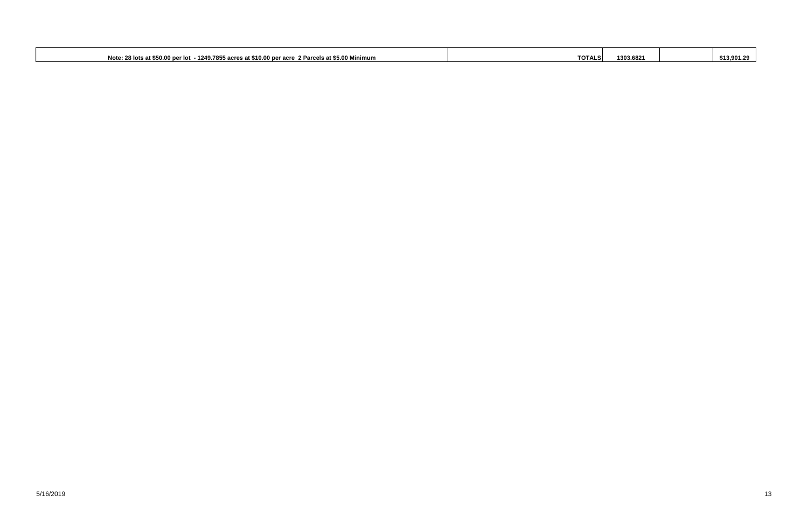| $\sim$ $\sim$ $\sim$<br>t \$50.00 per lot<br>$\ldots$ - 1249.7855 acres at \$10.00<br>2 Parcels at \$5.00 Minimum<br><b>Note: 28</b><br>10.00 per acre<br>र lots at<br>$\sqrt{2}$ | <b>TOTALS</b> | 1303.6821 | \$13,901.29 |
|-----------------------------------------------------------------------------------------------------------------------------------------------------------------------------------|---------------|-----------|-------------|
|                                                                                                                                                                                   |               |           |             |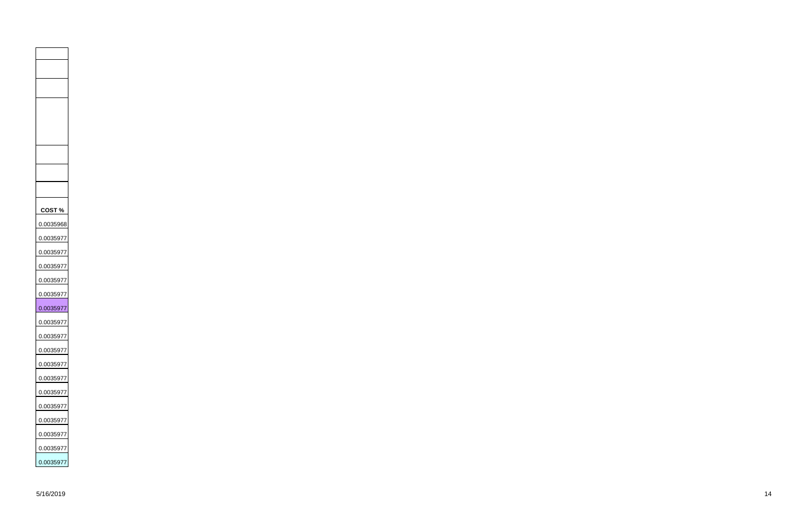**COST %** 0.0035968 0.0035977 0.0035977 0.0035977 0.0035977 0.0035977 0.0035977 0.0035977 0.0035977 0.0035977 0.0035977 0.0035977 0.0035977 0.0035977 0.0035977 0.0035977 0.0035977 0.0035977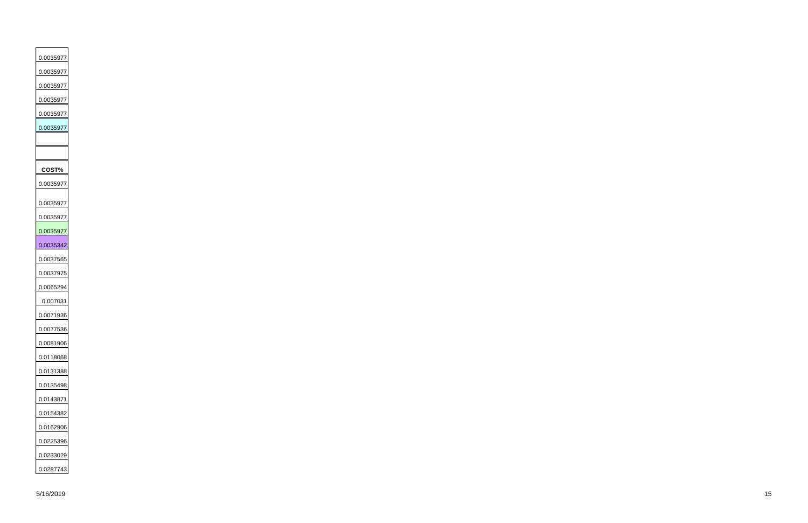0.0035977 0.0035977 0.0035977 0.0035977 0.0035977 0.0035977 **COST%** 0.0035977 0.0035977 0.0035977 0.0035977 0.0035342 0.0037565 0.0037975 0.0065294 0.007031 0.0071936 0.0077536 0.0081906 0.0118068 0.0131388 0.0135498 0.0143871 0.0154382 0.0162906 0.0225396 0.0233029 0.0287743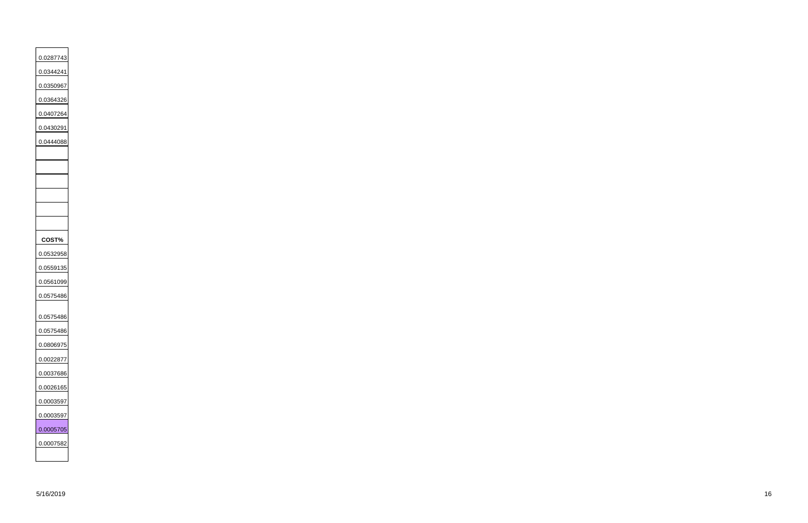0.0287743 0.0344241 0.0350967 0.0364326 0.0407264 0.0430291 0.0444088 **COST%** 0.0532958 0.0559135 0.0561099 0.0575486 0.0575486 0.0575486 0.0806975 0.0022877 0.0037686 0.0026165 0.0003597 0.0003597 0.0005705 0.0007582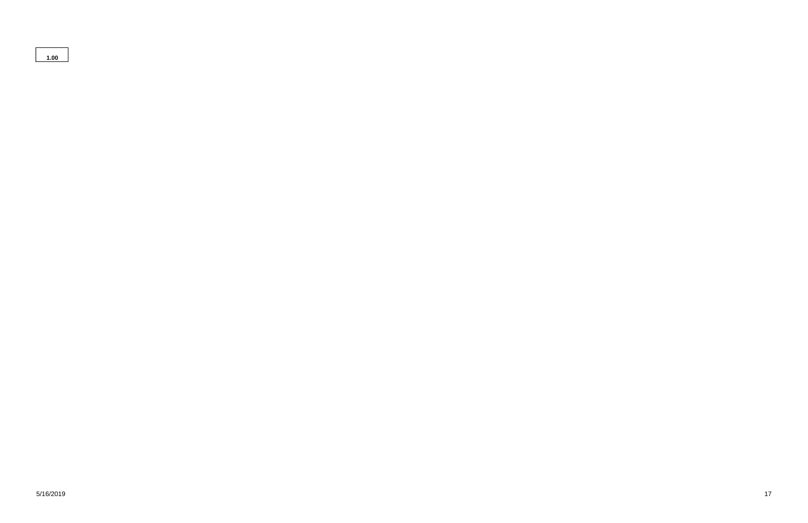**1.00**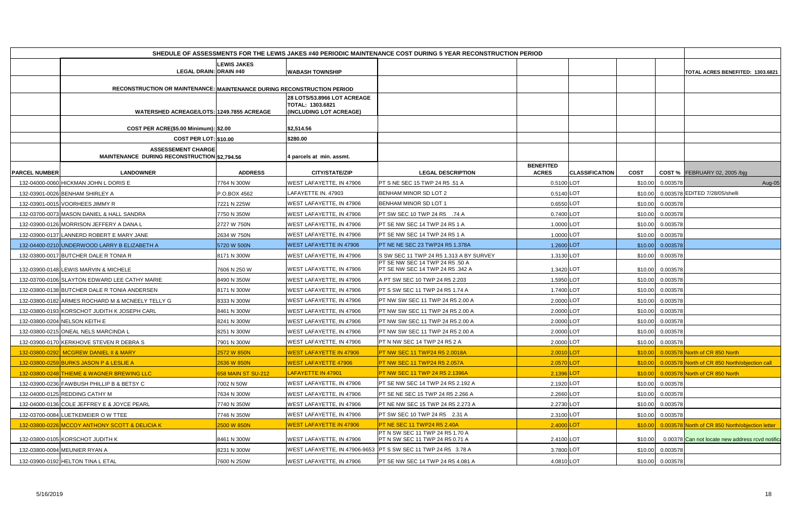|                      |                                                                           |                    |                                                                                          | SHEDULE OF ASSESSMENTS FOR THE LEWIS JAKES #40 PERIODIC MAINTENANCE COST DURING 5 YEAR RECONSTRUCTION PERIOD |                                  |                       |             |                   |                                                         |
|----------------------|---------------------------------------------------------------------------|--------------------|------------------------------------------------------------------------------------------|--------------------------------------------------------------------------------------------------------------|----------------------------------|-----------------------|-------------|-------------------|---------------------------------------------------------|
|                      |                                                                           | <b>LEWIS JAKES</b> |                                                                                          |                                                                                                              |                                  |                       |             |                   |                                                         |
|                      | <b>LEGAL DRAIN: DRAIN #40</b>                                             |                    | <b>WABASH TOWNSHIP</b>                                                                   |                                                                                                              |                                  |                       |             |                   | TOTAL ACRES BENEFITED: 1303.6821                        |
|                      | RECONSTRUCTION OR MAINTENANCE: MAINTENANCE DURING RECONSTRUCTION PERIOD   |                    |                                                                                          |                                                                                                              |                                  |                       |             |                   |                                                         |
|                      | WATERSHED ACREAGE/LOTS: 1249.7855 ACREAGE                                 |                    | <b>28 LOTS/53.8966 LOT ACREAGE</b><br>TOTAL: 1303.6821<br><b>(INCLUDING LOT ACREAGE)</b> |                                                                                                              |                                  |                       |             |                   |                                                         |
|                      | COST PER ACRE(\$5.00 Minimum): \$2.00                                     |                    | \$2,514.56                                                                               |                                                                                                              |                                  |                       |             |                   |                                                         |
|                      | <b>COST PER LOT: \$10.00</b>                                              |                    | \$280.00                                                                                 |                                                                                                              |                                  |                       |             |                   |                                                         |
|                      | <b>ASSESSEMENT CHARGE</b><br>MAINTENANCE DURING RECONSTRUCTION \$2,794.56 |                    | 4 parcels at min. assmt.                                                                 |                                                                                                              |                                  |                       |             |                   |                                                         |
| <b>PARCEL NUMBER</b> | <b>LANDOWNER</b>                                                          | <b>ADDRESS</b>     | <b>CITY/STATE/ZIP</b>                                                                    | <b>LEGAL DESCRIPTION</b>                                                                                     | <b>BENEFITED</b><br><b>ACRES</b> | <b>CLASSIFICATION</b> | <b>COST</b> |                   | <b>COST % FEBRUARY 02, 2005 /bjg</b>                    |
|                      | 132-04000-0060 HICKMAN JOHN L DORIS E                                     | 7764 N 300W        | WEST LAFAYETTE. IN 47906                                                                 | PT S NE SEC 15 TWP 24 R5 .51 A                                                                               | 0.5100 LOT                       |                       | \$10.00     | 0.003578          | Aug-05                                                  |
|                      | 132-03901-0026 BENHAM SHIRLEY A                                           | P.O.BOX 4562       | LAFAYETTE IN. 47903                                                                      | <b>BENHAM MINOR SD LOT 2</b>                                                                                 | 0.5140 LOT                       |                       | \$10.00     |                   | 0.003578 EDITED 7/28/05/shelli                          |
|                      | 132-03901-0015 VOORHEES JIMMY R                                           | 7221 N 225W        | WEST LAFAYETTE, IN 47906                                                                 | <b>BENHAM MINOR SD LOT 1</b>                                                                                 | 0.6550 LOT                       |                       | \$10.00     | 0.003578          |                                                         |
|                      | 132-03700-0073 MASON DANIEL & HALL SANDRA                                 | 7750 N 350W        | <b>WEST LAFAYETTE, IN 47906</b>                                                          | PT SW SEC 10 TWP 24 R5 .74 A                                                                                 | 0.7400 LOT                       |                       | \$10.00     | 0.003578          |                                                         |
|                      | 132-03900-0126 MORRISON JEFFERY A DANA L                                  | 2727 W 750N        | WEST LAFAYETTE, IN 47906                                                                 | PT SE NW SEC 14 TWP 24 R5 1 A                                                                                | 1.0000 LOT                       |                       | \$10.00     | 0.003578          |                                                         |
|                      | 132-03900-0137 LANNERD ROBERT E MARY JANE                                 | 2634 W 750N        | WEST LAFAYETTE, IN 47906                                                                 | PT SE NW SEC 14 TWP 24 R5 1 A                                                                                | 1.0000 LOT                       |                       | \$10.00     | 0.003578          |                                                         |
|                      | 132-04400-0210 UNDERWOOD LARRY B ELIZABETH A                              | 5720 W 500N        | <b>WEST LAFAYETTE IN 47906</b>                                                           | PT NE NE SEC 23 TWP24 R5 1.378A                                                                              | 1.2600 LOT                       |                       | \$10.00     | 0.003578          |                                                         |
|                      | 132-03800-0017 BUTCHER DALE R TONIA R                                     | 8171 N 300W        | WEST LAFAYETTE, IN 47906                                                                 | S SW SEC 11 TWP 24 R5 1.313 A BY SURVEY                                                                      | 1.3130 LOT                       |                       | \$10.00     | 0.003578          |                                                         |
|                      | 132-03900-0148 LEWIS MARVIN & MICHELE                                     | 7606 N 250 W       | WEST LAFAYETTE, IN 47906                                                                 | PT SE NW SEC 14 TWP 24 R5 .50 A<br>PT SE NW SEC 14 TWP 24 R5 .342 A                                          | 1.3420 LOT                       |                       | \$10.00     | 0.003578          |                                                         |
|                      | 132-03700-0106 SLAYTON EDWARD LEE CATHY MARIE                             | 8490 N 350W        | WEST LAFAYETTE, IN 47906                                                                 | A PT SW SEC 10 TWP 24 R5 2.203                                                                               | 1.5950 LOT                       |                       | \$10.00     | 0.003578          |                                                         |
|                      | 132-03800-0138 BUTCHER DALE R TONIA ANDERSEN                              | 8171 N 300W        | WEST LAFAYETTE, IN 47906                                                                 | PT S SW SEC 11 TWP 24 R5 1.74 A                                                                              | 1.7400 LOT                       |                       | \$10.00     | 0.003578          |                                                         |
|                      | 132-03800-0182 ARMES ROCHARD M & MCNEELY TELLY G                          | 8333 N 300W        | WEST LAFAYETTE, IN 47906                                                                 | PT NW SW SEC 11 TWP 24 R5 2.00 A                                                                             | 2.0000 LOT                       |                       | \$10.00     | 0.003578          |                                                         |
|                      | 132-03800-0193 KORSCHOT JUDITH K JOSEPH CARL                              | 8461 N 300W        | WEST LAFAYETTE, IN 47906                                                                 | PT NW SW SEC 11 TWP 24 R5 2.00 A                                                                             | 2.0000 LOT                       |                       | \$10.00     | 0.003578          |                                                         |
|                      | 132-03800-0204 NELSON KEITH E                                             | 8241 N 300W        | WEST LAFAYETTE, IN 47906                                                                 | PT NW SW SEC 11 TWP 24 R5 2.00 A                                                                             | 2.0000 LOT                       |                       | \$10.00     | 0.003578          |                                                         |
|                      | 132-03800-0215 ONEAL NELS MARCINDA L                                      | 8251 N 300W        | WEST LAFAYETTE, IN 47906                                                                 | PT NW SW SEC 11 TWP 24 R5 2.00 A                                                                             | 2.0000 LOT                       |                       | \$10.00     | 0.003578          |                                                         |
|                      | 132-03900-0170 KERKHOVE STEVEN R DEBRA S                                  | 7901 N 300W        | WEST LAFAYETTE, IN 47906                                                                 | PT N NW SEC 14 TWP 24 R5 2 A                                                                                 | 2.0000 LOT                       |                       |             | \$10.00  0.003578 |                                                         |
|                      | 132-03800-0292 MCGREW DANIEL II & MARY                                    | 2572 W 850N        | <b>WEST LAFAYETTE IN 47906</b>                                                           | PT NW SEC 11 TWP24 R5 2.0018A                                                                                | 2.0010 LOT                       |                       |             |                   | \$10.00 0.003578 North of CR 850 North                  |
|                      | 132-03800-0259 BURKS JASON P & LESLIE A                                   | 2636 W 850N        | WEST LAFAYETTE 47906                                                                     | <b>PT NW SEC 11 TWP24 R5 2.057A</b>                                                                          | 2.0570 LOT                       |                       |             |                   | \$10.00 0.003578 North of CR 850 North/objection call   |
|                      | 132-03800-0248 THIEME & WAGNER BREWING LLC                                | 658 MAIN ST SU-212 | LAFAYETTE IN 47901                                                                       | PT NW SEC 11 TWP 24 R5 2.1396A                                                                               | $2.1396$ LOT                     |                       |             |                   | $$10.00$ 0.003578 North of CR 850 North                 |
|                      | 132-03900-0236 FAWBUSH PHILLIP B & BETSY C                                | 7002 N 50W         | WEST LAFAYETTE, IN 47906                                                                 | PT SE NW SEC 14 TWP 24 R5 2.192 A                                                                            | 2.1920 LOT                       |                       |             | \$10.00  0.003578 |                                                         |
|                      | 132-04000-0125 REDDING CATHY M                                            | 7634 N 300W        | WEST LAFAYETTE, IN 47906                                                                 | PT SE NE SEC 15 TWP 24 R5 2.266 A                                                                            | 2.2660 LOT                       |                       | \$10.00     | 0.003578          |                                                         |
|                      | 132-04000-0136 COLE JEFFREY E & JOYCE PEARL                               | 7740 N 350W        | WEST LAFAYETTE, IN 47906                                                                 | PT NE NW SEC 15 TWP 24 R5 2.273 A                                                                            | 2.2730 LOT                       |                       | \$10.00     | 0.003578          |                                                         |
|                      | 132-03700-0084 LUETKEMEIER OW TTEE                                        | 7746 N 350W        | WEST LAFAYETTE, IN 47906                                                                 | PT SW SEC 10 TWP 24 R5 2.31 A                                                                                | 2.3100 LOT                       |                       |             | \$10.00  0.003578 |                                                         |
|                      | 132-03800-0226 MCCOY ANTHONY SCOTT & DELICIA K                            | 2500 W 850N        | <b>WEST LAFAYETTE IN 47906</b>                                                           | <b>PT NE SEC 11 TWP24 R5 2.40A</b>                                                                           | 2.4000 LOT                       |                       |             |                   | \$10.00 0.003578 North of CR 850 North/objection letter |
|                      | 132-03800-0105 KORSCHOT JUDITH K                                          | 8461 N 300W        | WEST LAFAYETTE, IN 47906                                                                 | PT N SW SEC 11 TWP 24 R5 1.70 A<br>PT N SW SEC 11 TWP 24 R5 0.71 A                                           | 2.4100 LOT                       |                       | \$10.00     |                   | 0.00378 Can not locate new address rcvd notifica        |
|                      | 132-03800-0094 MEUNIER RYAN A                                             | 8231 N 300W        | WEST LAFAYETTE, IN 47906-9653                                                            | <b>PT S SW SEC 11 TWP 24 R5 3.78 A</b>                                                                       | 3.7800 LOT                       |                       | \$10.00     | 0.003578          |                                                         |
|                      | 132-03900-0192 HELTON TINA L ETAL                                         | 7600 N 250W        | <b>WEST LAFAYETTE, IN 47906</b>                                                          | PT SE NW SEC 14 TWP 24 R5 4.081 A                                                                            | 4.0810 LOT                       |                       |             | \$10.00 0.003578  |                                                         |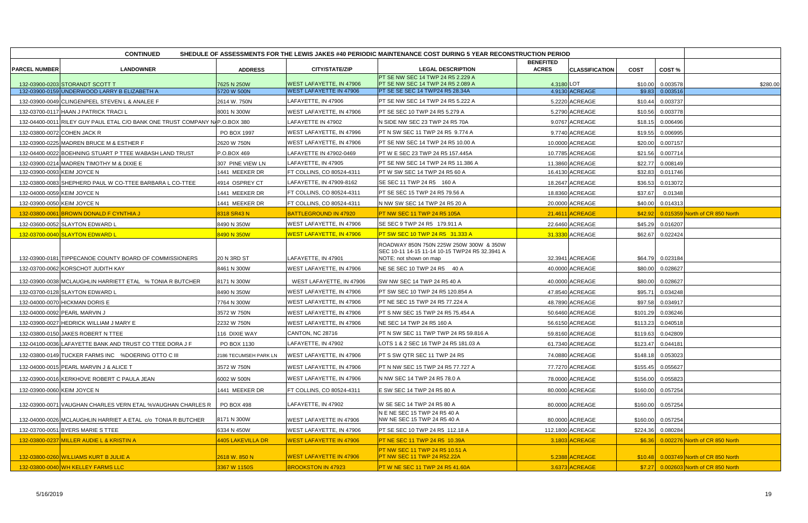|                             | <b>CONTINUED</b><br>SHEDULE OF ASSESSMENTS FOR THE LEWIS JAKES #40 PERIODIC MAINTENANCE COST DURING 5 YEAR RECONSTRUCTION PERIOD |                       |                                 |                                                                          |                                  |                       |             |                   |                                        |  |
|-----------------------------|----------------------------------------------------------------------------------------------------------------------------------|-----------------------|---------------------------------|--------------------------------------------------------------------------|----------------------------------|-----------------------|-------------|-------------------|----------------------------------------|--|
|                             | <b>LANDOWNER</b>                                                                                                                 |                       | <b>CITY/STATE/ZIP</b>           |                                                                          | <b>BENEFITED</b><br><b>ACRES</b> | <b>CLASSIFICATION</b> |             |                   |                                        |  |
| <b>PARCEL NUMBER</b>        |                                                                                                                                  | <b>ADDRESS</b>        |                                 | <b>LEGAL DESCRIPTION</b><br>PT SE NW SEC 14 TWP 24 R5 2.229 A            |                                  |                       | <b>COST</b> | COST%             |                                        |  |
|                             | 132-03900-0203 STORANDT SCOTT T                                                                                                  | 7625 N 250W           | <b>WEST LAFAYETTE, IN 47906</b> | PT SE NW SEC 14 TWP 24 R5 2.089 A                                        | 4.3180 LOT                       |                       | \$10.00     | 0.003578          | \$280.00                               |  |
|                             | 132-03900-0159 UNDERWOOD LARRY B ELIZABETH A                                                                                     | 5720 W 500N           | <b>WEST LAFAYETTE IN 47906</b>  | PT SE SE SEC 14 TWP24 R5 28.34A                                          |                                  | 4.9130 ACREAGE        | \$9.83      | 0.003516          |                                        |  |
|                             | 132-03900-0049 CLINGENPEEL STEVEN L & ANALEE F                                                                                   | 2614 W. 750N          | LAFAYETTE, IN 47906             | PT SE NW SEC 14 TWP 24 R5 5.222 A                                        |                                  | 5.2220 ACREAGE        | \$10.44     | 0.003737          |                                        |  |
|                             | 132-03700-0117 HAAN J PATRICK TRACI L                                                                                            | 8001 N 300W           | WEST LAFAYETTE, IN 47906        | PT SE SEC 10 TWP 24 R5 5.279 A                                           |                                  | 5.2790 ACREAGE        | \$10.56     | 0.003778          |                                        |  |
|                             | 132-04400-0011 RILEY GUY PAUL ETAL C/O BANK ONE TRUST COMPANY NAP.O.BOX 380                                                      |                       | LAFAYETTE IN 47902              | N SIDE NW SEC 23 TWP 24 R5 70A                                           |                                  | 9.0767 ACREAGE        | \$18.15     | 0.006496          |                                        |  |
|                             | 132-03800-0072 COHEN JACK R                                                                                                      | PO BOX 1997           | WEST LAFAYETTE, IN 47996        | PT N SW SEC 11 TWP 24 R5 9.774 A                                         |                                  | 9.7740 ACREAGE        | \$19.55     | 0.006995          |                                        |  |
|                             | 132-03900-0225 MADREN BRUCE M & ESTHER F                                                                                         | 2620 W 750N           | WEST LAFAYETTE, IN 47906        | PT SE NW SEC 14 TWP 24 R5 10.00 A                                        |                                  | 10.0000 ACREAGE       | \$20.00     | 0.007157          |                                        |  |
|                             | 132-04400-0022 BOEHNING STUART P TTEE WABASH LAND TRUST                                                                          | P.O.BOX 469           | LAFAYETTE IN 47902-0469         | PT W E SEC 23 TWP 24 R5 157.445A                                         |                                  | 10.7785 ACREAGE       | \$21.56     | 0.007714          |                                        |  |
|                             | 132-03900-0214 MADREN TIMOTHY M & DIXIE E                                                                                        | 307 PINE VIEW LN      | LAFAYETTE, IN 47905             | PT SE NW SEC 14 TWP 24 R5 11.386 A                                       |                                  | 11.3860 ACREAGE       | \$22.77     | 0.008149          |                                        |  |
| 132-03900-0093 KEIM JOYCE N |                                                                                                                                  | 1441 MEEKER DR        | FT COLLINS, CO 80524-4311       | PT W SW SEC 14 TWP 24 R5 60 A                                            |                                  | 16.4130 ACREAGE       | \$32.83     | 0.011746          |                                        |  |
|                             | 132-03800-0083 SHEPHERD PAUL W CO-TTEE BARBARA L CO-TTEE                                                                         | 4914 OSPREY CT        | LAFAYETTE, IN 47909-8162        | SE SEC 11 TWP 24 R5 160 A                                                |                                  | 18.2647 ACREAGE       | \$36.53     | 0.013072          |                                        |  |
| 132-04000-0059 KEIM JOYCE N |                                                                                                                                  | 1441 MEEKER DR        | FT COLLINS, CO 80524-4311       | PT SE SEC 15 TWP 24 R5 79.56 A                                           |                                  | 18.8360 ACREAGE       | \$37.67     | 0.01348           |                                        |  |
| 132-03900-0050 KEIM JOYCE N |                                                                                                                                  | 1441 MEEKER DR        | FT COLLINS, CO 80524-4311       | N NW SW SEC 14 TWP 24 R5 20 A                                            |                                  | 20.0000 ACREAGE       | \$40.00     | 0.014313          |                                        |  |
|                             | 132-03800-0061 BROWN DONALD F CYNTHIA J                                                                                          | 8318 SR43 N           | <b>BATTLEGROUND IN 47920</b>    | PT NW SEC 11 TWP 24 R5 105A                                              |                                  | 21.4611 ACREAGE       | \$42.92     |                   | 0.015359 North of CR 850 North         |  |
|                             | 132-03600-0052 SLAYTON EDWARD L                                                                                                  | 8490 N 350W           | WEST LAFAYETTE, IN 47906        | SE SEC 9 TWP 24 R5 179.911 A                                             |                                  | 22.6460 ACREAGE       | \$45.29     | 0.016207          |                                        |  |
|                             | 132-03700-0040 SLAYTON EDWARD L                                                                                                  | 8490 N 350W           | <b>WEST LAFAYETTE, IN 47906</b> | PT SW SEC 10 TWP 24 R5 31.333 A                                          |                                  | 31.3330 ACREAGE       | \$62.67     | 0.022424          |                                        |  |
|                             |                                                                                                                                  |                       |                                 | ROADWAY 850N 750N 225W 250W 300W & 350W                                  |                                  |                       |             |                   |                                        |  |
|                             | 132-03900-0181 TIPPECANOE COUNTY BOARD OF COMMISSIONERS                                                                          | 20 N 3RD ST           | LAFAYETTE, IN 47901             | SEC 10-11 14-15 11-14 10-15 TWP24 R5 32.3941 A<br>NOTE: not shown on map |                                  | 32.3941 ACREAGE       |             | \$64.79  0.023184 |                                        |  |
|                             | 132-03700-0062 KORSCHOT JUDITH KAY                                                                                               | 8461 N 300W           | WEST LAFAYETTE, IN 47906        | NE SE SEC 10 TWP 24 R5 40 A                                              |                                  | 40.0000 ACREAGE       | \$80.00     | 0.028627          |                                        |  |
|                             |                                                                                                                                  |                       |                                 |                                                                          |                                  |                       |             |                   |                                        |  |
|                             | 132-03900-0038 MCLAUGHLIN HARRIETT ETAL % TONIA R BUTCHER                                                                        | 8171 N 300W           | WEST LAFAYETTE, IN 47906        | SW NW SEC 14 TWP 24 R5 40 A                                              |                                  | 40.0000 ACREAGE       | \$80.00     | 0.028627          |                                        |  |
|                             | 132-03700-0128 SLAYTON EDWARD L                                                                                                  | 8490 N 350W           | WEST LAFAYETTE, IN 47906        | PT SW SEC 10 TWP 24 R5 120.854 A                                         |                                  | 47.8540 ACREAGE       | \$95.71     | 0.034248          |                                        |  |
|                             | 132-04000-0070 HICKMAN DORIS E                                                                                                   | 7764 N 300W           | WEST LAFAYETTE, IN 47906        | PT NE SEC 15 TWP 24 R5 77.224 A                                          |                                  | 48.7890 ACREAGE       | \$97.58     | 0.034917          |                                        |  |
|                             | 132-04000-0092 PEARL MARVIN J                                                                                                    | 3572 W 750N           | WEST LAFAYETTE, IN 47906        | PT S NW SEC 15 TWP 24 R5 75.454 A                                        |                                  | 50.6460 ACREAGE       | \$101.29    | 0.036246          |                                        |  |
|                             | 132-03900-0027 HEDRICK WILLIAM J MARY E                                                                                          | 2232 W 750N           | WEST LAFAYETTE, IN 47906        | NE SEC 14 TWP 24 R5 160 A                                                |                                  | 56.6150 ACREAGE       | \$113.23    | 0.040518          |                                        |  |
|                             | 132-03800-0150 JAKES ROBERT N TTEE                                                                                               | 116 DIXIE WAY         | CANTON, NC 28716                | PT N SW SEC 11 TWP TWP 24 R5 59.816 A                                    |                                  | 59.8160 ACREAGE       | \$119.63    | 0.042809          |                                        |  |
|                             | 132-04100-0036 LAFAYETTE BANK AND TRUST CO TTEE DORA J F                                                                         | PO BOX 1130           | LAFAYETTE, IN 47902             | LOTS 1 & 2 SEC 16 TWP 24 R5 181.03 A                                     |                                  | 61.7340 ACREAGE       |             | \$123.47 0.044181 |                                        |  |
|                             | 132-03800-0149 TUCKER FARMS INC %DOERING OTTO C III                                                                              | 2186 TECUMSEH PARK LN | WEST LAFAYETTE, IN 47906        | PT S SW QTR SEC 11 TWP 24 R5                                             |                                  | 74.0880 ACREAGE       |             | \$148.18 0.053023 |                                        |  |
|                             | 132-04000-0015 PEARL MARVIN J & ALICE T                                                                                          | 3572 W 750N           | WEST LAFAYETTE, IN 47906        | PT N NW SEC 15 TWP 24 R5 77.727 A                                        |                                  | 77.7270 ACREAGE       | \$155.45    | 0.055627          |                                        |  |
|                             | 132-03900-0016 KERKHOVE ROBERT C PAULA JEAN                                                                                      | 6002 W 500N           | WEST LAFAYETTE, IN 47906        | N NW SEC 14 TWP 24 R5 78.0 A                                             |                                  | 78.0000 ACREAGE       | \$156.00    | 0.055823          |                                        |  |
| 132-03900-0060 KEIM JOYCE N |                                                                                                                                  | 1441 MEEKER DR        | FT COLLINS, CO 80524-4311       | E SW SEC 14 TWP 24 R5 80 A                                               |                                  | 80.0000 ACREAGE       | \$160.00    | 0.057254          |                                        |  |
|                             | 132-03900-0071 VAUGHAN CHARLES VERN ETAL %VAUGHAN CHARLES R                                                                      | PO BOX 498            | LAFAYETTE, IN 47902             | W SE SEC 14 TWP 24 R5 80 A                                               |                                  | 80.0000 ACREAGE       | \$160.00    | 0.057254          |                                        |  |
|                             |                                                                                                                                  |                       |                                 | N E NE SEC 15 TWP 24 R5 40 A                                             |                                  |                       |             |                   |                                        |  |
|                             | 132-04000-0026 MCLAUGHLIN HARRIET A ETAL C/O TONIA R BUTCHER                                                                     | 8171 N 300W           | WEST LAFAYETTE IN 47906         | NW NE SEC 15 TWP 24 R5 40 A                                              |                                  | 80.0000 ACREAGE       | \$160.00    | 0.057254          |                                        |  |
|                             | 132-03700-0051 BYERS MARIE S TTEE                                                                                                | 6334 N 450W           | WEST LAFAYETTE, IN 47906        | PT SE SEC 10 TWP 24 R5 112.18 A                                          |                                  | 112.1800 ACREAGE      |             | \$224.36 0.080284 |                                        |  |
|                             | 132-03800-0237 MILLER AUDIE L & KRISTIN A                                                                                        | 4405 LAKEVILLA DR     | <b>WEST LAFAYETTE IN 47906</b>  | PT NE SEC 11 TWP 24 R5 10.39A                                            |                                  | 3.1803 ACREAGE        | \$6.36      |                   | 0.002276 North of CR 850 North         |  |
|                             | 132-03800-0260 WILLIAMS KURT B JULIE A                                                                                           | 2618 W. 850 N         | <b>WEST LAFAYETTE IN 47906</b>  | PT NW SEC 11 TWP 24 R5 10.51 A<br>PT NW SEC 11 TWP 24 R52.22A            |                                  | 5.2388 ACREAGE        |             |                   | \$10.48 0.003749 North of CR 850 North |  |
|                             | 132-03800-0040 WH KELLEY FARMS LLC                                                                                               | 3367 W 1150S          | <b>BROOKSTON IN 47923</b>       | PT W NE SEC 11 TWP 24 R5 41.60A                                          |                                  | 3.6373 ACREAGE        |             |                   | \$7.27 0.002603 North of CR 850 North  |  |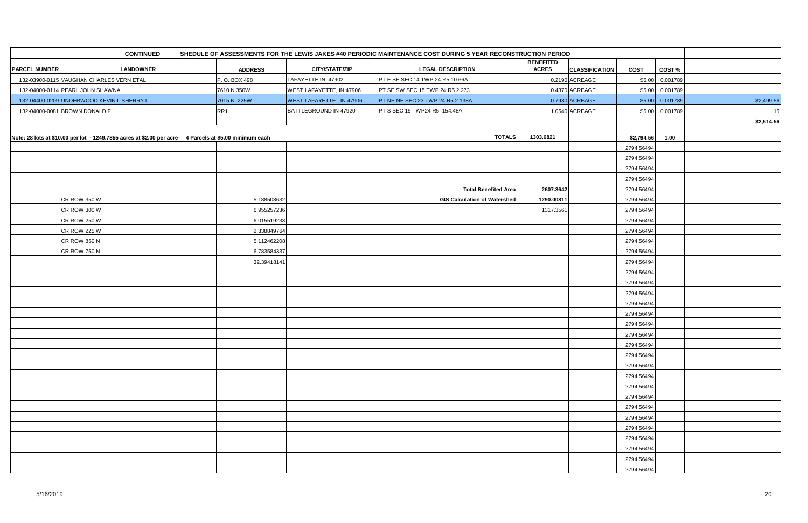|                      | <b>CONTINUED</b>                                                                                        |                            |                                 | SHEDULE OF ASSESSMENTS FOR THE LEWIS JAKES #40 PERIODIC MAINTENANCE COST DURING 5 YEAR RECONSTRUCTION PERIOD |                                  |                       |                          |          |            |
|----------------------|---------------------------------------------------------------------------------------------------------|----------------------------|---------------------------------|--------------------------------------------------------------------------------------------------------------|----------------------------------|-----------------------|--------------------------|----------|------------|
| <b>PARCEL NUMBER</b> | <b>LANDOWNER</b>                                                                                        | <b>ADDRESS</b>             | <b>CITY/STATE/ZIP</b>           | <b>LEGAL DESCRIPTION</b>                                                                                     | <b>BENEFITED</b><br><b>ACRES</b> | <b>CLASSIFICATION</b> | <b>COST</b>              | COST%    |            |
|                      | 132-03900-0115 VAUGHAN CHARLES VERN ETAL                                                                | P. O. BOX 498              | LAFAYETTE IN. 47902             | PT E SE SEC 14 TWP 24 R5 10.66A                                                                              |                                  | 0.2190 ACREAGE        | \$5.00                   | 0.001789 |            |
|                      | 132-04000-0114 PEARL JOHN SHAWNA                                                                        | 7610 N 350W                | WEST LAFAYETTE, IN 47906        | PT SE SW SEC 15 TWP 24 R5 2.273                                                                              |                                  | 0.4370 ACREAGE        | \$5.00                   | 0.001789 |            |
|                      | 132-04400-0209 UNDERWOOD KEVIN L SHERRY L                                                               | 7015 N. 225W               | <b>WEST LAFAYETTE, IN 47906</b> | PT NE NE SEC 23 TWP 24 R5 2.138A                                                                             |                                  | 0.7930 ACREAGE        | \$5.00                   | 0.001789 | \$2,499.56 |
|                      | 132-04000-0081 BROWN DONALD F                                                                           | RR <sub>1</sub>            | BATTLEGROUND IN 47920           | PT S SEC 15 TWP24 R5 154.48A                                                                                 |                                  | 1.0540 ACREAGE        | \$5.00                   | 0.001789 | 15         |
|                      |                                                                                                         |                            |                                 |                                                                                                              |                                  |                       |                          |          | \$2,514.56 |
|                      |                                                                                                         |                            |                                 |                                                                                                              |                                  |                       |                          |          |            |
|                      | Note: 28 lots at \$10.00 per lot - 1249.7855 acres at \$2.00 per acre- 4 Parcels at \$5.00 minimum each |                            |                                 | <b>TOTALS</b>                                                                                                | 1303.6821                        |                       | \$2,794.56               | 1.00     |            |
|                      |                                                                                                         |                            |                                 |                                                                                                              |                                  |                       | 2794.56494               |          |            |
|                      |                                                                                                         |                            |                                 |                                                                                                              |                                  |                       | 2794.56494               |          |            |
|                      |                                                                                                         |                            |                                 |                                                                                                              |                                  |                       | 2794.56494               |          |            |
|                      |                                                                                                         |                            |                                 |                                                                                                              |                                  |                       | 2794.56494               |          |            |
|                      |                                                                                                         | 5.188508632                |                                 | <b>Total Benefited Area</b><br><b>GIS Calculation of Watershed</b>                                           | 2607.3642<br>1290.00811          |                       | 2794.56494<br>2794.56494 |          |            |
|                      | <b>CR ROW 350 W</b><br><b>CR ROW 300 W</b>                                                              | 6.955257236                |                                 |                                                                                                              |                                  |                       | 2794.56494               |          |            |
|                      | <b>CR ROW 250 W</b>                                                                                     |                            |                                 |                                                                                                              | 1317.3561                        |                       | 2794.56494               |          |            |
|                      | <b>CR ROW 225 W</b>                                                                                     | 6.015519233<br>2.338849764 |                                 |                                                                                                              |                                  |                       | 2794.56494               |          |            |
|                      | <b>CR ROW 850 N</b>                                                                                     | 5.112462208                |                                 |                                                                                                              |                                  |                       | 2794.56494               |          |            |
|                      | <b>CR ROW 750 N</b>                                                                                     | 6.783584337                |                                 |                                                                                                              |                                  |                       | 2794.56494               |          |            |
|                      |                                                                                                         | 32.39418141                |                                 |                                                                                                              |                                  |                       | 2794.56494               |          |            |
|                      |                                                                                                         |                            |                                 |                                                                                                              |                                  |                       | 2794.56494               |          |            |
|                      |                                                                                                         |                            |                                 |                                                                                                              |                                  |                       | 2794.56494               |          |            |
|                      |                                                                                                         |                            |                                 |                                                                                                              |                                  |                       | 2794.56494               |          |            |
|                      |                                                                                                         |                            |                                 |                                                                                                              |                                  |                       | 2794.56494               |          |            |
|                      |                                                                                                         |                            |                                 |                                                                                                              |                                  |                       | 2794.56494               |          |            |
|                      |                                                                                                         |                            |                                 |                                                                                                              |                                  |                       | 2794.56494               |          |            |
|                      |                                                                                                         |                            |                                 |                                                                                                              |                                  |                       | 2794.56494               |          |            |
|                      |                                                                                                         |                            |                                 |                                                                                                              |                                  |                       | 2794.56494               |          |            |
|                      |                                                                                                         |                            |                                 |                                                                                                              |                                  |                       | 2794.56494               |          |            |
|                      |                                                                                                         |                            |                                 |                                                                                                              |                                  |                       | 2794.56494               |          |            |
|                      |                                                                                                         |                            |                                 |                                                                                                              |                                  |                       | 2794.56494               |          |            |
|                      |                                                                                                         |                            |                                 |                                                                                                              |                                  |                       | 2794.56494               |          |            |
|                      |                                                                                                         |                            |                                 |                                                                                                              |                                  |                       | 2794.56494               |          |            |
|                      |                                                                                                         |                            |                                 |                                                                                                              |                                  |                       | 2794.56494               |          |            |
|                      |                                                                                                         |                            |                                 |                                                                                                              |                                  |                       | 2794.56494               |          |            |
|                      |                                                                                                         |                            |                                 |                                                                                                              |                                  |                       | 2794.56494               |          |            |
|                      |                                                                                                         |                            |                                 |                                                                                                              |                                  |                       | 2794.56494               |          |            |
|                      |                                                                                                         |                            |                                 |                                                                                                              |                                  |                       | 2794.56494               |          |            |
|                      |                                                                                                         |                            |                                 |                                                                                                              |                                  |                       | 2794.56494               |          |            |
|                      |                                                                                                         |                            |                                 |                                                                                                              |                                  |                       | 2794.56494               |          |            |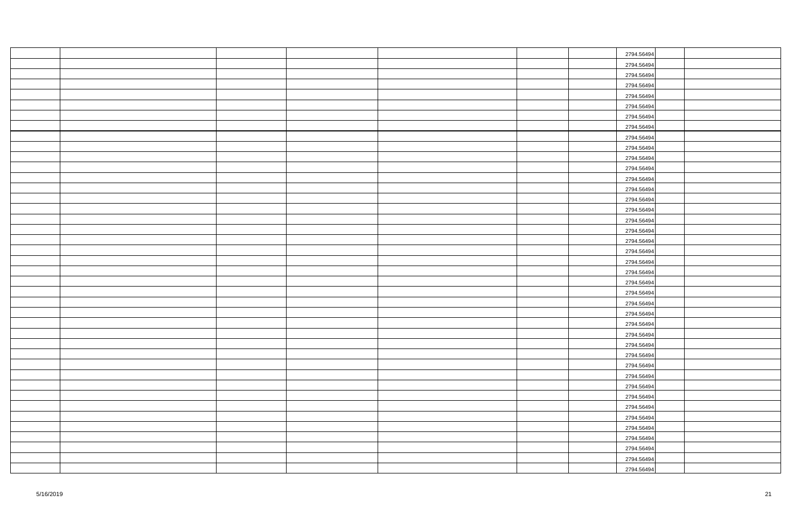|  |  |  | 2794.56494 |  |
|--|--|--|------------|--|
|  |  |  | 2794.56494 |  |
|  |  |  | 2794.56494 |  |
|  |  |  | 2794.56494 |  |
|  |  |  | 2794.56494 |  |
|  |  |  | 2794.56494 |  |
|  |  |  | 2794.56494 |  |
|  |  |  | 2794.56494 |  |
|  |  |  | 2794.56494 |  |
|  |  |  | 2794.56494 |  |
|  |  |  | 2794.56494 |  |
|  |  |  | 2794.56494 |  |
|  |  |  | 2794.56494 |  |
|  |  |  | 2794.56494 |  |
|  |  |  | 2794.56494 |  |
|  |  |  | 2794.56494 |  |
|  |  |  | 2794.56494 |  |
|  |  |  | 2794.56494 |  |
|  |  |  | 2794.56494 |  |
|  |  |  | 2794.56494 |  |
|  |  |  | 2794.56494 |  |
|  |  |  | 2794.56494 |  |
|  |  |  | 2794.56494 |  |
|  |  |  | 2794.56494 |  |
|  |  |  | 2794.56494 |  |
|  |  |  | 2794.56494 |  |
|  |  |  | 2794.56494 |  |
|  |  |  | 2794.56494 |  |
|  |  |  | 2794.56494 |  |
|  |  |  | 2794.56494 |  |
|  |  |  | 2794.56494 |  |
|  |  |  | 2794.56494 |  |
|  |  |  | 2794.56494 |  |
|  |  |  | 2794.56494 |  |
|  |  |  | 2794.56494 |  |
|  |  |  | 2794.56494 |  |
|  |  |  | 2794.56494 |  |
|  |  |  | 2794.56494 |  |
|  |  |  | 2794.56494 |  |
|  |  |  | 2794.56494 |  |
|  |  |  |            |  |
|  |  |  | 2794.56494 |  |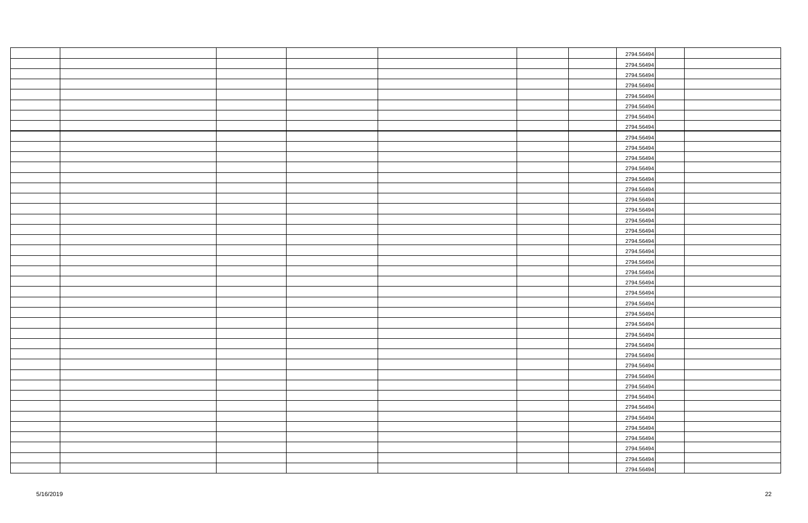|  |  |  | 2794.56494 |  |
|--|--|--|------------|--|
|  |  |  | 2794.56494 |  |
|  |  |  | 2794.56494 |  |
|  |  |  | 2794.56494 |  |
|  |  |  | 2794.56494 |  |
|  |  |  | 2794.56494 |  |
|  |  |  | 2794.56494 |  |
|  |  |  | 2794.56494 |  |
|  |  |  | 2794.56494 |  |
|  |  |  | 2794.56494 |  |
|  |  |  | 2794.56494 |  |
|  |  |  | 2794.56494 |  |
|  |  |  | 2794.56494 |  |
|  |  |  | 2794.56494 |  |
|  |  |  | 2794.56494 |  |
|  |  |  | 2794.56494 |  |
|  |  |  | 2794.56494 |  |
|  |  |  | 2794.56494 |  |
|  |  |  | 2794.56494 |  |
|  |  |  | 2794.56494 |  |
|  |  |  | 2794.56494 |  |
|  |  |  | 2794.56494 |  |
|  |  |  | 2794.56494 |  |
|  |  |  | 2794.56494 |  |
|  |  |  | 2794.56494 |  |
|  |  |  | 2794.56494 |  |
|  |  |  | 2794.56494 |  |
|  |  |  | 2794.56494 |  |
|  |  |  | 2794.56494 |  |
|  |  |  | 2794.56494 |  |
|  |  |  | 2794.56494 |  |
|  |  |  | 2794.56494 |  |
|  |  |  | 2794.56494 |  |
|  |  |  | 2794.56494 |  |
|  |  |  | 2794.56494 |  |
|  |  |  | 2794.56494 |  |
|  |  |  | 2794.56494 |  |
|  |  |  | 2794.56494 |  |
|  |  |  | 2794.56494 |  |
|  |  |  | 2794.56494 |  |
|  |  |  | 2794.56494 |  |
|  |  |  |            |  |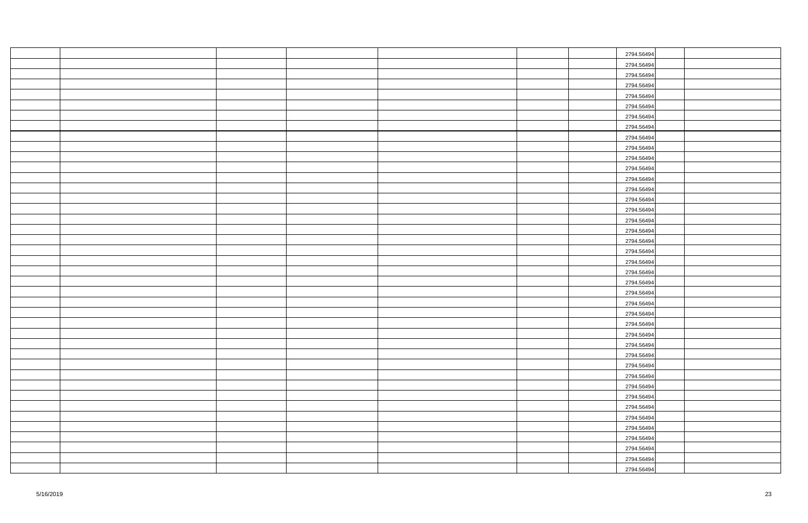|  |  |  | 2794.56494 |  |
|--|--|--|------------|--|
|  |  |  | 2794.56494 |  |
|  |  |  | 2794.56494 |  |
|  |  |  | 2794.56494 |  |
|  |  |  | 2794.56494 |  |
|  |  |  | 2794.56494 |  |
|  |  |  | 2794.56494 |  |
|  |  |  | 2794.56494 |  |
|  |  |  | 2794.56494 |  |
|  |  |  | 2794.56494 |  |
|  |  |  | 2794.56494 |  |
|  |  |  | 2794.56494 |  |
|  |  |  | 2794.56494 |  |
|  |  |  | 2794.56494 |  |
|  |  |  | 2794.56494 |  |
|  |  |  | 2794.56494 |  |
|  |  |  | 2794.56494 |  |
|  |  |  | 2794.56494 |  |
|  |  |  | 2794.56494 |  |
|  |  |  | 2794.56494 |  |
|  |  |  | 2794.56494 |  |
|  |  |  | 2794.56494 |  |
|  |  |  | 2794.56494 |  |
|  |  |  | 2794.56494 |  |
|  |  |  | 2794.56494 |  |
|  |  |  | 2794.56494 |  |
|  |  |  | 2794.56494 |  |
|  |  |  | 2794.56494 |  |
|  |  |  | 2794.56494 |  |
|  |  |  | 2794.56494 |  |
|  |  |  | 2794.56494 |  |
|  |  |  | 2794.56494 |  |
|  |  |  | 2794.56494 |  |
|  |  |  | 2794.56494 |  |
|  |  |  | 2794.56494 |  |
|  |  |  | 2794.56494 |  |
|  |  |  | 2794.56494 |  |
|  |  |  | 2794.56494 |  |
|  |  |  | 2794.56494 |  |
|  |  |  | 2794.56494 |  |
|  |  |  |            |  |
|  |  |  | 2794.56494 |  |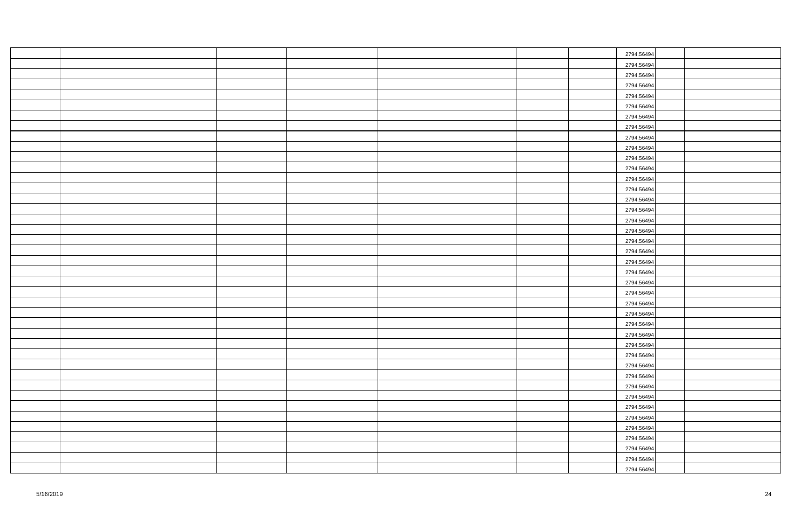|  |  |  | 2794.56494 |  |
|--|--|--|------------|--|
|  |  |  | 2794.56494 |  |
|  |  |  | 2794.56494 |  |
|  |  |  | 2794.56494 |  |
|  |  |  | 2794.56494 |  |
|  |  |  | 2794.56494 |  |
|  |  |  | 2794.56494 |  |
|  |  |  | 2794.56494 |  |
|  |  |  | 2794.56494 |  |
|  |  |  | 2794.56494 |  |
|  |  |  | 2794.56494 |  |
|  |  |  | 2794.56494 |  |
|  |  |  | 2794.56494 |  |
|  |  |  | 2794.56494 |  |
|  |  |  | 2794.56494 |  |
|  |  |  | 2794.56494 |  |
|  |  |  | 2794.56494 |  |
|  |  |  | 2794.56494 |  |
|  |  |  | 2794.56494 |  |
|  |  |  | 2794.56494 |  |
|  |  |  | 2794.56494 |  |
|  |  |  | 2794.56494 |  |
|  |  |  | 2794.56494 |  |
|  |  |  | 2794.56494 |  |
|  |  |  | 2794.56494 |  |
|  |  |  | 2794.56494 |  |
|  |  |  | 2794.56494 |  |
|  |  |  | 2794.56494 |  |
|  |  |  | 2794.56494 |  |
|  |  |  | 2794.56494 |  |
|  |  |  | 2794.56494 |  |
|  |  |  | 2794.56494 |  |
|  |  |  | 2794.56494 |  |
|  |  |  | 2794.56494 |  |
|  |  |  | 2794.56494 |  |
|  |  |  | 2794.56494 |  |
|  |  |  | 2794.56494 |  |
|  |  |  | 2794.56494 |  |
|  |  |  | 2794.56494 |  |
|  |  |  | 2794.56494 |  |
|  |  |  | 2794.56494 |  |
|  |  |  |            |  |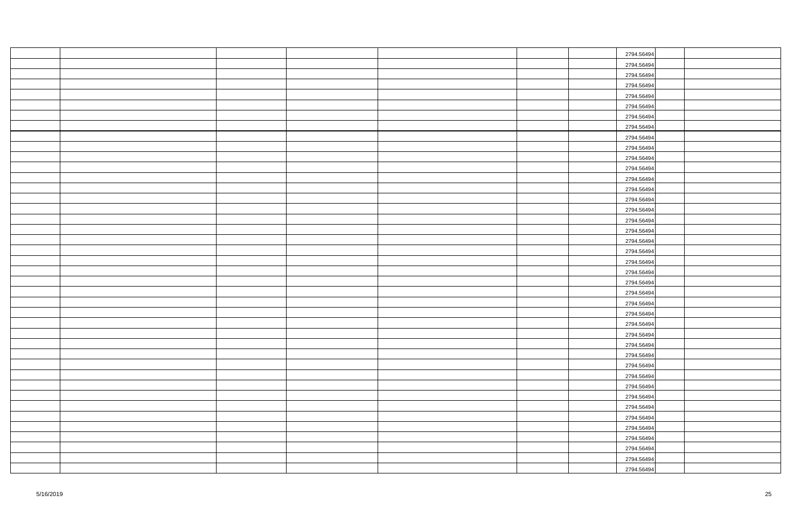|  |  |  | 2794.56494 |  |
|--|--|--|------------|--|
|  |  |  | 2794.56494 |  |
|  |  |  | 2794.56494 |  |
|  |  |  | 2794.56494 |  |
|  |  |  | 2794.56494 |  |
|  |  |  | 2794.56494 |  |
|  |  |  | 2794.56494 |  |
|  |  |  | 2794.56494 |  |
|  |  |  | 2794.56494 |  |
|  |  |  | 2794.56494 |  |
|  |  |  | 2794.56494 |  |
|  |  |  | 2794.56494 |  |
|  |  |  | 2794.56494 |  |
|  |  |  | 2794.56494 |  |
|  |  |  | 2794.56494 |  |
|  |  |  | 2794.56494 |  |
|  |  |  | 2794.56494 |  |
|  |  |  | 2794.56494 |  |
|  |  |  | 2794.56494 |  |
|  |  |  | 2794.56494 |  |
|  |  |  | 2794.56494 |  |
|  |  |  | 2794.56494 |  |
|  |  |  | 2794.56494 |  |
|  |  |  | 2794.56494 |  |
|  |  |  | 2794.56494 |  |
|  |  |  | 2794.56494 |  |
|  |  |  | 2794.56494 |  |
|  |  |  | 2794.56494 |  |
|  |  |  | 2794.56494 |  |
|  |  |  | 2794.56494 |  |
|  |  |  | 2794.56494 |  |
|  |  |  | 2794.56494 |  |
|  |  |  | 2794.56494 |  |
|  |  |  | 2794.56494 |  |
|  |  |  | 2794.56494 |  |
|  |  |  | 2794.56494 |  |
|  |  |  | 2794.56494 |  |
|  |  |  | 2794.56494 |  |
|  |  |  | 2794.56494 |  |
|  |  |  | 2794.56494 |  |
|  |  |  |            |  |
|  |  |  | 2794.56494 |  |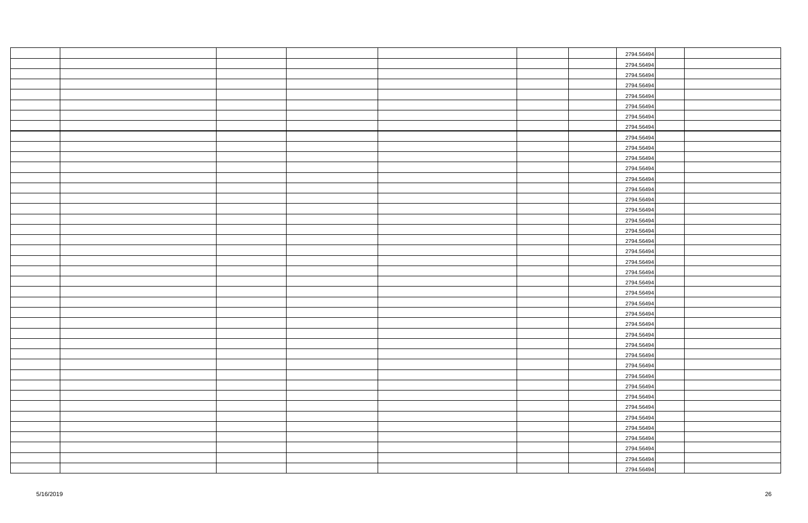|  |  |  | 2794.56494 |  |
|--|--|--|------------|--|
|  |  |  | 2794.56494 |  |
|  |  |  | 2794.56494 |  |
|  |  |  | 2794.56494 |  |
|  |  |  | 2794.56494 |  |
|  |  |  | 2794.56494 |  |
|  |  |  | 2794.56494 |  |
|  |  |  | 2794.56494 |  |
|  |  |  | 2794.56494 |  |
|  |  |  | 2794.56494 |  |
|  |  |  | 2794.56494 |  |
|  |  |  | 2794.56494 |  |
|  |  |  | 2794.56494 |  |
|  |  |  | 2794.56494 |  |
|  |  |  | 2794.56494 |  |
|  |  |  | 2794.56494 |  |
|  |  |  | 2794.56494 |  |
|  |  |  | 2794.56494 |  |
|  |  |  | 2794.56494 |  |
|  |  |  | 2794.56494 |  |
|  |  |  | 2794.56494 |  |
|  |  |  | 2794.56494 |  |
|  |  |  | 2794.56494 |  |
|  |  |  | 2794.56494 |  |
|  |  |  | 2794.56494 |  |
|  |  |  | 2794.56494 |  |
|  |  |  | 2794.56494 |  |
|  |  |  | 2794.56494 |  |
|  |  |  | 2794.56494 |  |
|  |  |  | 2794.56494 |  |
|  |  |  | 2794.56494 |  |
|  |  |  | 2794.56494 |  |
|  |  |  | 2794.56494 |  |
|  |  |  | 2794.56494 |  |
|  |  |  | 2794.56494 |  |
|  |  |  | 2794.56494 |  |
|  |  |  | 2794.56494 |  |
|  |  |  | 2794.56494 |  |
|  |  |  | 2794.56494 |  |
|  |  |  | 2794.56494 |  |
|  |  |  |            |  |
|  |  |  | 2794.56494 |  |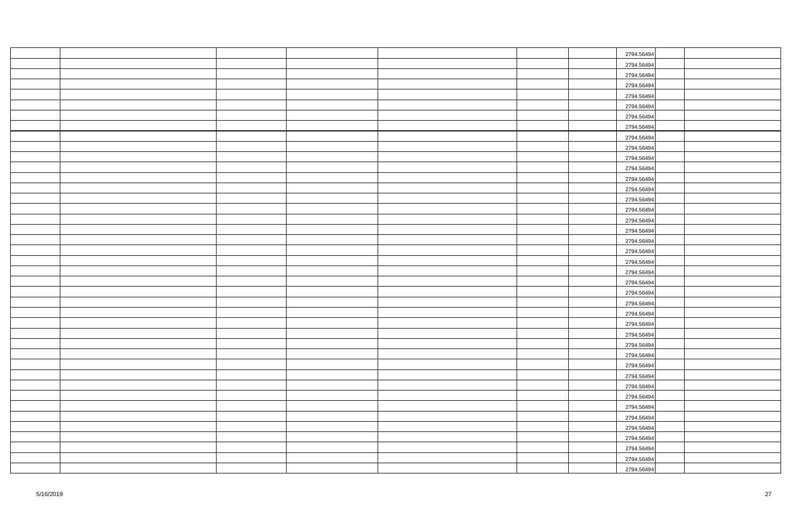|  |  |  | 2794.56494 |  |
|--|--|--|------------|--|
|  |  |  | 2794.56494 |  |
|  |  |  | 2794.56494 |  |
|  |  |  | 2794.56494 |  |
|  |  |  | 2794.56494 |  |
|  |  |  | 2794.56494 |  |
|  |  |  | 2794.56494 |  |
|  |  |  | 2794.56494 |  |
|  |  |  | 2794.56494 |  |
|  |  |  | 2794.56494 |  |
|  |  |  | 2794.56494 |  |
|  |  |  | 2794.56494 |  |
|  |  |  | 2794.56494 |  |
|  |  |  | 2794.56494 |  |
|  |  |  | 2794.56494 |  |
|  |  |  | 2794.56494 |  |
|  |  |  | 2794.56494 |  |
|  |  |  | 2794.56494 |  |
|  |  |  | 2794.56494 |  |
|  |  |  | 2794.56494 |  |
|  |  |  | 2794.56494 |  |
|  |  |  | 2794.56494 |  |
|  |  |  | 2794.56494 |  |
|  |  |  | 2794.56494 |  |
|  |  |  | 2794.56494 |  |
|  |  |  | 2794.56494 |  |
|  |  |  | 2794.56494 |  |
|  |  |  | 2794.56494 |  |
|  |  |  | 2794.56494 |  |
|  |  |  | 2794.56494 |  |
|  |  |  | 2794.56494 |  |
|  |  |  | 2794.56494 |  |
|  |  |  | 2794.56494 |  |
|  |  |  | 2794.56494 |  |
|  |  |  | 2794.56494 |  |
|  |  |  | 2794.56494 |  |
|  |  |  | 2794.56494 |  |
|  |  |  | 2794.56494 |  |
|  |  |  | 2794.56494 |  |
|  |  |  | 2794.56494 |  |
|  |  |  | 2794.56494 |  |
|  |  |  |            |  |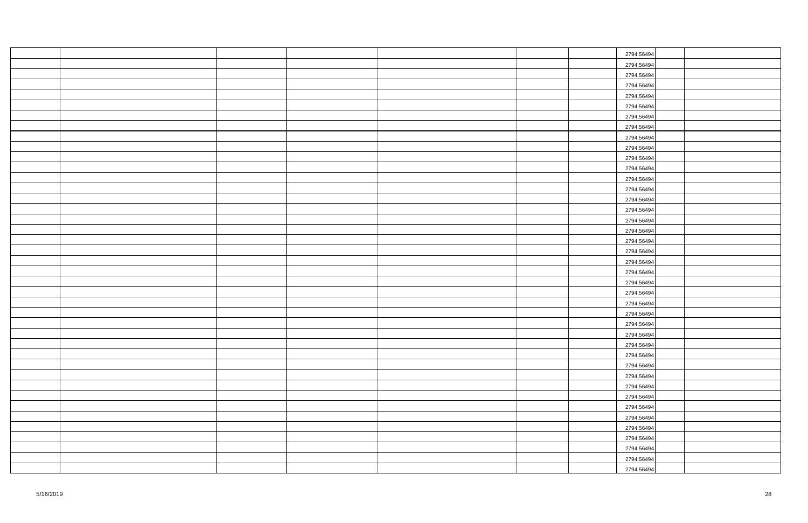|  |  |  | 2794.56494 |  |
|--|--|--|------------|--|
|  |  |  | 2794.56494 |  |
|  |  |  | 2794.56494 |  |
|  |  |  | 2794.56494 |  |
|  |  |  | 2794.56494 |  |
|  |  |  | 2794.56494 |  |
|  |  |  | 2794.56494 |  |
|  |  |  | 2794.56494 |  |
|  |  |  | 2794.56494 |  |
|  |  |  | 2794.56494 |  |
|  |  |  | 2794.56494 |  |
|  |  |  | 2794.56494 |  |
|  |  |  | 2794.56494 |  |
|  |  |  | 2794.56494 |  |
|  |  |  | 2794.56494 |  |
|  |  |  | 2794.56494 |  |
|  |  |  | 2794.56494 |  |
|  |  |  | 2794.56494 |  |
|  |  |  | 2794.56494 |  |
|  |  |  | 2794.56494 |  |
|  |  |  | 2794.56494 |  |
|  |  |  | 2794.56494 |  |
|  |  |  | 2794.56494 |  |
|  |  |  | 2794.56494 |  |
|  |  |  | 2794.56494 |  |
|  |  |  | 2794.56494 |  |
|  |  |  | 2794.56494 |  |
|  |  |  | 2794.56494 |  |
|  |  |  | 2794.56494 |  |
|  |  |  | 2794.56494 |  |
|  |  |  | 2794.56494 |  |
|  |  |  | 2794.56494 |  |
|  |  |  | 2794.56494 |  |
|  |  |  | 2794.56494 |  |
|  |  |  | 2794.56494 |  |
|  |  |  | 2794.56494 |  |
|  |  |  | 2794.56494 |  |
|  |  |  | 2794.56494 |  |
|  |  |  | 2794.56494 |  |
|  |  |  | 2794.56494 |  |
|  |  |  |            |  |
|  |  |  | 2794.56494 |  |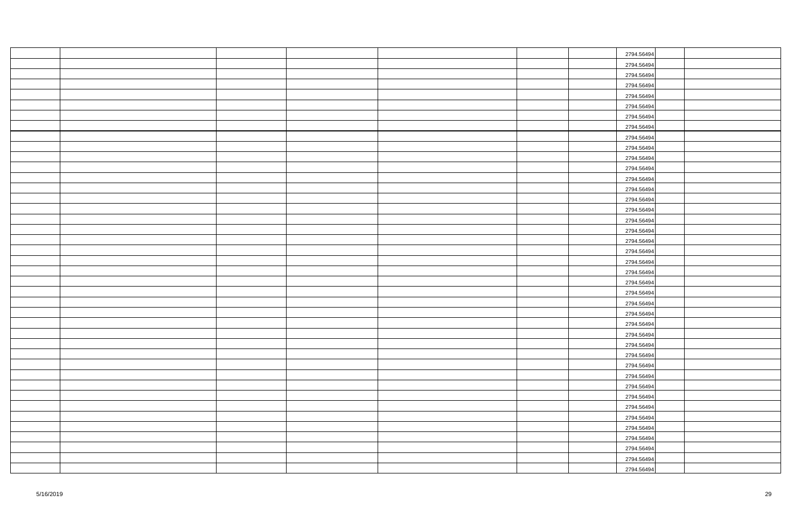|  |  |  | 2794.56494 |  |
|--|--|--|------------|--|
|  |  |  | 2794.56494 |  |
|  |  |  | 2794.56494 |  |
|  |  |  | 2794.56494 |  |
|  |  |  | 2794.56494 |  |
|  |  |  | 2794.56494 |  |
|  |  |  | 2794.56494 |  |
|  |  |  | 2794.56494 |  |
|  |  |  | 2794.56494 |  |
|  |  |  | 2794.56494 |  |
|  |  |  | 2794.56494 |  |
|  |  |  | 2794.56494 |  |
|  |  |  | 2794.56494 |  |
|  |  |  | 2794.56494 |  |
|  |  |  | 2794.56494 |  |
|  |  |  | 2794.56494 |  |
|  |  |  | 2794.56494 |  |
|  |  |  | 2794.56494 |  |
|  |  |  | 2794.56494 |  |
|  |  |  | 2794.56494 |  |
|  |  |  | 2794.56494 |  |
|  |  |  | 2794.56494 |  |
|  |  |  | 2794.56494 |  |
|  |  |  | 2794.56494 |  |
|  |  |  | 2794.56494 |  |
|  |  |  | 2794.56494 |  |
|  |  |  | 2794.56494 |  |
|  |  |  | 2794.56494 |  |
|  |  |  | 2794.56494 |  |
|  |  |  | 2794.56494 |  |
|  |  |  | 2794.56494 |  |
|  |  |  | 2794.56494 |  |
|  |  |  | 2794.56494 |  |
|  |  |  | 2794.56494 |  |
|  |  |  | 2794.56494 |  |
|  |  |  | 2794.56494 |  |
|  |  |  | 2794.56494 |  |
|  |  |  | 2794.56494 |  |
|  |  |  | 2794.56494 |  |
|  |  |  | 2794.56494 |  |
|  |  |  |            |  |
|  |  |  | 2794.56494 |  |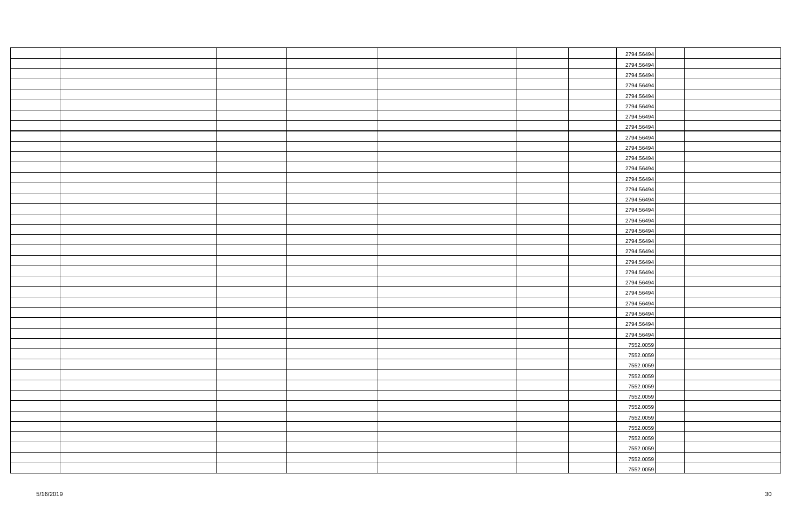|  |  |  | 2794.56494 |  |
|--|--|--|------------|--|
|  |  |  | 2794.56494 |  |
|  |  |  | 2794.56494 |  |
|  |  |  | 2794.56494 |  |
|  |  |  | 2794.56494 |  |
|  |  |  | 2794.56494 |  |
|  |  |  | 2794.56494 |  |
|  |  |  | 2794.56494 |  |
|  |  |  | 2794.56494 |  |
|  |  |  | 2794.56494 |  |
|  |  |  | 2794.56494 |  |
|  |  |  | 2794.56494 |  |
|  |  |  | 2794.56494 |  |
|  |  |  | 2794.56494 |  |
|  |  |  | 2794.56494 |  |
|  |  |  | 2794.56494 |  |
|  |  |  | 2794.56494 |  |
|  |  |  | 2794.56494 |  |
|  |  |  | 2794.56494 |  |
|  |  |  | 2794.56494 |  |
|  |  |  | 2794.56494 |  |
|  |  |  | 2794.56494 |  |
|  |  |  | 2794.56494 |  |
|  |  |  | 2794.56494 |  |
|  |  |  | 2794.56494 |  |
|  |  |  | 2794.56494 |  |
|  |  |  | 2794.56494 |  |
|  |  |  | 2794.56494 |  |
|  |  |  | 7552.0059  |  |
|  |  |  | 7552.0059  |  |
|  |  |  | 7552.0059  |  |
|  |  |  | 7552.0059  |  |
|  |  |  | 7552.0059  |  |
|  |  |  | 7552.0059  |  |
|  |  |  | 7552.0059  |  |
|  |  |  | 7552.0059  |  |
|  |  |  | 7552.0059  |  |
|  |  |  | 7552.0059  |  |
|  |  |  | 7552.0059  |  |
|  |  |  | 7552.0059  |  |
|  |  |  | 7552.0059  |  |
|  |  |  |            |  |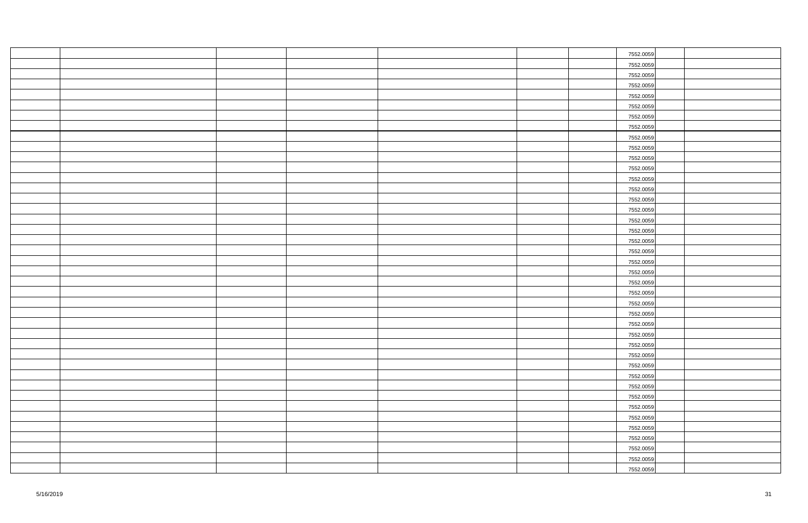|  |  |  | 7552.0059 |  |
|--|--|--|-----------|--|
|  |  |  | 7552.0059 |  |
|  |  |  | 7552.0059 |  |
|  |  |  | 7552.0059 |  |
|  |  |  | 7552.0059 |  |
|  |  |  | 7552.0059 |  |
|  |  |  | 7552.0059 |  |
|  |  |  | 7552.0059 |  |
|  |  |  | 7552.0059 |  |
|  |  |  | 7552.0059 |  |
|  |  |  | 7552.0059 |  |
|  |  |  | 7552.0059 |  |
|  |  |  | 7552.0059 |  |
|  |  |  | 7552.0059 |  |
|  |  |  | 7552.0059 |  |
|  |  |  | 7552.0059 |  |
|  |  |  | 7552.0059 |  |
|  |  |  | 7552.0059 |  |
|  |  |  | 7552.0059 |  |
|  |  |  | 7552.0059 |  |
|  |  |  | 7552.0059 |  |
|  |  |  | 7552.0059 |  |
|  |  |  | 7552.0059 |  |
|  |  |  | 7552.0059 |  |
|  |  |  | 7552.0059 |  |
|  |  |  | 7552.0059 |  |
|  |  |  | 7552.0059 |  |
|  |  |  | 7552.0059 |  |
|  |  |  | 7552.0059 |  |
|  |  |  | 7552.0059 |  |
|  |  |  | 7552.0059 |  |
|  |  |  | 7552.0059 |  |
|  |  |  | 7552.0059 |  |
|  |  |  | 7552.0059 |  |
|  |  |  | 7552.0059 |  |
|  |  |  | 7552.0059 |  |
|  |  |  | 7552.0059 |  |
|  |  |  | 7552.0059 |  |
|  |  |  | 7552.0059 |  |
|  |  |  | 7552.0059 |  |
|  |  |  | 7552.0059 |  |
|  |  |  |           |  |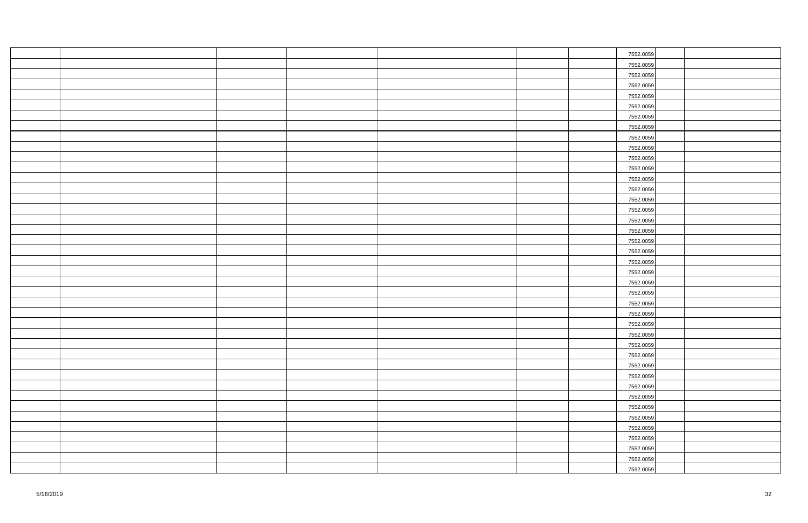|  |  |  | 7552.0059 |  |
|--|--|--|-----------|--|
|  |  |  | 7552.0059 |  |
|  |  |  | 7552.0059 |  |
|  |  |  | 7552.0059 |  |
|  |  |  | 7552.0059 |  |
|  |  |  | 7552.0059 |  |
|  |  |  | 7552.0059 |  |
|  |  |  | 7552.0059 |  |
|  |  |  | 7552.0059 |  |
|  |  |  | 7552.0059 |  |
|  |  |  | 7552.0059 |  |
|  |  |  | 7552.0059 |  |
|  |  |  | 7552.0059 |  |
|  |  |  | 7552.0059 |  |
|  |  |  | 7552.0059 |  |
|  |  |  | 7552.0059 |  |
|  |  |  | 7552.0059 |  |
|  |  |  | 7552.0059 |  |
|  |  |  | 7552.0059 |  |
|  |  |  | 7552.0059 |  |
|  |  |  | 7552.0059 |  |
|  |  |  | 7552.0059 |  |
|  |  |  | 7552.0059 |  |
|  |  |  | 7552.0059 |  |
|  |  |  | 7552.0059 |  |
|  |  |  | 7552.0059 |  |
|  |  |  | 7552.0059 |  |
|  |  |  | 7552.0059 |  |
|  |  |  | 7552.0059 |  |
|  |  |  | 7552.0059 |  |
|  |  |  | 7552.0059 |  |
|  |  |  | 7552.0059 |  |
|  |  |  | 7552.0059 |  |
|  |  |  | 7552.0059 |  |
|  |  |  | 7552.0059 |  |
|  |  |  | 7552.0059 |  |
|  |  |  | 7552.0059 |  |
|  |  |  | 7552.0059 |  |
|  |  |  | 7552.0059 |  |
|  |  |  | 7552.0059 |  |
|  |  |  | 7552.0059 |  |
|  |  |  |           |  |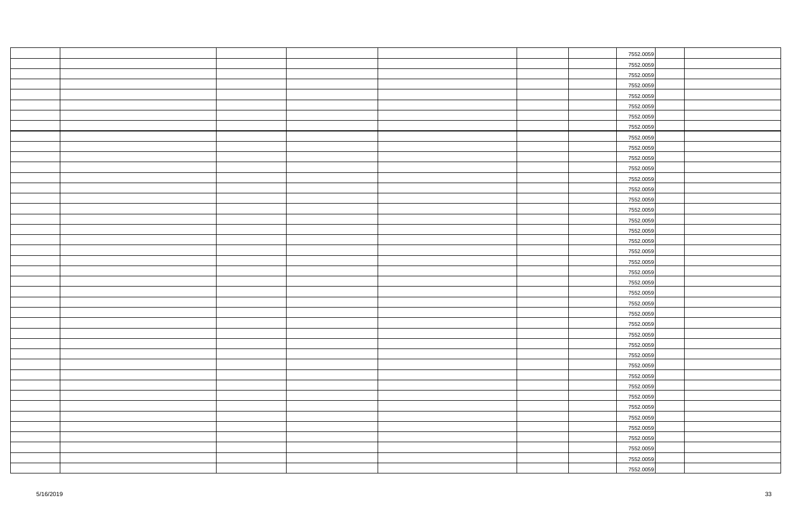|  |  |  | 7552.0059 |  |
|--|--|--|-----------|--|
|  |  |  | 7552.0059 |  |
|  |  |  | 7552.0059 |  |
|  |  |  | 7552.0059 |  |
|  |  |  | 7552.0059 |  |
|  |  |  | 7552.0059 |  |
|  |  |  | 7552.0059 |  |
|  |  |  | 7552.0059 |  |
|  |  |  | 7552.0059 |  |
|  |  |  | 7552.0059 |  |
|  |  |  | 7552.0059 |  |
|  |  |  | 7552.0059 |  |
|  |  |  | 7552.0059 |  |
|  |  |  | 7552.0059 |  |
|  |  |  | 7552.0059 |  |
|  |  |  | 7552.0059 |  |
|  |  |  | 7552.0059 |  |
|  |  |  | 7552.0059 |  |
|  |  |  | 7552.0059 |  |
|  |  |  | 7552.0059 |  |
|  |  |  | 7552.0059 |  |
|  |  |  | 7552.0059 |  |
|  |  |  | 7552.0059 |  |
|  |  |  | 7552.0059 |  |
|  |  |  | 7552.0059 |  |
|  |  |  | 7552.0059 |  |
|  |  |  | 7552.0059 |  |
|  |  |  | 7552.0059 |  |
|  |  |  | 7552.0059 |  |
|  |  |  | 7552.0059 |  |
|  |  |  | 7552.0059 |  |
|  |  |  | 7552.0059 |  |
|  |  |  | 7552.0059 |  |
|  |  |  | 7552.0059 |  |
|  |  |  | 7552.0059 |  |
|  |  |  | 7552.0059 |  |
|  |  |  | 7552.0059 |  |
|  |  |  | 7552.0059 |  |
|  |  |  | 7552.0059 |  |
|  |  |  | 7552.0059 |  |
|  |  |  | 7552.0059 |  |
|  |  |  |           |  |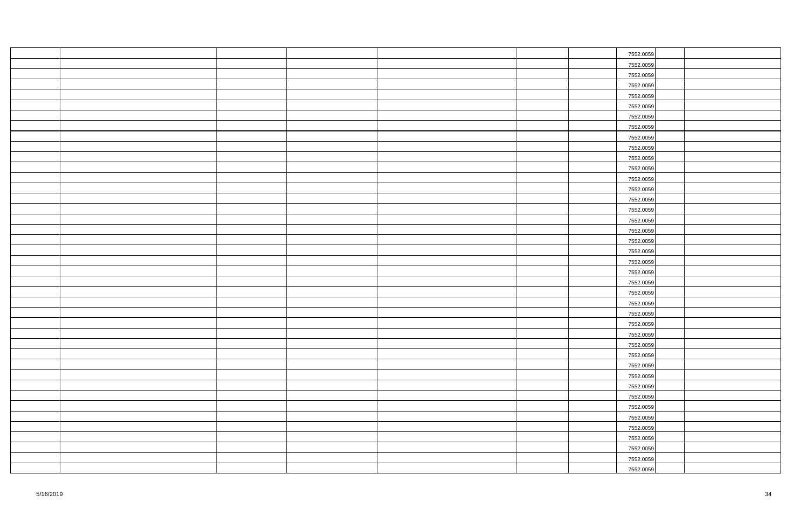|  |  |  | 7552.0059 |  |
|--|--|--|-----------|--|
|  |  |  | 7552.0059 |  |
|  |  |  | 7552.0059 |  |
|  |  |  | 7552.0059 |  |
|  |  |  | 7552.0059 |  |
|  |  |  | 7552.0059 |  |
|  |  |  | 7552.0059 |  |
|  |  |  | 7552.0059 |  |
|  |  |  | 7552.0059 |  |
|  |  |  | 7552.0059 |  |
|  |  |  | 7552.0059 |  |
|  |  |  | 7552.0059 |  |
|  |  |  | 7552.0059 |  |
|  |  |  | 7552.0059 |  |
|  |  |  | 7552.0059 |  |
|  |  |  | 7552.0059 |  |
|  |  |  | 7552.0059 |  |
|  |  |  | 7552.0059 |  |
|  |  |  | 7552.0059 |  |
|  |  |  | 7552.0059 |  |
|  |  |  | 7552.0059 |  |
|  |  |  | 7552.0059 |  |
|  |  |  | 7552.0059 |  |
|  |  |  | 7552.0059 |  |
|  |  |  | 7552.0059 |  |
|  |  |  | 7552.0059 |  |
|  |  |  | 7552.0059 |  |
|  |  |  | 7552.0059 |  |
|  |  |  | 7552.0059 |  |
|  |  |  | 7552.0059 |  |
|  |  |  | 7552.0059 |  |
|  |  |  | 7552.0059 |  |
|  |  |  | 7552.0059 |  |
|  |  |  | 7552.0059 |  |
|  |  |  | 7552.0059 |  |
|  |  |  | 7552.0059 |  |
|  |  |  | 7552.0059 |  |
|  |  |  | 7552.0059 |  |
|  |  |  | 7552.0059 |  |
|  |  |  | 7552.0059 |  |
|  |  |  | 7552.0059 |  |
|  |  |  |           |  |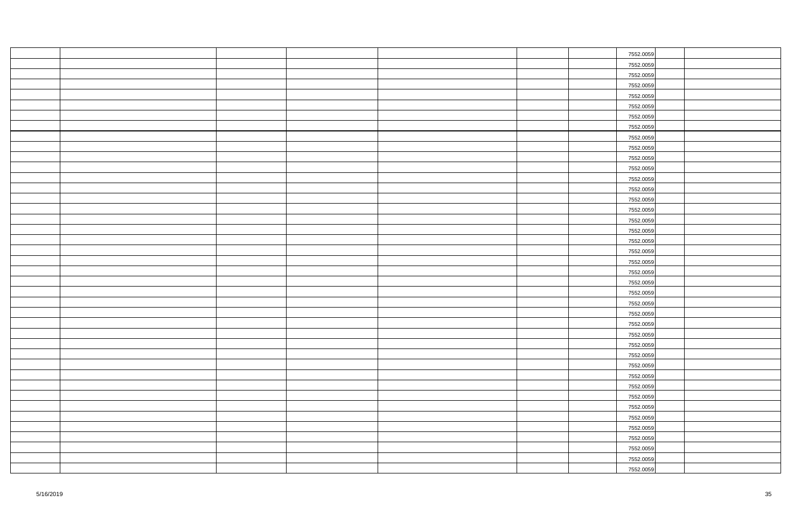|  |  |  | 7552.0059 |  |
|--|--|--|-----------|--|
|  |  |  | 7552.0059 |  |
|  |  |  | 7552.0059 |  |
|  |  |  | 7552.0059 |  |
|  |  |  | 7552.0059 |  |
|  |  |  | 7552.0059 |  |
|  |  |  | 7552.0059 |  |
|  |  |  | 7552.0059 |  |
|  |  |  | 7552.0059 |  |
|  |  |  | 7552.0059 |  |
|  |  |  | 7552.0059 |  |
|  |  |  | 7552.0059 |  |
|  |  |  | 7552.0059 |  |
|  |  |  | 7552.0059 |  |
|  |  |  | 7552.0059 |  |
|  |  |  | 7552.0059 |  |
|  |  |  | 7552.0059 |  |
|  |  |  | 7552.0059 |  |
|  |  |  | 7552.0059 |  |
|  |  |  | 7552.0059 |  |
|  |  |  | 7552.0059 |  |
|  |  |  | 7552.0059 |  |
|  |  |  | 7552.0059 |  |
|  |  |  | 7552.0059 |  |
|  |  |  | 7552.0059 |  |
|  |  |  | 7552.0059 |  |
|  |  |  | 7552.0059 |  |
|  |  |  | 7552.0059 |  |
|  |  |  | 7552.0059 |  |
|  |  |  | 7552.0059 |  |
|  |  |  | 7552.0059 |  |
|  |  |  | 7552.0059 |  |
|  |  |  | 7552.0059 |  |
|  |  |  | 7552.0059 |  |
|  |  |  | 7552.0059 |  |
|  |  |  | 7552.0059 |  |
|  |  |  | 7552.0059 |  |
|  |  |  | 7552.0059 |  |
|  |  |  | 7552.0059 |  |
|  |  |  | 7552.0059 |  |
|  |  |  | 7552.0059 |  |
|  |  |  |           |  |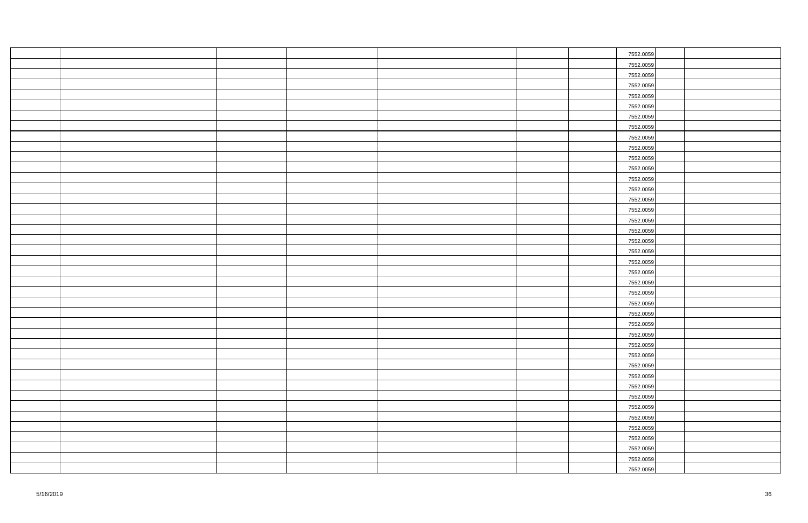|  |  |  | 7552.0059 |  |
|--|--|--|-----------|--|
|  |  |  | 7552.0059 |  |
|  |  |  | 7552.0059 |  |
|  |  |  | 7552.0059 |  |
|  |  |  | 7552.0059 |  |
|  |  |  | 7552.0059 |  |
|  |  |  | 7552.0059 |  |
|  |  |  | 7552.0059 |  |
|  |  |  | 7552.0059 |  |
|  |  |  | 7552.0059 |  |
|  |  |  | 7552.0059 |  |
|  |  |  | 7552.0059 |  |
|  |  |  | 7552.0059 |  |
|  |  |  | 7552.0059 |  |
|  |  |  | 7552.0059 |  |
|  |  |  | 7552.0059 |  |
|  |  |  | 7552.0059 |  |
|  |  |  | 7552.0059 |  |
|  |  |  | 7552.0059 |  |
|  |  |  | 7552.0059 |  |
|  |  |  | 7552.0059 |  |
|  |  |  | 7552.0059 |  |
|  |  |  | 7552.0059 |  |
|  |  |  | 7552.0059 |  |
|  |  |  | 7552.0059 |  |
|  |  |  | 7552.0059 |  |
|  |  |  | 7552.0059 |  |
|  |  |  | 7552.0059 |  |
|  |  |  | 7552.0059 |  |
|  |  |  | 7552.0059 |  |
|  |  |  | 7552.0059 |  |
|  |  |  | 7552.0059 |  |
|  |  |  | 7552.0059 |  |
|  |  |  | 7552.0059 |  |
|  |  |  | 7552.0059 |  |
|  |  |  | 7552.0059 |  |
|  |  |  | 7552.0059 |  |
|  |  |  | 7552.0059 |  |
|  |  |  | 7552.0059 |  |
|  |  |  | 7552.0059 |  |
|  |  |  | 7552.0059 |  |
|  |  |  |           |  |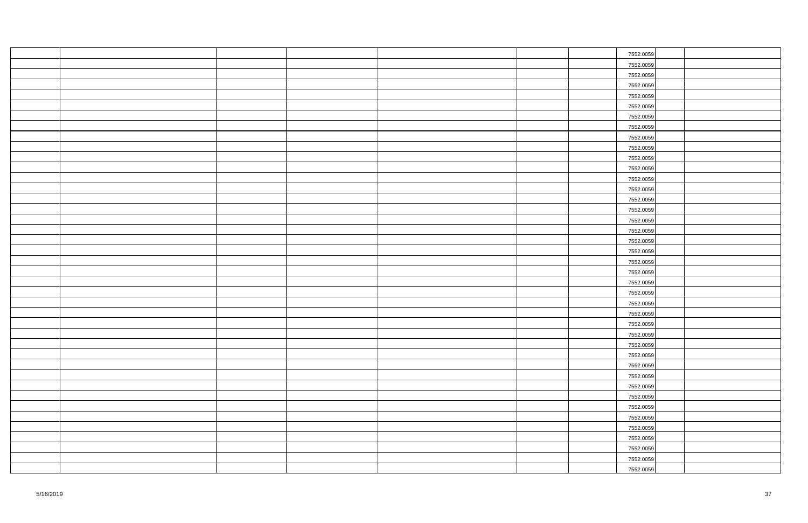|  |  |  | 7552.0059 |  |
|--|--|--|-----------|--|
|  |  |  | 7552.0059 |  |
|  |  |  | 7552.0059 |  |
|  |  |  | 7552.0059 |  |
|  |  |  | 7552.0059 |  |
|  |  |  | 7552.0059 |  |
|  |  |  | 7552.0059 |  |
|  |  |  | 7552.0059 |  |
|  |  |  | 7552.0059 |  |
|  |  |  | 7552.0059 |  |
|  |  |  | 7552.0059 |  |
|  |  |  | 7552.0059 |  |
|  |  |  | 7552.0059 |  |
|  |  |  | 7552.0059 |  |
|  |  |  | 7552.0059 |  |
|  |  |  | 7552.0059 |  |
|  |  |  | 7552.0059 |  |
|  |  |  | 7552.0059 |  |
|  |  |  | 7552.0059 |  |
|  |  |  | 7552.0059 |  |
|  |  |  | 7552.0059 |  |
|  |  |  | 7552.0059 |  |
|  |  |  | 7552.0059 |  |
|  |  |  | 7552.0059 |  |
|  |  |  | 7552.0059 |  |
|  |  |  | 7552.0059 |  |
|  |  |  | 7552.0059 |  |
|  |  |  | 7552.0059 |  |
|  |  |  | 7552.0059 |  |
|  |  |  | 7552.0059 |  |
|  |  |  | 7552.0059 |  |
|  |  |  | 7552.0059 |  |
|  |  |  | 7552.0059 |  |
|  |  |  | 7552.0059 |  |
|  |  |  | 7552.0059 |  |
|  |  |  | 7552.0059 |  |
|  |  |  | 7552.0059 |  |
|  |  |  | 7552.0059 |  |
|  |  |  | 7552.0059 |  |
|  |  |  | 7552.0059 |  |
|  |  |  | 7552.0059 |  |
|  |  |  |           |  |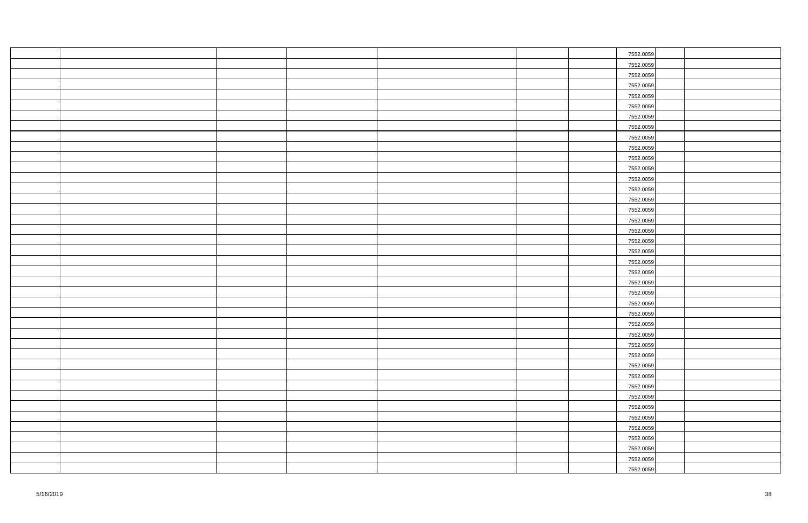|  |  |  | 7552.0059 |  |
|--|--|--|-----------|--|
|  |  |  | 7552.0059 |  |
|  |  |  | 7552.0059 |  |
|  |  |  | 7552.0059 |  |
|  |  |  | 7552.0059 |  |
|  |  |  | 7552.0059 |  |
|  |  |  | 7552.0059 |  |
|  |  |  | 7552.0059 |  |
|  |  |  | 7552.0059 |  |
|  |  |  | 7552.0059 |  |
|  |  |  | 7552.0059 |  |
|  |  |  | 7552.0059 |  |
|  |  |  | 7552.0059 |  |
|  |  |  | 7552.0059 |  |
|  |  |  | 7552.0059 |  |
|  |  |  | 7552.0059 |  |
|  |  |  | 7552.0059 |  |
|  |  |  | 7552.0059 |  |
|  |  |  | 7552.0059 |  |
|  |  |  | 7552.0059 |  |
|  |  |  | 7552.0059 |  |
|  |  |  | 7552.0059 |  |
|  |  |  | 7552.0059 |  |
|  |  |  | 7552.0059 |  |
|  |  |  | 7552.0059 |  |
|  |  |  | 7552.0059 |  |
|  |  |  | 7552.0059 |  |
|  |  |  | 7552.0059 |  |
|  |  |  | 7552.0059 |  |
|  |  |  | 7552.0059 |  |
|  |  |  | 7552.0059 |  |
|  |  |  | 7552.0059 |  |
|  |  |  | 7552.0059 |  |
|  |  |  | 7552.0059 |  |
|  |  |  | 7552.0059 |  |
|  |  |  | 7552.0059 |  |
|  |  |  | 7552.0059 |  |
|  |  |  | 7552.0059 |  |
|  |  |  | 7552.0059 |  |
|  |  |  | 7552.0059 |  |
|  |  |  | 7552.0059 |  |
|  |  |  |           |  |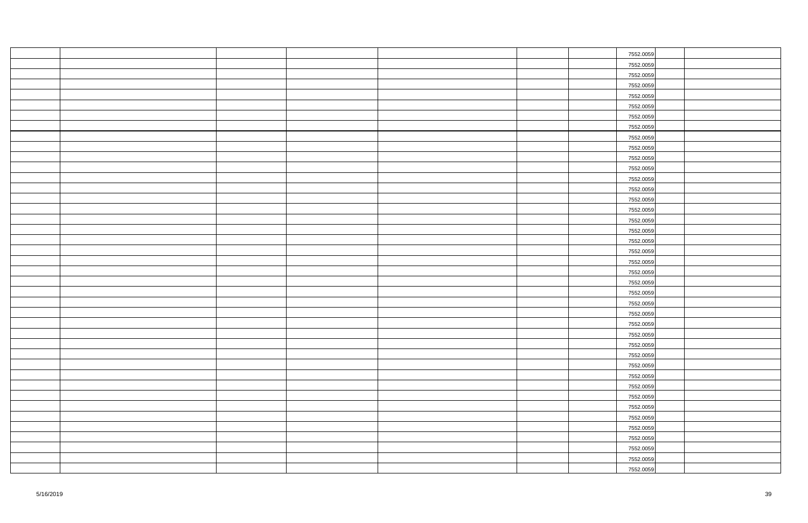|  |  |  | 7552.0059 |  |
|--|--|--|-----------|--|
|  |  |  | 7552.0059 |  |
|  |  |  | 7552.0059 |  |
|  |  |  | 7552.0059 |  |
|  |  |  | 7552.0059 |  |
|  |  |  | 7552.0059 |  |
|  |  |  | 7552.0059 |  |
|  |  |  | 7552.0059 |  |
|  |  |  | 7552.0059 |  |
|  |  |  | 7552.0059 |  |
|  |  |  | 7552.0059 |  |
|  |  |  | 7552.0059 |  |
|  |  |  | 7552.0059 |  |
|  |  |  | 7552.0059 |  |
|  |  |  | 7552.0059 |  |
|  |  |  | 7552.0059 |  |
|  |  |  | 7552.0059 |  |
|  |  |  | 7552.0059 |  |
|  |  |  | 7552.0059 |  |
|  |  |  | 7552.0059 |  |
|  |  |  | 7552.0059 |  |
|  |  |  | 7552.0059 |  |
|  |  |  | 7552.0059 |  |
|  |  |  | 7552.0059 |  |
|  |  |  | 7552.0059 |  |
|  |  |  | 7552.0059 |  |
|  |  |  | 7552.0059 |  |
|  |  |  | 7552.0059 |  |
|  |  |  | 7552.0059 |  |
|  |  |  | 7552.0059 |  |
|  |  |  | 7552.0059 |  |
|  |  |  | 7552.0059 |  |
|  |  |  | 7552.0059 |  |
|  |  |  | 7552.0059 |  |
|  |  |  | 7552.0059 |  |
|  |  |  | 7552.0059 |  |
|  |  |  | 7552.0059 |  |
|  |  |  | 7552.0059 |  |
|  |  |  | 7552.0059 |  |
|  |  |  | 7552.0059 |  |
|  |  |  | 7552.0059 |  |
|  |  |  |           |  |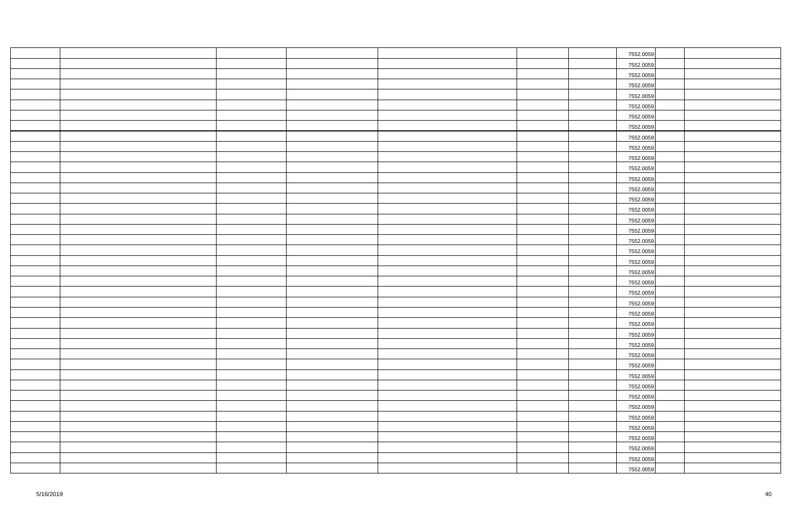|  |  |  | 7552.0059 |  |
|--|--|--|-----------|--|
|  |  |  | 7552.0059 |  |
|  |  |  | 7552.0059 |  |
|  |  |  | 7552.0059 |  |
|  |  |  | 7552.0059 |  |
|  |  |  | 7552.0059 |  |
|  |  |  | 7552.0059 |  |
|  |  |  | 7552.0059 |  |
|  |  |  | 7552.0059 |  |
|  |  |  | 7552.0059 |  |
|  |  |  | 7552.0059 |  |
|  |  |  | 7552.0059 |  |
|  |  |  | 7552.0059 |  |
|  |  |  | 7552.0059 |  |
|  |  |  | 7552.0059 |  |
|  |  |  | 7552.0059 |  |
|  |  |  | 7552.0059 |  |
|  |  |  | 7552.0059 |  |
|  |  |  | 7552.0059 |  |
|  |  |  | 7552.0059 |  |
|  |  |  | 7552.0059 |  |
|  |  |  | 7552.0059 |  |
|  |  |  | 7552.0059 |  |
|  |  |  | 7552.0059 |  |
|  |  |  | 7552.0059 |  |
|  |  |  | 7552.0059 |  |
|  |  |  | 7552.0059 |  |
|  |  |  | 7552.0059 |  |
|  |  |  | 7552.0059 |  |
|  |  |  | 7552.0059 |  |
|  |  |  | 7552.0059 |  |
|  |  |  | 7552.0059 |  |
|  |  |  | 7552.0059 |  |
|  |  |  | 7552.0059 |  |
|  |  |  | 7552.0059 |  |
|  |  |  | 7552.0059 |  |
|  |  |  | 7552.0059 |  |
|  |  |  | 7552.0059 |  |
|  |  |  | 7552.0059 |  |
|  |  |  | 7552.0059 |  |
|  |  |  | 7552.0059 |  |
|  |  |  |           |  |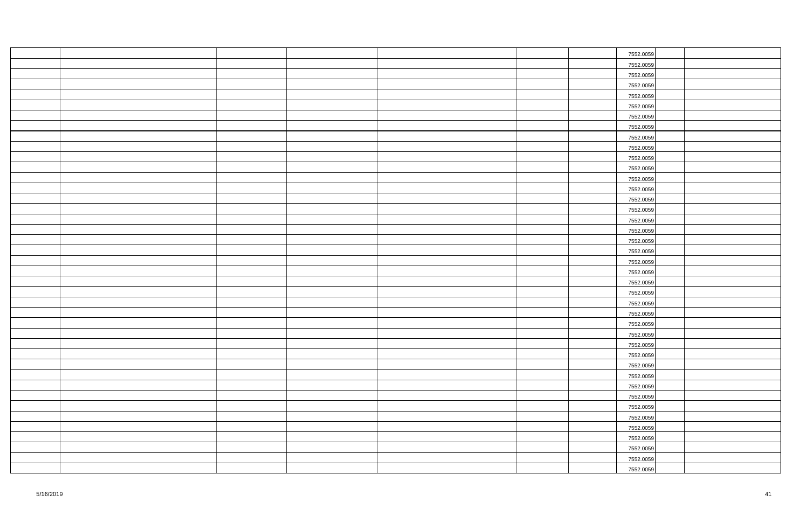|  |  |  | 7552.0059 |  |
|--|--|--|-----------|--|
|  |  |  | 7552.0059 |  |
|  |  |  | 7552.0059 |  |
|  |  |  | 7552.0059 |  |
|  |  |  | 7552.0059 |  |
|  |  |  | 7552.0059 |  |
|  |  |  | 7552.0059 |  |
|  |  |  | 7552.0059 |  |
|  |  |  | 7552.0059 |  |
|  |  |  | 7552.0059 |  |
|  |  |  | 7552.0059 |  |
|  |  |  | 7552.0059 |  |
|  |  |  | 7552.0059 |  |
|  |  |  | 7552.0059 |  |
|  |  |  | 7552.0059 |  |
|  |  |  | 7552.0059 |  |
|  |  |  | 7552.0059 |  |
|  |  |  | 7552.0059 |  |
|  |  |  | 7552.0059 |  |
|  |  |  | 7552.0059 |  |
|  |  |  | 7552.0059 |  |
|  |  |  | 7552.0059 |  |
|  |  |  | 7552.0059 |  |
|  |  |  | 7552.0059 |  |
|  |  |  | 7552.0059 |  |
|  |  |  | 7552.0059 |  |
|  |  |  | 7552.0059 |  |
|  |  |  | 7552.0059 |  |
|  |  |  | 7552.0059 |  |
|  |  |  | 7552.0059 |  |
|  |  |  | 7552.0059 |  |
|  |  |  | 7552.0059 |  |
|  |  |  | 7552.0059 |  |
|  |  |  | 7552.0059 |  |
|  |  |  | 7552.0059 |  |
|  |  |  | 7552.0059 |  |
|  |  |  | 7552.0059 |  |
|  |  |  | 7552.0059 |  |
|  |  |  | 7552.0059 |  |
|  |  |  | 7552.0059 |  |
|  |  |  | 7552.0059 |  |
|  |  |  |           |  |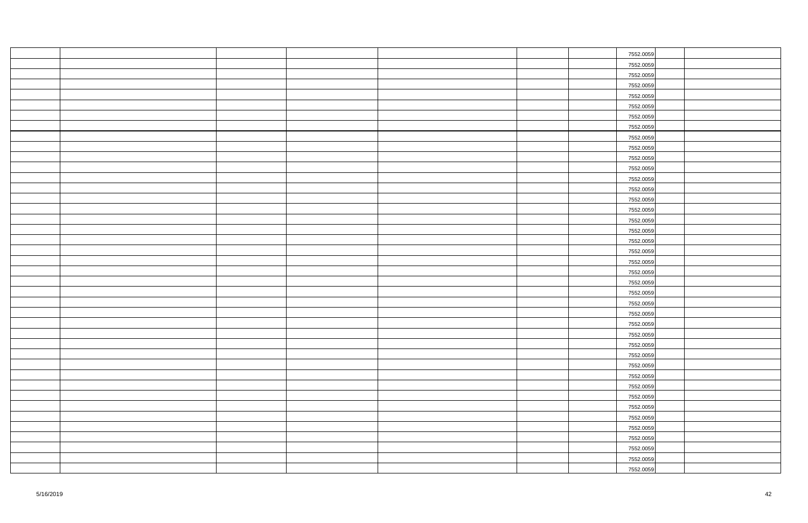|  |  |  | 7552.0059 |  |
|--|--|--|-----------|--|
|  |  |  | 7552.0059 |  |
|  |  |  | 7552.0059 |  |
|  |  |  | 7552.0059 |  |
|  |  |  | 7552.0059 |  |
|  |  |  | 7552.0059 |  |
|  |  |  | 7552.0059 |  |
|  |  |  | 7552.0059 |  |
|  |  |  | 7552.0059 |  |
|  |  |  | 7552.0059 |  |
|  |  |  | 7552.0059 |  |
|  |  |  | 7552.0059 |  |
|  |  |  | 7552.0059 |  |
|  |  |  | 7552.0059 |  |
|  |  |  | 7552.0059 |  |
|  |  |  | 7552.0059 |  |
|  |  |  | 7552.0059 |  |
|  |  |  | 7552.0059 |  |
|  |  |  | 7552.0059 |  |
|  |  |  | 7552.0059 |  |
|  |  |  | 7552.0059 |  |
|  |  |  | 7552.0059 |  |
|  |  |  | 7552.0059 |  |
|  |  |  | 7552.0059 |  |
|  |  |  | 7552.0059 |  |
|  |  |  | 7552.0059 |  |
|  |  |  | 7552.0059 |  |
|  |  |  | 7552.0059 |  |
|  |  |  | 7552.0059 |  |
|  |  |  | 7552.0059 |  |
|  |  |  | 7552.0059 |  |
|  |  |  | 7552.0059 |  |
|  |  |  | 7552.0059 |  |
|  |  |  | 7552.0059 |  |
|  |  |  | 7552.0059 |  |
|  |  |  | 7552.0059 |  |
|  |  |  | 7552.0059 |  |
|  |  |  | 7552.0059 |  |
|  |  |  | 7552.0059 |  |
|  |  |  | 7552.0059 |  |
|  |  |  | 7552.0059 |  |
|  |  |  |           |  |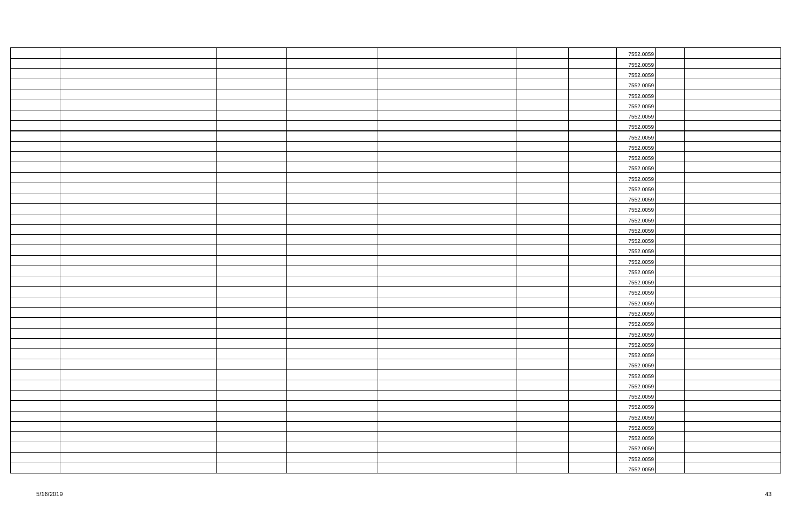|  |  |  | 7552.0059 |  |
|--|--|--|-----------|--|
|  |  |  | 7552.0059 |  |
|  |  |  | 7552.0059 |  |
|  |  |  | 7552.0059 |  |
|  |  |  | 7552.0059 |  |
|  |  |  | 7552.0059 |  |
|  |  |  | 7552.0059 |  |
|  |  |  | 7552.0059 |  |
|  |  |  | 7552.0059 |  |
|  |  |  | 7552.0059 |  |
|  |  |  | 7552.0059 |  |
|  |  |  | 7552.0059 |  |
|  |  |  | 7552.0059 |  |
|  |  |  | 7552.0059 |  |
|  |  |  | 7552.0059 |  |
|  |  |  | 7552.0059 |  |
|  |  |  | 7552.0059 |  |
|  |  |  | 7552.0059 |  |
|  |  |  | 7552.0059 |  |
|  |  |  | 7552.0059 |  |
|  |  |  | 7552.0059 |  |
|  |  |  | 7552.0059 |  |
|  |  |  | 7552.0059 |  |
|  |  |  | 7552.0059 |  |
|  |  |  | 7552.0059 |  |
|  |  |  | 7552.0059 |  |
|  |  |  | 7552.0059 |  |
|  |  |  | 7552.0059 |  |
|  |  |  | 7552.0059 |  |
|  |  |  | 7552.0059 |  |
|  |  |  | 7552.0059 |  |
|  |  |  | 7552.0059 |  |
|  |  |  | 7552.0059 |  |
|  |  |  | 7552.0059 |  |
|  |  |  | 7552.0059 |  |
|  |  |  | 7552.0059 |  |
|  |  |  | 7552.0059 |  |
|  |  |  | 7552.0059 |  |
|  |  |  | 7552.0059 |  |
|  |  |  | 7552.0059 |  |
|  |  |  | 7552.0059 |  |
|  |  |  |           |  |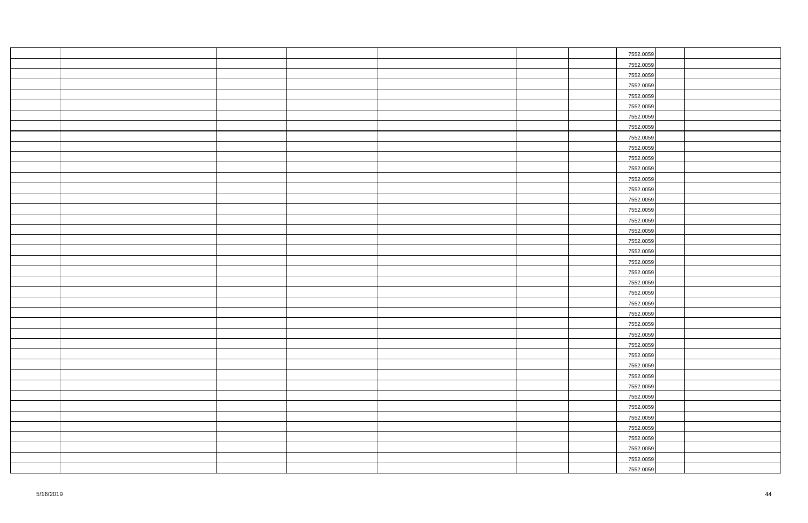|  |  |  | 7552.0059 |  |
|--|--|--|-----------|--|
|  |  |  | 7552.0059 |  |
|  |  |  | 7552.0059 |  |
|  |  |  | 7552.0059 |  |
|  |  |  | 7552.0059 |  |
|  |  |  | 7552.0059 |  |
|  |  |  | 7552.0059 |  |
|  |  |  | 7552.0059 |  |
|  |  |  | 7552.0059 |  |
|  |  |  | 7552.0059 |  |
|  |  |  | 7552.0059 |  |
|  |  |  | 7552.0059 |  |
|  |  |  | 7552.0059 |  |
|  |  |  | 7552.0059 |  |
|  |  |  | 7552.0059 |  |
|  |  |  | 7552.0059 |  |
|  |  |  | 7552.0059 |  |
|  |  |  | 7552.0059 |  |
|  |  |  | 7552.0059 |  |
|  |  |  | 7552.0059 |  |
|  |  |  | 7552.0059 |  |
|  |  |  | 7552.0059 |  |
|  |  |  | 7552.0059 |  |
|  |  |  | 7552.0059 |  |
|  |  |  | 7552.0059 |  |
|  |  |  | 7552.0059 |  |
|  |  |  | 7552.0059 |  |
|  |  |  | 7552.0059 |  |
|  |  |  | 7552.0059 |  |
|  |  |  | 7552.0059 |  |
|  |  |  | 7552.0059 |  |
|  |  |  | 7552.0059 |  |
|  |  |  | 7552.0059 |  |
|  |  |  | 7552.0059 |  |
|  |  |  | 7552.0059 |  |
|  |  |  | 7552.0059 |  |
|  |  |  | 7552.0059 |  |
|  |  |  | 7552.0059 |  |
|  |  |  | 7552.0059 |  |
|  |  |  | 7552.0059 |  |
|  |  |  | 7552.0059 |  |
|  |  |  |           |  |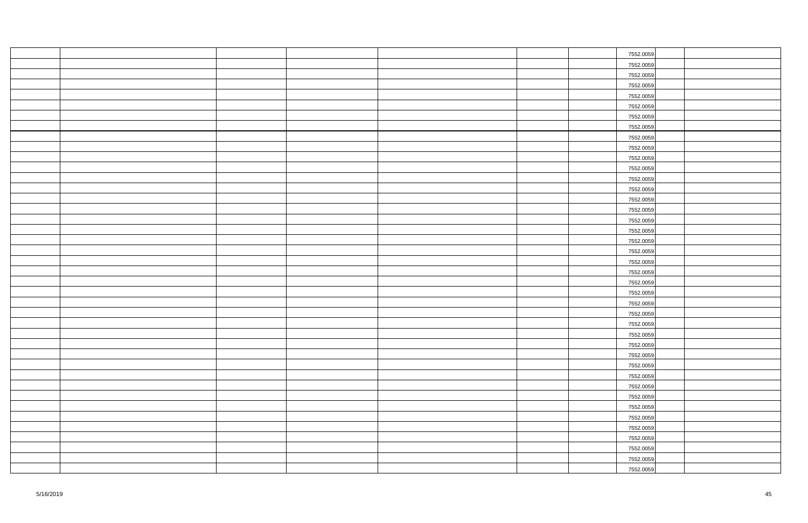|  |  |  | 7552.0059 |  |
|--|--|--|-----------|--|
|  |  |  | 7552.0059 |  |
|  |  |  | 7552.0059 |  |
|  |  |  | 7552.0059 |  |
|  |  |  | 7552.0059 |  |
|  |  |  | 7552.0059 |  |
|  |  |  | 7552.0059 |  |
|  |  |  | 7552.0059 |  |
|  |  |  | 7552.0059 |  |
|  |  |  | 7552.0059 |  |
|  |  |  | 7552.0059 |  |
|  |  |  | 7552.0059 |  |
|  |  |  | 7552.0059 |  |
|  |  |  | 7552.0059 |  |
|  |  |  | 7552.0059 |  |
|  |  |  | 7552.0059 |  |
|  |  |  | 7552.0059 |  |
|  |  |  | 7552.0059 |  |
|  |  |  | 7552.0059 |  |
|  |  |  | 7552.0059 |  |
|  |  |  | 7552.0059 |  |
|  |  |  | 7552.0059 |  |
|  |  |  | 7552.0059 |  |
|  |  |  | 7552.0059 |  |
|  |  |  | 7552.0059 |  |
|  |  |  | 7552.0059 |  |
|  |  |  | 7552.0059 |  |
|  |  |  | 7552.0059 |  |
|  |  |  | 7552.0059 |  |
|  |  |  | 7552.0059 |  |
|  |  |  | 7552.0059 |  |
|  |  |  | 7552.0059 |  |
|  |  |  | 7552.0059 |  |
|  |  |  | 7552.0059 |  |
|  |  |  | 7552.0059 |  |
|  |  |  | 7552.0059 |  |
|  |  |  | 7552.0059 |  |
|  |  |  | 7552.0059 |  |
|  |  |  | 7552.0059 |  |
|  |  |  | 7552.0059 |  |
|  |  |  | 7552.0059 |  |
|  |  |  |           |  |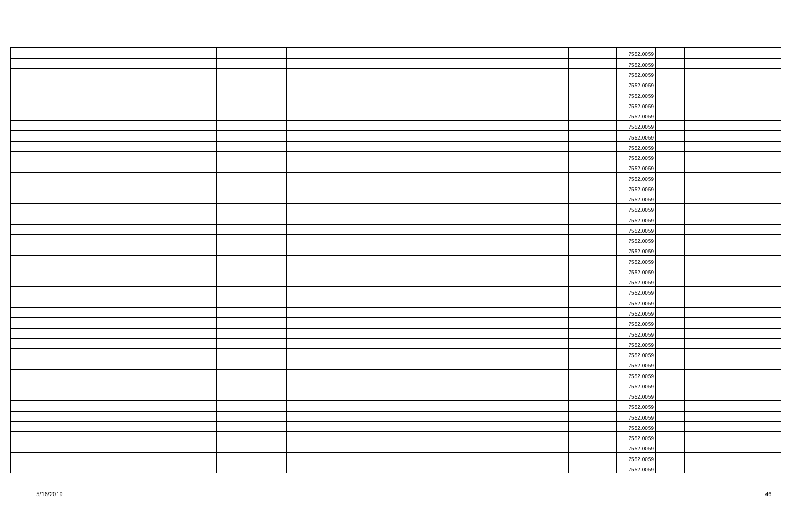|  |  |  | 7552.0059 |  |
|--|--|--|-----------|--|
|  |  |  | 7552.0059 |  |
|  |  |  | 7552.0059 |  |
|  |  |  | 7552.0059 |  |
|  |  |  | 7552.0059 |  |
|  |  |  | 7552.0059 |  |
|  |  |  | 7552.0059 |  |
|  |  |  | 7552.0059 |  |
|  |  |  | 7552.0059 |  |
|  |  |  | 7552.0059 |  |
|  |  |  | 7552.0059 |  |
|  |  |  | 7552.0059 |  |
|  |  |  | 7552.0059 |  |
|  |  |  | 7552.0059 |  |
|  |  |  | 7552.0059 |  |
|  |  |  | 7552.0059 |  |
|  |  |  | 7552.0059 |  |
|  |  |  | 7552.0059 |  |
|  |  |  | 7552.0059 |  |
|  |  |  | 7552.0059 |  |
|  |  |  | 7552.0059 |  |
|  |  |  | 7552.0059 |  |
|  |  |  | 7552.0059 |  |
|  |  |  | 7552.0059 |  |
|  |  |  | 7552.0059 |  |
|  |  |  | 7552.0059 |  |
|  |  |  | 7552.0059 |  |
|  |  |  | 7552.0059 |  |
|  |  |  | 7552.0059 |  |
|  |  |  | 7552.0059 |  |
|  |  |  | 7552.0059 |  |
|  |  |  | 7552.0059 |  |
|  |  |  | 7552.0059 |  |
|  |  |  | 7552.0059 |  |
|  |  |  | 7552.0059 |  |
|  |  |  | 7552.0059 |  |
|  |  |  | 7552.0059 |  |
|  |  |  | 7552.0059 |  |
|  |  |  | 7552.0059 |  |
|  |  |  | 7552.0059 |  |
|  |  |  | 7552.0059 |  |
|  |  |  |           |  |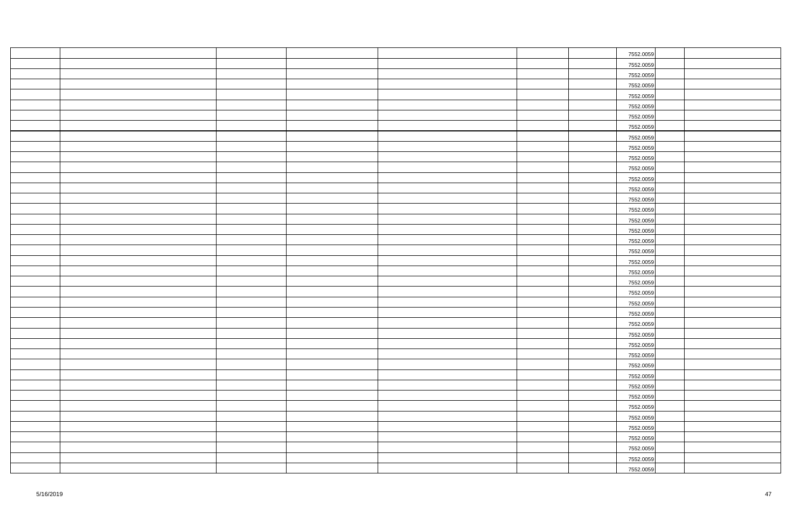|  |  |  | 7552.0059 |  |
|--|--|--|-----------|--|
|  |  |  | 7552.0059 |  |
|  |  |  | 7552.0059 |  |
|  |  |  | 7552.0059 |  |
|  |  |  | 7552.0059 |  |
|  |  |  | 7552.0059 |  |
|  |  |  | 7552.0059 |  |
|  |  |  | 7552.0059 |  |
|  |  |  | 7552.0059 |  |
|  |  |  | 7552.0059 |  |
|  |  |  | 7552.0059 |  |
|  |  |  | 7552.0059 |  |
|  |  |  | 7552.0059 |  |
|  |  |  | 7552.0059 |  |
|  |  |  | 7552.0059 |  |
|  |  |  | 7552.0059 |  |
|  |  |  | 7552.0059 |  |
|  |  |  | 7552.0059 |  |
|  |  |  | 7552.0059 |  |
|  |  |  | 7552.0059 |  |
|  |  |  | 7552.0059 |  |
|  |  |  | 7552.0059 |  |
|  |  |  | 7552.0059 |  |
|  |  |  | 7552.0059 |  |
|  |  |  | 7552.0059 |  |
|  |  |  | 7552.0059 |  |
|  |  |  | 7552.0059 |  |
|  |  |  | 7552.0059 |  |
|  |  |  | 7552.0059 |  |
|  |  |  | 7552.0059 |  |
|  |  |  | 7552.0059 |  |
|  |  |  | 7552.0059 |  |
|  |  |  | 7552.0059 |  |
|  |  |  | 7552.0059 |  |
|  |  |  | 7552.0059 |  |
|  |  |  | 7552.0059 |  |
|  |  |  | 7552.0059 |  |
|  |  |  | 7552.0059 |  |
|  |  |  | 7552.0059 |  |
|  |  |  | 7552.0059 |  |
|  |  |  | 7552.0059 |  |
|  |  |  |           |  |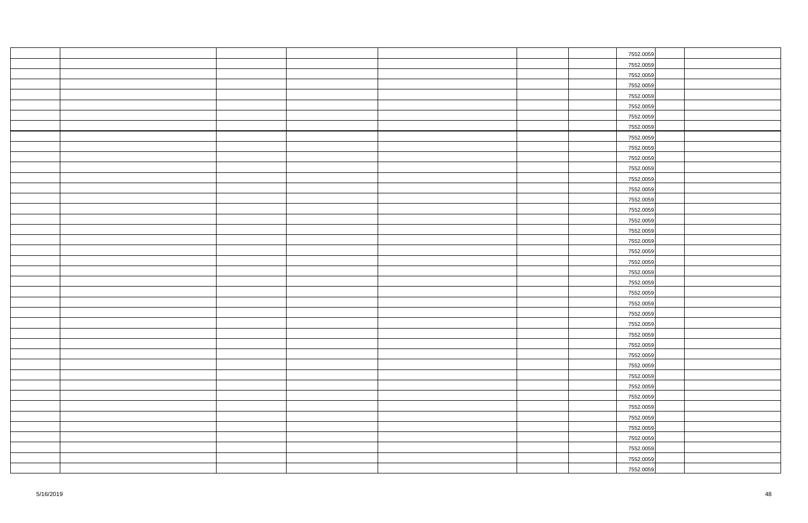|  |  |  | 7552.0059 |  |
|--|--|--|-----------|--|
|  |  |  | 7552.0059 |  |
|  |  |  | 7552.0059 |  |
|  |  |  | 7552.0059 |  |
|  |  |  | 7552.0059 |  |
|  |  |  | 7552.0059 |  |
|  |  |  | 7552.0059 |  |
|  |  |  | 7552.0059 |  |
|  |  |  | 7552.0059 |  |
|  |  |  | 7552.0059 |  |
|  |  |  | 7552.0059 |  |
|  |  |  | 7552.0059 |  |
|  |  |  | 7552.0059 |  |
|  |  |  | 7552.0059 |  |
|  |  |  | 7552.0059 |  |
|  |  |  | 7552.0059 |  |
|  |  |  | 7552.0059 |  |
|  |  |  | 7552.0059 |  |
|  |  |  | 7552.0059 |  |
|  |  |  | 7552.0059 |  |
|  |  |  | 7552.0059 |  |
|  |  |  | 7552.0059 |  |
|  |  |  | 7552.0059 |  |
|  |  |  | 7552.0059 |  |
|  |  |  | 7552.0059 |  |
|  |  |  | 7552.0059 |  |
|  |  |  | 7552.0059 |  |
|  |  |  | 7552.0059 |  |
|  |  |  | 7552.0059 |  |
|  |  |  | 7552.0059 |  |
|  |  |  | 7552.0059 |  |
|  |  |  | 7552.0059 |  |
|  |  |  | 7552.0059 |  |
|  |  |  | 7552.0059 |  |
|  |  |  | 7552.0059 |  |
|  |  |  | 7552.0059 |  |
|  |  |  | 7552.0059 |  |
|  |  |  | 7552.0059 |  |
|  |  |  | 7552.0059 |  |
|  |  |  | 7552.0059 |  |
|  |  |  | 7552.0059 |  |
|  |  |  |           |  |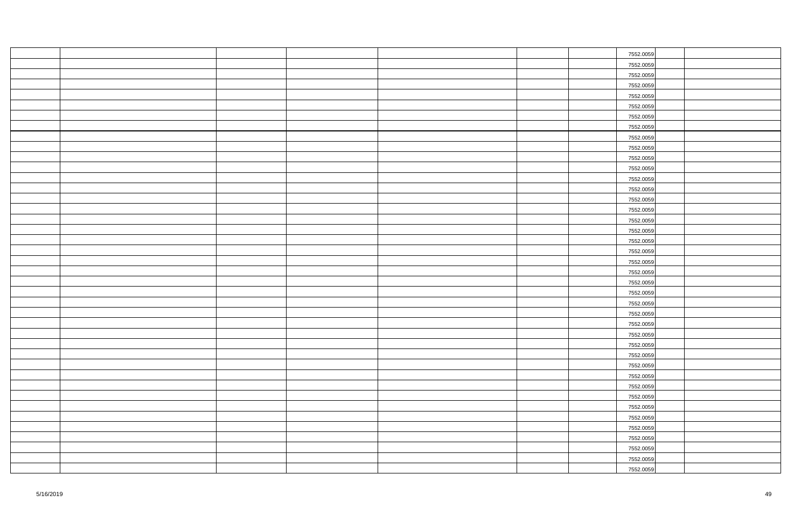|  |  |  | 7552.0059 |  |
|--|--|--|-----------|--|
|  |  |  | 7552.0059 |  |
|  |  |  | 7552.0059 |  |
|  |  |  | 7552.0059 |  |
|  |  |  | 7552.0059 |  |
|  |  |  | 7552.0059 |  |
|  |  |  | 7552.0059 |  |
|  |  |  | 7552.0059 |  |
|  |  |  | 7552.0059 |  |
|  |  |  | 7552.0059 |  |
|  |  |  | 7552.0059 |  |
|  |  |  | 7552.0059 |  |
|  |  |  | 7552.0059 |  |
|  |  |  | 7552.0059 |  |
|  |  |  | 7552.0059 |  |
|  |  |  | 7552.0059 |  |
|  |  |  | 7552.0059 |  |
|  |  |  | 7552.0059 |  |
|  |  |  | 7552.0059 |  |
|  |  |  | 7552.0059 |  |
|  |  |  | 7552.0059 |  |
|  |  |  | 7552.0059 |  |
|  |  |  | 7552.0059 |  |
|  |  |  | 7552.0059 |  |
|  |  |  | 7552.0059 |  |
|  |  |  | 7552.0059 |  |
|  |  |  | 7552.0059 |  |
|  |  |  | 7552.0059 |  |
|  |  |  | 7552.0059 |  |
|  |  |  | 7552.0059 |  |
|  |  |  | 7552.0059 |  |
|  |  |  | 7552.0059 |  |
|  |  |  | 7552.0059 |  |
|  |  |  | 7552.0059 |  |
|  |  |  | 7552.0059 |  |
|  |  |  | 7552.0059 |  |
|  |  |  | 7552.0059 |  |
|  |  |  | 7552.0059 |  |
|  |  |  | 7552.0059 |  |
|  |  |  | 7552.0059 |  |
|  |  |  | 7552.0059 |  |
|  |  |  |           |  |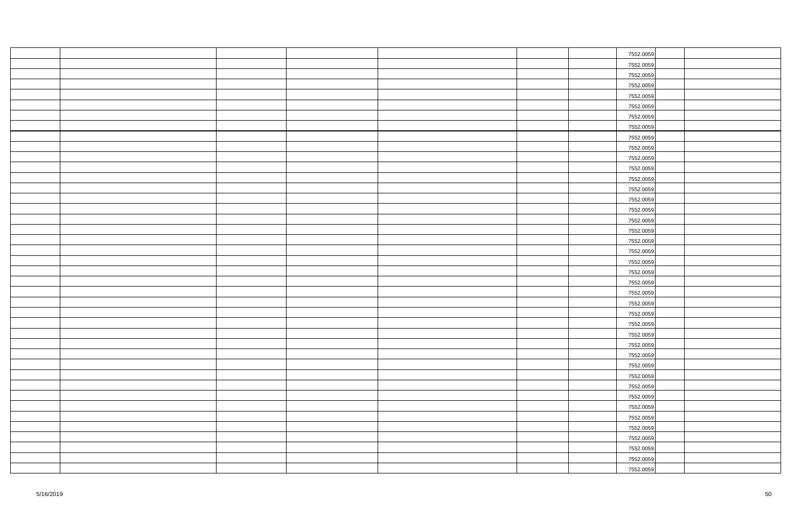|  |  |  | 7552.0059 |  |
|--|--|--|-----------|--|
|  |  |  | 7552.0059 |  |
|  |  |  | 7552.0059 |  |
|  |  |  | 7552.0059 |  |
|  |  |  | 7552.0059 |  |
|  |  |  | 7552.0059 |  |
|  |  |  | 7552.0059 |  |
|  |  |  | 7552.0059 |  |
|  |  |  | 7552.0059 |  |
|  |  |  | 7552.0059 |  |
|  |  |  | 7552.0059 |  |
|  |  |  | 7552.0059 |  |
|  |  |  | 7552.0059 |  |
|  |  |  | 7552.0059 |  |
|  |  |  | 7552.0059 |  |
|  |  |  | 7552.0059 |  |
|  |  |  | 7552.0059 |  |
|  |  |  | 7552.0059 |  |
|  |  |  | 7552.0059 |  |
|  |  |  | 7552.0059 |  |
|  |  |  | 7552.0059 |  |
|  |  |  | 7552.0059 |  |
|  |  |  | 7552.0059 |  |
|  |  |  | 7552.0059 |  |
|  |  |  | 7552.0059 |  |
|  |  |  | 7552.0059 |  |
|  |  |  | 7552.0059 |  |
|  |  |  | 7552.0059 |  |
|  |  |  | 7552.0059 |  |
|  |  |  | 7552.0059 |  |
|  |  |  | 7552.0059 |  |
|  |  |  | 7552.0059 |  |
|  |  |  | 7552.0059 |  |
|  |  |  | 7552.0059 |  |
|  |  |  | 7552.0059 |  |
|  |  |  | 7552.0059 |  |
|  |  |  | 7552.0059 |  |
|  |  |  | 7552.0059 |  |
|  |  |  | 7552.0059 |  |
|  |  |  | 7552.0059 |  |
|  |  |  | 7552.0059 |  |
|  |  |  |           |  |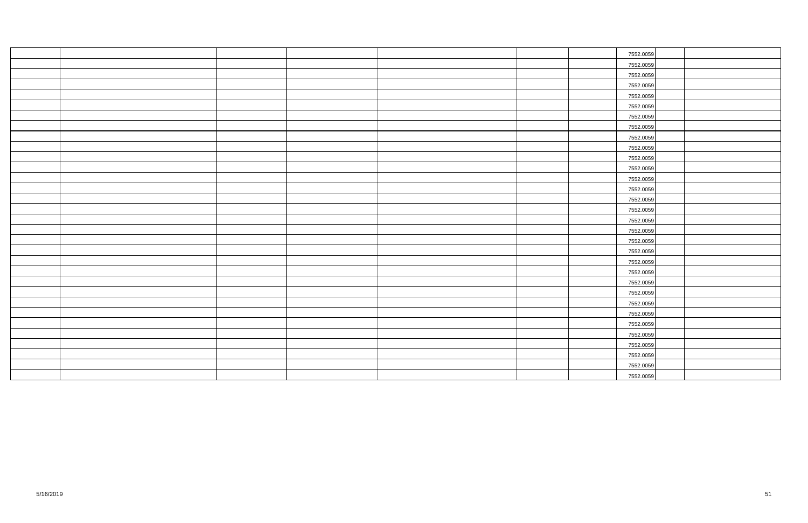|  |  |  | 7552.0059 |
|--|--|--|-----------|
|  |  |  | 7552.0059 |
|  |  |  | 7552.0059 |
|  |  |  | 7552.0059 |
|  |  |  | 7552.0059 |
|  |  |  | 7552.0059 |
|  |  |  | 7552.0059 |
|  |  |  | 7552.0059 |
|  |  |  | 7552.0059 |
|  |  |  | 7552.0059 |
|  |  |  | 7552.0059 |
|  |  |  | 7552.0059 |
|  |  |  | 7552.0059 |
|  |  |  | 7552.0059 |
|  |  |  | 7552.0059 |
|  |  |  | 7552.0059 |
|  |  |  | 7552.0059 |
|  |  |  | 7552.0059 |
|  |  |  | 7552.0059 |
|  |  |  | 7552.0059 |
|  |  |  | 7552.0059 |
|  |  |  | 7552.0059 |
|  |  |  | 7552.0059 |
|  |  |  | 7552.0059 |
|  |  |  | 7552.0059 |
|  |  |  | 7552.0059 |
|  |  |  | 7552.0059 |
|  |  |  | 7552.0059 |
|  |  |  | 7552.0059 |
|  |  |  | 7552.0059 |
|  |  |  | 7552.0059 |
|  |  |  | 7552.0059 |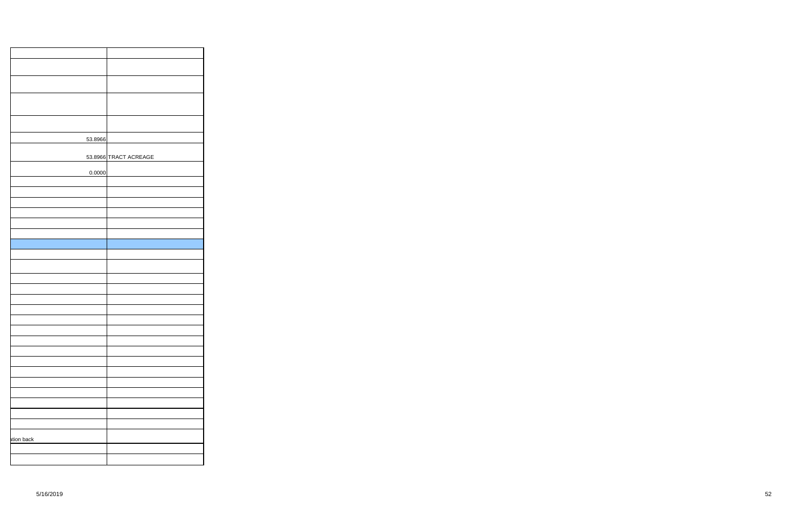|            | 53.8966 |                       |
|------------|---------|-----------------------|
|            |         |                       |
|            |         | 53.8966 TRACT ACREAGE |
|            | 0.0000  |                       |
|            |         |                       |
|            |         |                       |
|            |         |                       |
|            |         |                       |
|            |         |                       |
|            |         |                       |
|            |         |                       |
|            |         |                       |
|            |         |                       |
|            |         |                       |
|            |         |                       |
|            |         |                       |
|            |         |                       |
|            |         |                       |
|            |         |                       |
|            |         |                       |
|            |         |                       |
|            |         |                       |
|            |         |                       |
|            |         |                       |
|            |         |                       |
|            |         |                       |
|            |         |                       |
|            |         |                       |
| ation back |         |                       |
|            |         |                       |
|            |         |                       |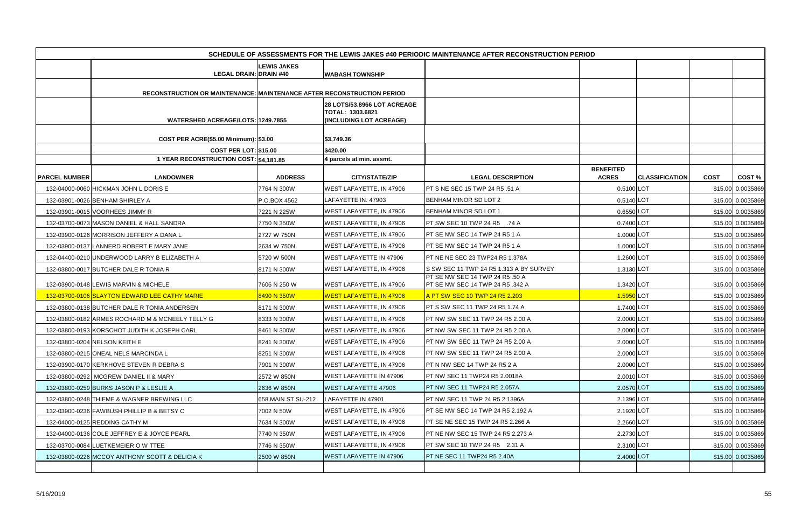|                      |                                                                        |                    |                                                                                   | SCHEDULE OF ASSESSMENTS FOR THE LEWIS JAKES #40 PERIODIC MAINTENANCE AFTER RECONSTRUCTION PERIOD |                                  |                       |             |                   |
|----------------------|------------------------------------------------------------------------|--------------------|-----------------------------------------------------------------------------------|--------------------------------------------------------------------------------------------------|----------------------------------|-----------------------|-------------|-------------------|
|                      |                                                                        | <b>LEWIS JAKES</b> |                                                                                   |                                                                                                  |                                  |                       |             |                   |
|                      | <b>LEGAL DRAIN: DRAIN #40</b>                                          |                    | <b>WABASH TOWNSHIP</b>                                                            |                                                                                                  |                                  |                       |             |                   |
|                      | RECONSTRUCTION OR MAINTENANCE: MAINTENANCE AFTER RECONSTRUCTION PERIOD |                    |                                                                                   |                                                                                                  |                                  |                       |             |                   |
|                      | <b>WATERSHED ACREAGE/LOTS: 1249.7855</b>                               |                    | <b>28 LOTS/53.8966 LOT ACREAGE</b><br>TOTAL: 1303.6821<br>(INCLUDING LOT ACREAGE) |                                                                                                  |                                  |                       |             |                   |
|                      | COST PER ACRE(\$5.00 Minimum): \$3.00                                  |                    | \$3,749.36                                                                        |                                                                                                  |                                  |                       |             |                   |
|                      | <b>COST PER LOT: \$15.00</b>                                           |                    | \$420.00                                                                          |                                                                                                  |                                  |                       |             |                   |
|                      | 1 YEAR RECONSTRUCTION COST: \$4,181.85                                 |                    | 4 parcels at min. assmt.                                                          |                                                                                                  |                                  |                       |             |                   |
| <b>PARCEL NUMBER</b> | <b>LANDOWNER</b>                                                       | <b>ADDRESS</b>     | <b>CITY/STATE/ZIP</b>                                                             | <b>LEGAL DESCRIPTION</b>                                                                         | <b>BENEFITED</b><br><b>ACRES</b> | <b>CLASSIFICATION</b> | <b>COST</b> | <b>COST %</b>     |
|                      | 132-04000-0060 HICKMAN JOHN L DORIS E                                  | 7764 N 300W        | WEST LAFAYETTE, IN 47906                                                          | <b>PT S NE SEC 15 TWP 24 R5 .51 A</b>                                                            | 0.5100 LOT                       |                       |             | \$15.00 0.0035869 |
|                      | 132-03901-0026 BENHAM SHIRLEY A                                        | P.O.BOX 4562       | LAFAYETTE IN. 47903                                                               | BENHAM MINOR SD LOT 2                                                                            | 0.5140 LOT                       |                       |             | \$15.00 0.0035869 |
|                      | 132-03901-0015 VOORHEES JIMMY R                                        | 7221 N 225W        | WEST LAFAYETTE, IN 47906                                                          | <b>BENHAM MINOR SD LOT 1</b>                                                                     | 0.6550 LOT                       |                       |             | \$15.00 0.0035869 |
|                      | 132-03700-0073 MASON DANIEL & HALL SANDRA                              | 7750 N 350W        | WEST LAFAYETTE, IN 47906                                                          | <b>PT SW SEC 10 TWP 24 R5 .74 A</b>                                                              | 0.7400 LOT                       |                       |             | \$15.00 0.0035869 |
|                      | 132-03900-0126 MORRISON JEFFERY A DANA L                               | 2727 W 750N        | <b>WEST LAFAYETTE, IN 47906</b>                                                   | PT SE NW SEC 14 TWP 24 R5 1 A                                                                    | 1.0000 LOT                       |                       |             | \$15.00 0.0035869 |
|                      | 132-03900-0137 LANNERD ROBERT E MARY JANE                              | 2634 W 750N        | <b>WEST LAFAYETTE, IN 47906</b>                                                   | PT SE NW SEC 14 TWP 24 R5 1 A                                                                    | 1.0000 LOT                       |                       |             | \$15.00 0.0035869 |
|                      | 132-04400-0210 UNDERWOOD LARRY B ELIZABETH A                           | 5720 W 500N        | WEST LAFAYETTE IN 47906                                                           | PT NE NE SEC 23 TWP24 R5 1.378A                                                                  | 1.2600 LOT                       |                       |             | \$15.00 0.0035869 |
|                      | 132-03800-0017 BUTCHER DALE R TONIA R                                  | 8171 N 300W        | WEST LAFAYETTE, IN 47906                                                          | S SW SEC 11 TWP 24 R5 1.313 A BY SURVEY                                                          | 1.3130 LOT                       |                       |             | \$15.00 0.0035869 |
|                      | 132-03900-0148 LEWIS MARVIN & MICHELE                                  | 7606 N 250 W       | <b>WEST LAFAYETTE, IN 47906</b>                                                   | PT SE NW SEC 14 TWP 24 R5 .50 A<br><b>PT SE NW SEC 14 TWP 24 R5 .342 A</b>                       | 1.3420 LOT                       |                       |             | \$15.00 0.0035869 |
|                      | 132-03700-0106 SLAYTON EDWARD LEE CATHY MARIE                          | 8490 N 350W        | <u>WEST LAFAYETTE, IN 47906</u>                                                   | A PT SW SEC 10 TWP 24 R5 2.203                                                                   | 1.5950 LOT                       |                       |             | \$15.00 0.0035869 |
|                      | 132-03800-0138 BUTCHER DALE R TONIA ANDERSEN                           | 8171 N 300W        | WEST LAFAYETTE, IN 47906                                                          | <b>PT S SW SEC 11 TWP 24 R5 1.74 A</b>                                                           | 1.7400 LOT                       |                       |             | \$15.00 0.0035869 |
|                      | 132-03800-0182 ARMES ROCHARD M & MCNEELY TELLY G                       | 8333 N 300W        | WEST LAFAYETTE, IN 47906                                                          | <b>PT NW SW SEC 11 TWP 24 R5 2.00 A</b>                                                          | 2.0000 LOT                       |                       |             | \$15.00 0.0035869 |
|                      | 132-03800-0193 KORSCHOT JUDITH K JOSEPH CARL                           | 8461 N 300W        | WEST LAFAYETTE, IN 47906                                                          | PT NW SW SEC 11 TWP 24 R5 2.00 A                                                                 | 2.0000 LOT                       |                       |             | \$15.00 0.0035869 |
|                      | 132-03800-0204 NELSON KEITH E                                          | 8241 N 300W        | WEST LAFAYETTE, IN 47906                                                          | PT NW SW SEC 11 TWP 24 R5 2.00 A                                                                 | 2.0000 LOT                       |                       |             | \$15.00 0.0035869 |
|                      | 132-03800-0215 ONEAL NELS MARCINDA L                                   | 8251 N 300W        | WEST LAFAYETTE, IN 47906                                                          | <b>PT NW SW SEC 11 TWP 24 R5 2.00 A</b>                                                          | 2.0000 LOT                       |                       |             | \$15.00 0.0035869 |
|                      | 132-03900-0170 KERKHOVE STEVEN R DEBRA S                               | 7901 N 300W        | WEST LAFAYETTE, IN 47906                                                          | PT N NW SEC 14 TWP 24 R5 2 A                                                                     | 2.0000 LOT                       |                       |             | \$15.00 0.0035869 |
|                      | 132-03800-0292 MCGREW DANIEL II & MARY                                 | 2572 W 850N        | <b>WEST LAFAYETTE IN 47906</b>                                                    | <b>PT NW SEC 11 TWP24 R5 2.0018A</b>                                                             | 2.0010 LOT                       |                       |             | \$15.00 0.0035869 |
|                      | 132-03800-0259 BURKS JASON P & LESLIE A                                | 2636 W 850N        | <b>WEST LAFAYETTE 47906</b>                                                       | <b>PT NW SEC 11 TWP24 R5 2.057A</b>                                                              | 2.0570 LOT                       |                       |             | \$15.00 0.0035869 |
|                      | 132-03800-0248 THIEME & WAGNER BREWING LLC                             | 658 MAIN ST SU-212 | LAFAYETTE IN 47901                                                                | <b>PT NW SEC 11 TWP 24 R5 2.1396A</b>                                                            | 2.1396 LOT                       |                       |             | \$15.00 0.0035869 |
|                      | 132-03900-0236 FAWBUSH PHILLIP B & BETSY C                             | 7002 N 50W         | WEST LAFAYETTE, IN 47906                                                          | <b>PT SE NW SEC 14 TWP 24 R5 2.192 A</b>                                                         | 2.1920 LOT                       |                       |             | \$15.00 0.0035869 |
|                      | 132-04000-0125 REDDING CATHY M                                         | 7634 N 300W        | WEST LAFAYETTE, IN 47906                                                          | <b>PT SE NE SEC 15 TWP 24 R5 2.266 A</b>                                                         | 2.2660 LOT                       |                       |             | \$15.00 0.0035869 |
|                      | 132-04000-0136 COLE JEFFREY E & JOYCE PEARL                            | 7740 N 350W        | <b>WEST LAFAYETTE, IN 47906</b>                                                   | <b>PT NE NW SEC 15 TWP 24 R5 2.273 A</b>                                                         | 2.2730 LOT                       |                       |             | \$15.00 0.0035869 |
|                      | 132-03700-0084 LUETKEMEIER O W TTEE                                    | 7746 N 350W        | WEST LAFAYETTE, IN 47906                                                          | <b>PT SW SEC 10 TWP 24 R5 2.31 A</b>                                                             | 2.3100 LOT                       |                       |             | \$15.00 0.0035869 |
|                      | 132-03800-0226 MCCOY ANTHONY SCOTT & DELICIA K                         | 2500 W 850N        | <b>WEST LAFAYETTE IN 47906</b>                                                    | PT NE SEC 11 TWP24 R5 2.40A                                                                      | 2.4000 LOT                       |                       |             | \$15.00 0.0035869 |
|                      |                                                                        |                    |                                                                                   |                                                                                                  |                                  |                       |             |                   |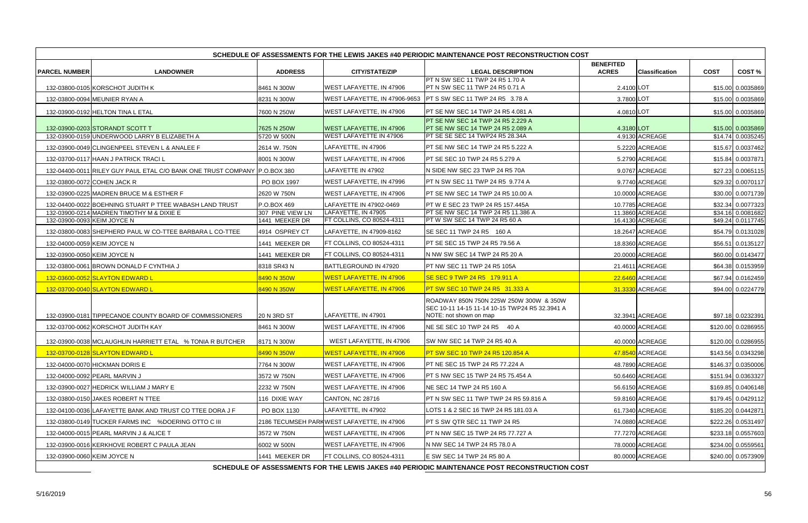| SCHEDULE OF ASSESSMENTS FOR THE LEWIS JAKES #40 PERIODIC MAINTENANCE POST RECONSTRUCTION COST |                                                                                               |                    |                                            |                                                                                           |                                  |                       |             |                    |
|-----------------------------------------------------------------------------------------------|-----------------------------------------------------------------------------------------------|--------------------|--------------------------------------------|-------------------------------------------------------------------------------------------|----------------------------------|-----------------------|-------------|--------------------|
| <b>PARCEL NUMBER</b>                                                                          | <b>LANDOWNER</b>                                                                              | <b>ADDRESS</b>     | <b>CITY/STATE/ZIP</b>                      | <b>LEGAL DESCRIPTION</b>                                                                  | <b>BENEFITED</b><br><b>ACRES</b> | <b>Classification</b> | <b>COST</b> | COST%              |
|                                                                                               |                                                                                               |                    |                                            | <b>PT N SW SEC 11 TWP 24 R5 1.70 A</b>                                                    |                                  |                       |             |                    |
|                                                                                               | 132-03800-0105 KORSCHOT JUDITH K                                                              | 8461 N 300W        | WEST LAFAYETTE, IN 47906                   | <b>PT N SW SEC 11 TWP 24 R5 0.71 A</b>                                                    | 2.4100 LOT                       |                       |             | \$15.00 0.0035869  |
|                                                                                               | 132-03800-0094 MEUNIER RYAN A                                                                 | 8231 N 300W        | WEST LAFAYETTE, IN 47906-9653              | <b>IPT S SW SEC 11 TWP 24 R5 3.78 A</b>                                                   | 3.7800 LOT                       |                       |             | \$15.00 0.0035869  |
|                                                                                               | 132-03900-0192 HELTON TINA L ETAL                                                             | 7600 N 250W        | WEST LAFAYETTE, IN 47906                   | <b>PT SE NW SEC 14 TWP 24 R5 4.081 A</b>                                                  | 4.0810 LOT                       |                       |             | \$15.00 0.0035869  |
|                                                                                               | 132-03900-0203 STORANDT SCOTT T                                                               | 7625 N 250W        | <b>WEST LAFAYETTE, IN 47906</b>            | <b>PT SE NW SEC 14 TWP 24 R5 2.229 A</b><br><b>PT SE NW SEC 14 TWP 24 R5 2.089 A</b>      | 4.3180 LOT                       |                       |             | \$15.00 0.0035869  |
|                                                                                               | 132-03900-0159 UNDERWOOD LARRY B ELIZABETH A                                                  | 5720 W 500N        | <b>WEST LAFAYETTE IN 47906</b>             | PT SE SE SEC 14 TWP24 R5 28.34A                                                           |                                  | 4.9130 ACREAGE        |             | \$14.74 0.0035245  |
|                                                                                               | 132-03900-0049 CLINGENPEEL STEVEN L & ANALEE F                                                | 2614 W. 750N       | LAFAYETTE, IN 47906                        | <b>PT SE NW SEC 14 TWP 24 R5 5.222 A</b>                                                  |                                  | 5.2220 ACREAGE        |             | \$15.67 0.0037462  |
|                                                                                               | 132-03700-0117 HAAN J PATRICK TRACI L                                                         | 8001 N 300W        | WEST LAFAYETTE, IN 47906                   | PT SE SEC 10 TWP 24 R5 5.279 A                                                            |                                  | 5.2790 ACREAGE        |             | \$15.84 0.0037871  |
|                                                                                               | 132-04400-0011 RILEY GUY PAUL ETAL C/O BANK ONE TRUST COMPANY P.O.BOX 380                     |                    | LAFAYETTE IN 47902                         | N SIDE NW SEC 23 TWP 24 R5 70A                                                            |                                  | 9.0767 ACREAGE        |             | \$27.23 0.0065115  |
|                                                                                               | 132-03800-0072 COHEN JACK R                                                                   | PO BOX 1997        | WEST LAFAYETTE, IN 47996                   | <b>PT N SW SEC 11 TWP 24 R5 9.774 A</b>                                                   |                                  | 9.7740 ACREAGE        |             | \$29.32 0.0070117  |
|                                                                                               | 132-03900-0225 MADREN BRUCE M & ESTHER F                                                      | 2620 W 750N        | WEST LAFAYETTE, IN 47906                   | <b>PT SE NW SEC 14 TWP 24 R5 10.00 A</b>                                                  |                                  | 10.0000 ACREAGE       |             | \$30.00 0.0071739  |
|                                                                                               | 132-04400-0022 BOEHNING STUART P TTEE WABASH LAND TRUST                                       | P.O.BOX 469        | LAFAYETTE IN 47902-0469                    | PT W E SEC 23 TWP 24 R5 157.445A                                                          |                                  | 10.7785 ACREAGE       |             | \$32.34 0.0077323  |
|                                                                                               | 132-03900-0214 MADREN TIMOTHY M & DIXIE E                                                     | 307 PINE VIEW LN   | LAFAYETTE, IN 47905                        | PT SE NW SEC 14 TWP 24 R5 11.386 A                                                        |                                  | 11.3860 ACREAGE       |             | \$34.16 0.0081682  |
| 132-03900-0093 KEIM JOYCE N                                                                   |                                                                                               | 1441 MEEKER DR     | FT COLLINS, CO 80524-4311                  | PT W SW SEC 14 TWP 24 R5 60 A                                                             |                                  | 16.4130 ACREAGE       |             | \$49.24 0.0117745  |
|                                                                                               | 132-03800-0083 SHEPHERD PAUL W CO-TTEE BARBARA L CO-TTEE                                      | 4914 OSPREY CT     | LAFAYETTE, IN 47909-8162                   | SE SEC 11 TWP 24 R5 160 A                                                                 |                                  | 18.2647 ACREAGE       |             | \$54.79 0.0131028  |
| 132-04000-0059 KEIM JOYCE N                                                                   |                                                                                               | 1441 MEEKER DR     | FT COLLINS, CO 80524-4311                  | <b>PT SE SEC 15 TWP 24 R5 79.56 A</b>                                                     |                                  | 18.8360 ACREAGE       |             | \$56.51 0.0135127  |
| 132-03900-0050 KEIM JOYCE N                                                                   |                                                                                               | 1441 MEEKER DR     | FT COLLINS, CO 80524-4311                  | N NW SW SEC 14 TWP 24 R5 20 A                                                             |                                  | 20.0000 ACREAGE       |             | \$60.00 0.0143477  |
|                                                                                               | 132-03800-0061 BROWN DONALD F CYNTHIA J                                                       | 8318 SR43 N        | BATTLEGROUND IN 47920                      | <b>PT NW SEC 11 TWP 24 R5 105A</b>                                                        |                                  | 21.4611 ACREAGE       |             | \$64.38 0.0153959  |
|                                                                                               | 132-03600-0052 SLAYTON EDWARD L                                                               | 8490 N 350W        | WEST LAFAYETTE, IN 47906                   | SE SEC 9 TWP 24 R5 179.911 A                                                              |                                  | 22.6460 ACREAGE       |             | \$67.94 0.0162459  |
|                                                                                               | 132-03700-0040 SLAYTON EDWARD L                                                               | 8490 N 350W        | WEST LAFAYETTE, IN 47906                   | <b>PT SW SEC 10 TWP 24 R5 31.333 A</b>                                                    |                                  | 31.3330 ACREAGE       |             | \$94.00 0.0224779  |
|                                                                                               |                                                                                               |                    |                                            | ROADWAY 850N 750N 225W 250W 300W & 350W<br>SEC 10-11 14-15 11-14 10-15 TWP24 R5 32.3941 A |                                  |                       |             |                    |
|                                                                                               | 132-03900-0181 TIPPECANOE COUNTY BOARD OF COMMISSIONERS                                       | <b>20 N 3RD ST</b> | LAFAYETTE, IN 47901                        | NOTE: not shown on map                                                                    |                                  | 32.3941 ACREAGE       |             | \$97.18 0.0232391  |
|                                                                                               | 132-03700-0062 KORSCHOT JUDITH KAY                                                            | 8461 N 300W        | WEST LAFAYETTE, IN 47906                   | NE SE SEC 10 TWP 24 R5 40 A                                                               |                                  | 40.0000 ACREAGE       |             | \$120.00 0.0286955 |
|                                                                                               | 132-03900-0038 MCLAUGHLIN HARRIETT ETAL % TONIA R BUTCHER                                     | 8171 N 300W        | WEST LAFAYETTE, IN 47906                   | SW NW SEC 14 TWP 24 R5 40 A                                                               |                                  | 40.0000 ACREAGE       |             | \$120.00 0.0286955 |
|                                                                                               | 132-03700-0128 SLAYTON EDWARD L                                                               | 8490 N 350W        | <u>WEST LAFAYETTE, IN 47906</u>            | PT SW SEC 10 TWP 24 R5 120.854 A                                                          |                                  | 47.8540 ACREAGE       |             | \$143.56 0.0343298 |
|                                                                                               | 132-04000-0070 HICKMAN DORIS E                                                                | 7764 N 300W        | WEST LAFAYETTE, IN 47906                   | <b>PT NE SEC 15 TWP 24 R5 77.224 A</b>                                                    |                                  | 48.7890 ACREAGE       |             | \$146.37 0.0350006 |
|                                                                                               | 132-04000-0092 PEARL MARVIN J                                                                 | 3572 W 750N        | WEST LAFAYETTE, IN 47906                   | <b>PT S NW SEC 15 TWP 24 R5 75.454 A</b>                                                  |                                  | 50.6460 ACREAGE       |             | \$151.94 0.0363327 |
|                                                                                               | 132-03900-0027 HEDRICK WILLIAM J MARY E                                                       | 2232 W 750N        | WEST LAFAYETTE, IN 47906                   | NE SEC 14 TWP 24 R5 160 A                                                                 |                                  | 56.6150 ACREAGE       |             | \$169.85 0.0406148 |
|                                                                                               | 132-03800-0150 JAKES ROBERT N TTEE                                                            | 116 DIXIE WAY      | CANTON, NC 28716                           | PT N SW SEC 11 TWP TWP 24 R5 59.816 A                                                     |                                  | 59.8160 ACREAGE       |             | \$179.45 0.0429112 |
|                                                                                               | 132-04100-0036 LAFAYETTE BANK AND TRUST CO TTEE DORA J F                                      | PO BOX 1130        | LAFAYETTE, IN 47902                        | LOTS 1 & 2 SEC 16 TWP 24 R5 181.03 A                                                      |                                  | 61.7340 ACREAGE       |             | \$185.20 0.0442871 |
|                                                                                               | 132-03800-0149 TUCKER FARMS INC %DOERING OTTO C III                                           |                    | 2186 TECUMSEH PARKWEST LAFAYETTE, IN 47906 | <b>PT S SW QTR SEC 11 TWP 24 R5</b>                                                       |                                  | 74.0880 ACREAGE       |             | \$222.26 0.0531497 |
|                                                                                               | 132-04000-0015 PEARL MARVIN J & ALICE T                                                       | 3572 W 750N        | WEST LAFAYETTE, IN 47906                   | <b>PT N NW SEC 15 TWP 24 R5 77.727 A</b>                                                  |                                  | 77.7270 ACREAGE       |             | \$233.18 0.0557603 |
|                                                                                               | 132-03900-0016 KERKHOVE ROBERT C PAULA JEAN                                                   | 6002 W 500N        | WEST LAFAYETTE, IN 47906                   | IN NW SEC 14 TWP 24 R5 78.0 A                                                             |                                  | 78.0000 ACREAGE       |             | \$234.00 0.0559561 |
| 132-03900-0060 KEIM JOYCE N                                                                   |                                                                                               | 1441 MEEKER DR     | FT COLLINS, CO 80524-4311                  | E SW SEC 14 TWP 24 R5 80 A                                                                |                                  | 80.0000 ACREAGE       |             | \$240.00 0.0573909 |
|                                                                                               | SCHEDULE OF ASSESSMENTS FOR THE LEWIS JAKES #40 PERIODIC MAINTENANCE POST RECONSTRUCTION COST |                    |                                            |                                                                                           |                                  |                       |             |                    |

 **SCHEDULE OF ASSESSMENTS FOR THE LEWIS JAKES #40 PERIODIC MAINTENANCE POST RECONSTRUCTION COST**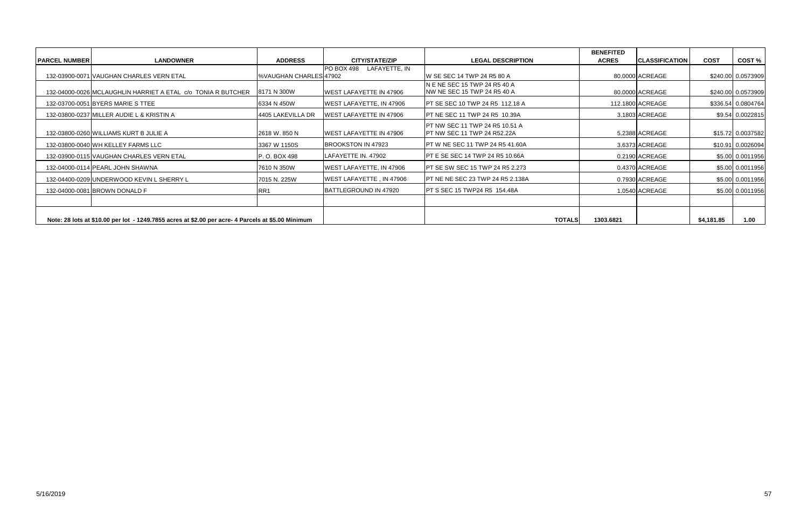|                       |                                                                                                    |                              |                                |                                                                             | <b>BENEFITED</b> |                        |             |                    |
|-----------------------|----------------------------------------------------------------------------------------------------|------------------------------|--------------------------------|-----------------------------------------------------------------------------|------------------|------------------------|-------------|--------------------|
| <b> PARCEL NUMBER</b> | <b>LANDOWNER</b>                                                                                   | <b>ADDRESS</b>               | <b>CITY/STATE/ZIP</b>          | <b>LEGAL DESCRIPTION</b>                                                    | <b>ACRES</b>     | <b>ICLASSIFICATION</b> | <b>COST</b> | COST%              |
|                       | 132-03900-0071 VAUGHAN CHARLES VERN ETAL                                                           | <b>WAUGHAN CHARLES 47902</b> | PO BOX 498 LAFAYETTE, IN       | IW SE SEC 14 TWP 24 R5 80 A                                                 |                  | 80.0000 ACREAGE        |             | \$240.00 0.0573909 |
|                       | 132-04000-0026 MCLAUGHLIN HARRIET A ETAL c/o TONIA R BUTCHER                                       | 8171 N 300W                  | <b>WEST LAFAYETTE IN 47906</b> | N E NE SEC 15 TWP 24 R5 40 A<br>INW NE SEC 15 TWP 24 R5 40 A                |                  | 80.0000 ACREAGE        |             | \$240.00 0.0573909 |
|                       | 132-03700-0051 BYERS MARIE S TTEE                                                                  | 6334 N 450W                  | WEST LAFAYETTE, IN 47906       | <b>IPT SE SEC 10 TWP 24 R5 112.18 A</b>                                     |                  | 112.1800 ACREAGE       |             | \$336.54 0.0804764 |
|                       | 132-03800-0237 MILLER AUDIE L & KRISTIN A                                                          | 4405 LAKEVILLA DR            | <b>WEST LAFAYETTE IN 47906</b> | <b>PT NE SEC 11 TWP 24 R5 10.39A</b>                                        |                  | 3.1803 ACREAGE         |             | \$9.54 0.0022815   |
|                       | 132-03800-0260 WILLIAMS KURT B JULIE A                                                             | 2618 W. 850 N                | <b>WEST LAFAYETTE IN 47906</b> | <b>PT NW SEC 11 TWP 24 R5 10.51 A</b><br><b>PT NW SEC 11 TWP 24 R52.22A</b> |                  | 5.2388 ACREAGE         |             | \$15.72 0.0037582  |
|                       | 132-03800-0040 WH KELLEY FARMS LLC                                                                 | 3367 W 1150S                 | BROOKSTON IN 47923             | <b>PT W NE SEC 11 TWP 24 R5 41.60A</b>                                      |                  | 3.6373 ACREAGE         |             | \$10.91 0.0026094  |
|                       | 132-03900-0115 VAUGHAN CHARLES VERN ETAL                                                           | P. O. BOX 498                | LAFAYETTE IN. 47902            | <b>PT E SE SEC 14 TWP 24 R5 10.66A</b>                                      |                  | 0.2190 ACREAGE         |             | \$5.00 0.0011956   |
|                       | 132-04000-0114 PEARL JOHN SHAWNA                                                                   | 7610 N 350W                  | WEST LAFAYETTE, IN 47906       | <b>IPT SE SW SEC 15 TWP 24 R5 2.273</b>                                     |                  | 0.4370 ACREAGE         |             | \$5.00 0.0011956   |
|                       | 132-04400-0209 UNDERWOOD KEVIN L SHERRY L                                                          | 7015 N. 225W                 | WEST LAFAYETTE, IN 47906       | <b>IPT NE NE SEC 23 TWP 24 R5 2.138A</b>                                    |                  | 0.7930 ACREAGE         |             | \$5.00 0.0011956   |
|                       | 132-04000-0081 BROWN DONALD F                                                                      | RR <sub>1</sub>              | BATTLEGROUND IN 47920          | <b>PT S SEC 15 TWP24 R5 154.48A</b>                                         |                  | 1.0540 ACREAGE         |             | \$5.00 0.0011956   |
|                       |                                                                                                    |                              |                                |                                                                             |                  |                        |             |                    |
|                       | Note: 28 lots at \$10.00 per lot - 1249.7855 acres at \$2.00 per acre- 4 Parcels at \$5.00 Minimum |                              |                                | <b>TOTALS</b>                                                               | 1303.6821        |                        | \$4,181.85  | 1.00               |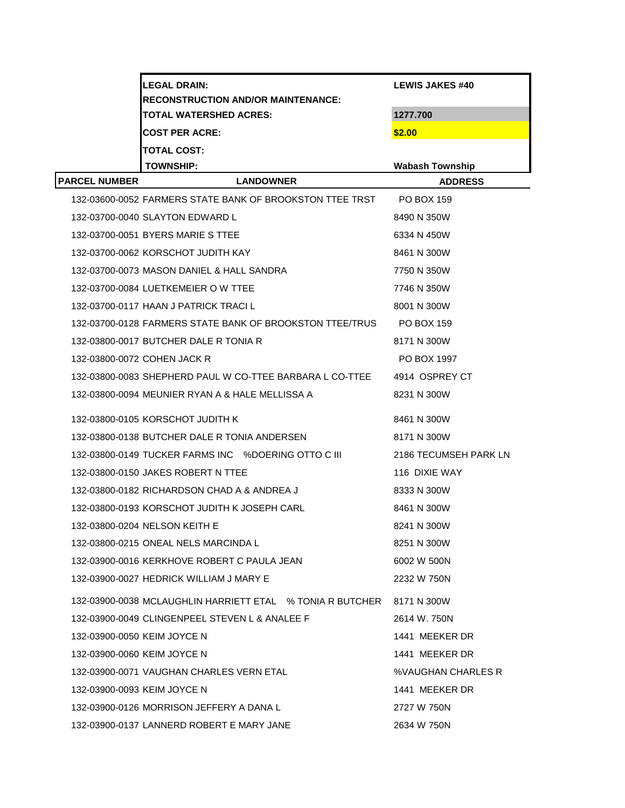| <b>RECONSTRUCTION AND/OR MAINTENANCE:</b>  | <b>LEWIS JAKES #40</b> |  |
|--------------------------------------------|------------------------|--|
| <b>TOTAL WATERSHED ACRES:</b><br>1277.700  |                        |  |
| <b>COST PER ACRE:</b><br>\$2.00            |                        |  |
| <b>TOTAL COST:</b>                         |                        |  |
| <b>TOWNSHIP:</b><br><b>Wabash Township</b> |                        |  |
| <b>IPARCEL NUMBER</b><br><b>LANDOWNER</b>  | <b>ADDRESS</b>         |  |

| 132-03600-0052 FARMERS STATE BANK OF BROOKSTON TTEE TRST            | PO BOX 159            |
|---------------------------------------------------------------------|-----------------------|
| 132-03700-0040 SLAYTON EDWARD L                                     | 8490 N 350W           |
| 132-03700-0051 BYERS MARIE S TTEE                                   | 6334 N 450W           |
| 132-03700-0062 KORSCHOT JUDITH KAY                                  | 8461 N 300W           |
| 132-03700-0073 MASON DANIEL & HALL SANDRA                           | 7750 N 350W           |
| 132-03700-0084 LUETKEMEIER O W TTEE                                 | 7746 N 350W           |
| 132-03700-0117 HAAN J PATRICK TRACI L                               | 8001 N 300W           |
| 132-03700-0128 FARMERS STATE BANK OF BROOKSTON TTEE/TRUS PO BOX 159 |                       |
| 132-03800-0017 BUTCHER DALE R TONIA R                               | 8171 N 300W           |
| 132-03800-0072 COHEN JACK R                                         | PO BOX 1997           |
| 132-03800-0083 SHEPHERD PAUL W CO-TTEE BARBARA L CO-TTEE            | 4914 OSPREY CT        |
| 132-03800-0094 MEUNIER RYAN A & HALE MELLISSA A                     | 8231 N 300W           |
| 132-03800-0105 KORSCHOT JUDITH K                                    | 8461 N 300W           |
| 132-03800-0138 BUTCHER DALE R TONIA ANDERSEN                        | 8171 N 300W           |
| 132-03800-0149 TUCKER FARMS INC %DOERING OTTO C III                 | 2186 TECUMSEH PARK LN |
| 132-03800-0150 JAKES ROBERT N TTEE                                  | 116 DIXIE WAY         |
| 132-03800-0182 RICHARDSON CHAD A & ANDREA J                         | 8333 N 300W           |
| 132-03800-0193 KORSCHOT JUDITH K JOSEPH CARL                        | 8461 N 300W           |
| 132-03800-0204 NELSON KEITH E                                       | 8241 N 300W           |
| 132-03800-0215 ONEAL NELS MARCINDA L                                | 8251 N 300W           |
| 132-03900-0016 KERKHOVE ROBERT C PAULA JEAN                         | 6002 W 500N           |
| 132-03900-0027 HEDRICK WILLIAM J MARY E                             | 2232 W 750N           |
| 132-03900-0038 MCLAUGHLIN HARRIETT ETAL % TONIA R BUTCHER           | 8171 N 300W           |
| 132-03900-0049 CLINGENPEEL STEVEN L & ANALEE F                      | 2614 W. 750N          |
| 132-03900-0050 KEIM JOYCE N                                         | 1441 MEEKER DR        |
| 132-03900-0060 KEIM JOYCE N                                         | 1441 MEEKER DR        |
| 132-03900-0071 VAUGHAN CHARLES VERN ETAL                            | %VAUGHAN CHARLES R    |
| 132-03900-0093 KEIM JOYCE N                                         | 1441 MEEKER DR        |
| 132-03900-0126 MORRISON JEFFERY A DANA L                            | 2727 W 750N           |
| 132-03900-0137 LANNERD ROBERT E MARY JANE                           | 2634 W 750N           |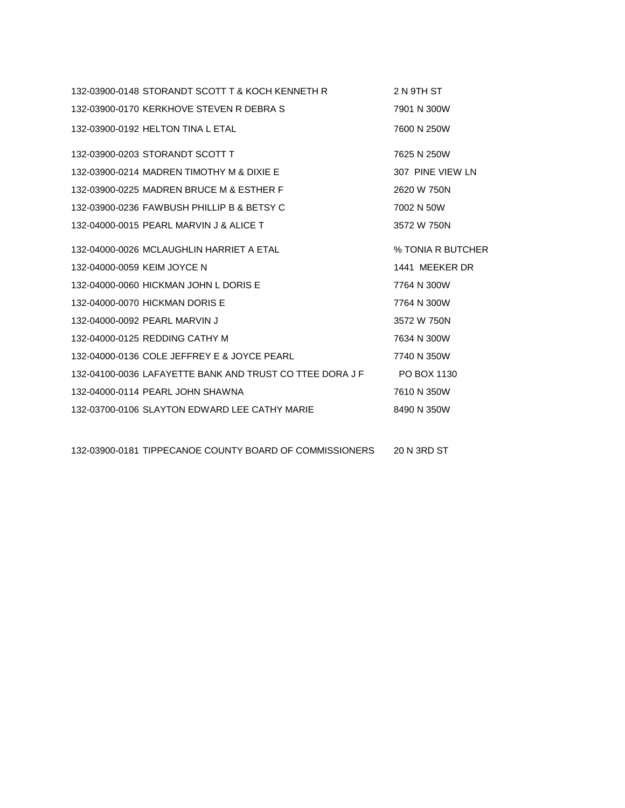|                             | 132-03900-0148 STORANDT SCOTT T & KOCH KENNETH R                     | 2 N 9TH ST        |
|-----------------------------|----------------------------------------------------------------------|-------------------|
|                             | 132-03900-0170 KERKHOVE STEVEN R DEBRA S                             | 7901 N 300W       |
|                             | 132-03900-0192 HELTON TINA L ETAL                                    | 7600 N 250W       |
|                             | 132-03900-0203 STORANDT SCOTT T                                      | 7625 N 250W       |
|                             | 132-03900-0214 MADREN TIMOTHY M & DIXIE E                            | 307 PINE VIEW LN  |
|                             | 132-03900-0225 MADREN BRUCE M & ESTHER F                             | 2620 W 750N       |
|                             | 132-03900-0236 FAWBUSH PHILLIP B & BETSY C                           | 7002 N 50W        |
|                             | 132-04000-0015 PEARL MARVIN J & ALICE T                              | 3572 W 750N       |
|                             | 132-04000-0026 MCLAUGHLIN HARRIET A ETAL                             | % TONIA R BUTCHER |
| 132-04000-0059 KEIM JOYCE N |                                                                      | 1441 MEEKER DR    |
|                             | 132-04000-0060 HICKMAN JOHN L DORIS E                                | 7764 N 300W       |
|                             | 132-04000-0070 HICKMAN DORIS E                                       | 7764 N 300W       |
|                             | 132-04000-0092 PEARL MARVIN J                                        | 3572 W 750N       |
|                             | 132-04000-0125 REDDING CATHY M                                       | 7634 N 300W       |
|                             | 132-04000-0136 COLE JEFFREY E & JOYCE PEARL                          | 7740 N 350W       |
|                             | 132-04100-0036 LAFAYETTE BANK AND TRUST CO TTEE DORA J F PO BOX 1130 |                   |
|                             | 132-04000-0114 PEARL JOHN SHAWNA                                     | 7610 N 350W       |
|                             | 132-03700-0106 SLAYTON EDWARD LEE CATHY MARIE                        | 8490 N 350W       |
|                             |                                                                      |                   |

132-03900-0181 TIPPECANOE COUNTY BOARD OF COMMISSIONERS 20 N 3RD ST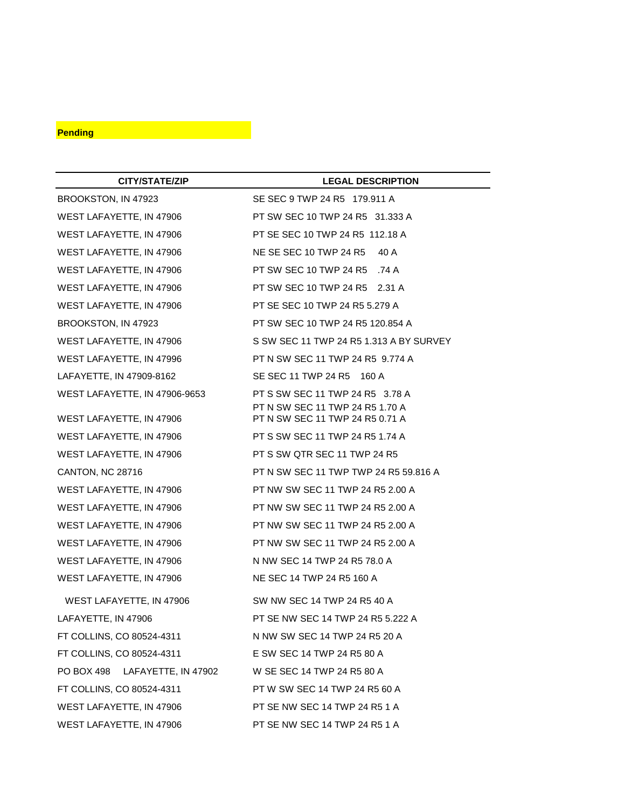## **Pending**

| CITY/STATE/ZIP                 | <b>LEGAL DESCRIPTION</b>                                           |
|--------------------------------|--------------------------------------------------------------------|
| BROOKSTON, IN 47923            | SE SEC 9 TWP 24 R5 179.911 A                                       |
| WEST LAFAYETTE, IN 47906       | PT SW SEC 10 TWP 24 R5 31.333 A                                    |
| WEST LAFAYETTE, IN 47906       | PT SE SEC 10 TWP 24 R5 112.18 A                                    |
| WEST LAFAYETTE, IN 47906       | NE SE SEC 10 TWP 24 R5<br>40 A                                     |
| WEST LAFAYETTE, IN 47906       | PT SW SEC 10 TWP 24 R5 .74 A                                       |
| WEST LAFAYETTE, IN 47906       | PT SW SEC 10 TWP 24 R5 2.31 A                                      |
| WEST LAFAYETTE, IN 47906       | PT SE SEC 10 TWP 24 R5 5.279 A                                     |
| BROOKSTON, IN 47923            | PT SW SEC 10 TWP 24 R5 120.854 A                                   |
| WEST LAFAYETTE, IN 47906       | S SW SEC 11 TWP 24 R5 1.313 A BY SURVEY                            |
| WEST LAFAYETTE, IN 47996       | PT N SW SEC 11 TWP 24 R5 9.774 A                                   |
| LAFAYETTE, IN 47909-8162       | SE SEC 11 TWP 24 R5 160 A                                          |
| WEST LAFAYETTE, IN 47906-9653  | PT S SW SEC 11 TWP 24 R5 3.78 A                                    |
| WEST LAFAYETTE, IN 47906       | PT N SW SEC 11 TWP 24 R5 1.70 A<br>PT N SW SEC 11 TWP 24 R5 0.71 A |
| WEST LAFAYETTE, IN 47906       | PT S SW SEC 11 TWP 24 R5 1.74 A                                    |
| WEST LAFAYETTE, IN 47906       | PT S SW QTR SEC 11 TWP 24 R5                                       |
| CANTON, NC 28716               | PT N SW SEC 11 TWP TWP 24 R5 59.816 A                              |
| WEST LAFAYETTE, IN 47906       | PT NW SW SEC 11 TWP 24 R5 2.00 A                                   |
| WEST LAFAYETTE, IN 47906       | PT NW SW SEC 11 TWP 24 R5 2.00 A                                   |
| WEST LAFAYETTE, IN 47906       | PT NW SW SEC 11 TWP 24 R5 2.00 A                                   |
| WEST LAFAYETTE, IN 47906       | PT NW SW SEC 11 TWP 24 R5 2.00 A                                   |
| WEST LAFAYETTE, IN 47906       | N NW SEC 14 TWP 24 R5 78.0 A                                       |
| WEST LAFAYETTE, IN 47906       | NE SEC 14 TWP 24 R5 160 A                                          |
| WEST LAFAYETTE, IN 47906       | SW NW SEC 14 TWP 24 R5 40 A                                        |
| LAFAYETTE, IN 47906            | PT SE NW SEC 14 TWP 24 R5 5.222 A                                  |
| FT COLLINS, CO 80524-4311      | N NW SW SEC 14 TWP 24 R5 20 A                                      |
| FT COLLINS, CO 80524-4311      | E SW SEC 14 TWP 24 R5 80 A                                         |
| PO BOX 498 LAFAYETTE, IN 47902 | W SE SEC 14 TWP 24 R5 80 A                                         |
| FT COLLINS, CO 80524-4311      | PT W SW SEC 14 TWP 24 R5 60 A                                      |
| WEST LAFAYETTE, IN 47906       | PT SE NW SEC 14 TWP 24 R5 1 A                                      |
| WEST LAFAYETTE, IN 47906       | PT SE NW SEC 14 TWP 24 R5 1 A                                      |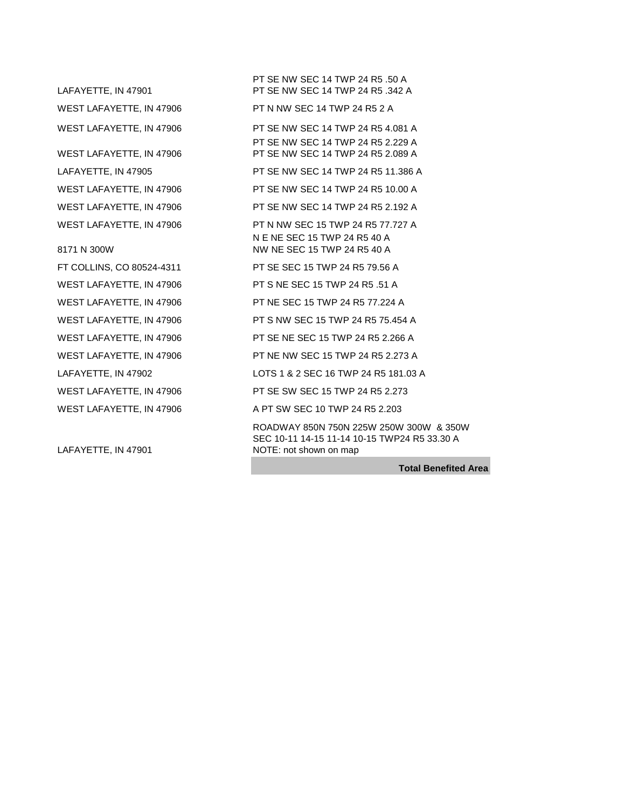LAFAYETTE, IN 47901 WEST LAFAYETTE, IN 47906 8171 N 300W

LAFAYETTE, IN 47901

PT SE NW SEC 14 TWP 24 R5 .50 A PT SE NW SEC 14 TWP 24 R5 .342 A WEST LAFAYETTE, IN 47906 PT N NW SEC 14 TWP 24 R5 2 A WEST LAFAYETTE, IN 47906 PT SE NW SEC 14 TWP 24 R5 4.081 A PT SE NW SEC 14 TWP 24 R5 2.229 A PT SE NW SEC 14 TWP 24 R5 2.089 A LAFAYETTE, IN 47905 PT SE NW SEC 14 TWP 24 R5 11.386 A WEST LAFAYETTE, IN 47906 PT SE NW SEC 14 TWP 24 R5 10.00 A WEST LAFAYETTE, IN 47906 PT SE NW SEC 14 TWP 24 R5 2.192 A WEST LAFAYETTE, IN 47906 PT N NW SEC 15 TWP 24 R5 77.727 A N E NE SEC 15 TWP 24 R5 40 A NW NE SEC 15 TWP 24 R5 40 A FT COLLINS, CO 80524-4311 PT SE SEC 15 TWP 24 R5 79.56 A WEST LAFAYETTE, IN 47906 PT S NE SEC 15 TWP 24 R5 .51 A WEST LAFAYETTE, IN 47906 PT NE SEC 15 TWP 24 R5 77.224 A WEST LAFAYETTE, IN 47906 PT S NW SEC 15 TWP 24 R5 75.454 A WEST LAFAYETTE, IN 47906 PT SE NE SEC 15 TWP 24 R5 2.266 A WEST LAFAYETTE, IN 47906 PT NE NW SEC 15 TWP 24 R5 2.273 A LAFAYETTE, IN 47902 LOTS 1 & 2 SEC 16 TWP 24 R5 181.03 A WEST LAFAYETTE, IN 47906 PT SE SW SEC 15 TWP 24 R5 2.273 WEST LAFAYETTE, IN 47906 A PT SW SEC 10 TWP 24 R5 2.203 ROADWAY 850N 750N 225W 250W 300W & 350W SEC 10-11 14-15 11-14 10-15 TWP24 R5 33.30 A NOTE: not shown on map

**Total Benefited Area**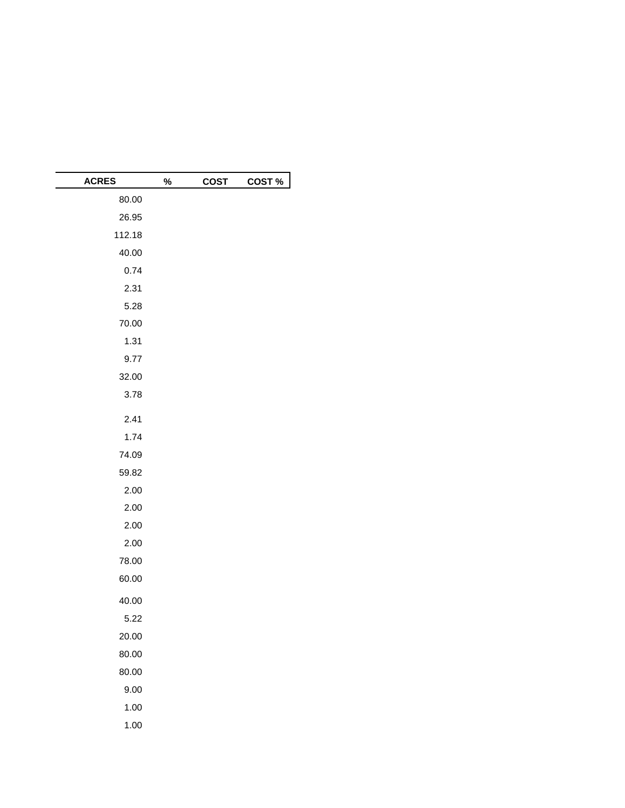| <b>ACRES</b> | % | <b>COST</b> | COST% |
|--------------|---|-------------|-------|
| 80.00        |   |             |       |
| 26.95        |   |             |       |
| 112.18       |   |             |       |
| 40.00        |   |             |       |
| 0.74         |   |             |       |
| 2.31         |   |             |       |
| 5.28         |   |             |       |
| 70.00        |   |             |       |
| 1.31         |   |             |       |
| 9.77         |   |             |       |
| 32.00        |   |             |       |
| 3.78         |   |             |       |
| 2.41         |   |             |       |
| 1.74         |   |             |       |
| 74.09        |   |             |       |
| 59.82        |   |             |       |
| 2.00         |   |             |       |
| 2.00         |   |             |       |
| 2.00         |   |             |       |
| 2.00         |   |             |       |
| 78.00        |   |             |       |
| 60.00        |   |             |       |
| 40.00        |   |             |       |
| 5.22         |   |             |       |
| 20.00        |   |             |       |
| 80.00        |   |             |       |
| 80.00        |   |             |       |
| 9.00         |   |             |       |
| 1.00         |   |             |       |
| 1.00         |   |             |       |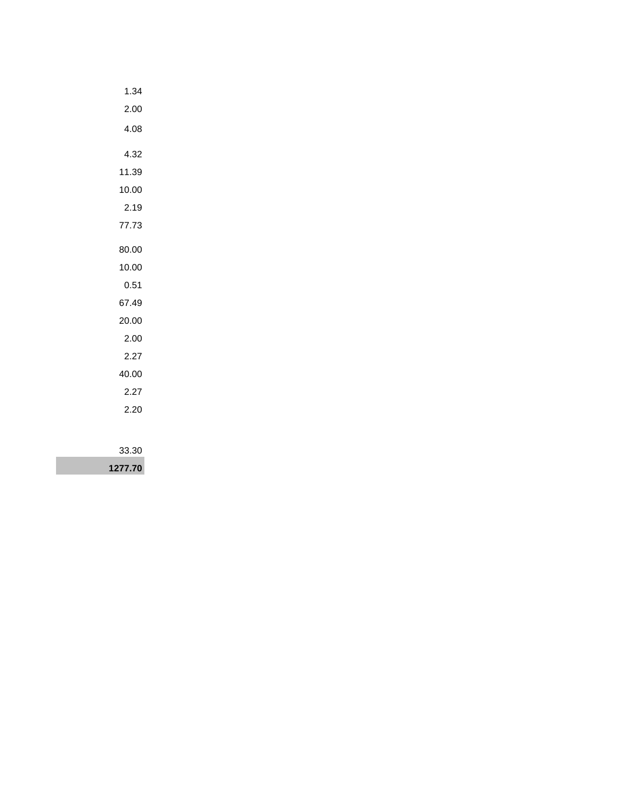| 1.34    |
|---------|
| 2.00    |
| 4.08    |
| 4.32    |
| 11.39   |
| 10.00   |
| 2.19    |
| 77.73   |
| 80.00   |
| 10.00   |
| 0.51    |
| 67.49   |
| 20.00   |
| 2.00    |
| 2.27    |
| 40.00   |
| 2.27    |
| 2.20    |
|         |
| 33.30   |
| 1277.70 |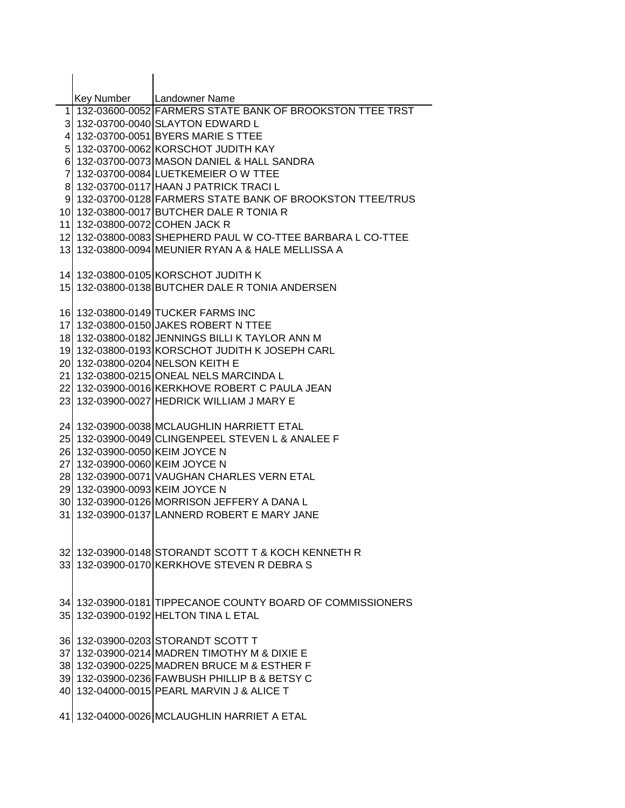|                                | Key Number   Landowner Name<br>1 132-03600-0052 FARMERS STATE BANK OF BROOKSTON TTEE TRST   |
|--------------------------------|---------------------------------------------------------------------------------------------|
|                                | 3 132-03700-0040 SLAYTON EDWARD L                                                           |
|                                | 4 132-03700-0051 BYERS MARIE S TTEE                                                         |
|                                | 5 132-03700-0062 KORSCHOT JUDITH KAY                                                        |
|                                | 6 132-03700-0073 MASON DANIEL & HALL SANDRA                                                 |
|                                | 7 132-03700-0084 LUETKEMEIER O W TTEE                                                       |
|                                | 8 132-03700-0117 HAAN J PATRICK TRACI L                                                     |
|                                | 9 132-03700-0128 FARMERS STATE BANK OF BROOKSTON TTEE/TRUS                                  |
|                                | 10 132-03800-0017 BUTCHER DALE R TONIA R                                                    |
| 11 132-03800-0072 COHEN JACK R |                                                                                             |
|                                | 12 132-03800-0083 SHEPHERD PAUL W CO-TTEE BARBARA L CO-TTEE                                 |
|                                | 13 132-03800-0094 MEUNIER RYAN A & HALE MELLISSA A                                          |
|                                |                                                                                             |
|                                | 14 132-03800-0105 KORSCHOT JUDITH K                                                         |
|                                | 15 132-03800-0138 BUTCHER DALE R TONIA ANDERSEN                                             |
|                                |                                                                                             |
|                                | 16 132-03800-0149 TUCKER FARMS INC                                                          |
|                                | 17 132-03800-0150 JAKES ROBERT N TTEE                                                       |
|                                | 18 132-03800-0182 JENNINGS BILLI K TAYLOR ANN M                                             |
|                                | 19 132-03800-0193 KORSCHOT JUDITH K JOSEPH CARL                                             |
|                                | 20 132-03800-0204 NELSON KEITH E                                                            |
|                                | 21 132-03800-0215 ONEAL NELS MARCINDA L                                                     |
|                                | 22 132-03900-0016 KERKHOVE ROBERT C PAULA JEAN                                              |
|                                | 23 132-03900-0027 HEDRICK WILLIAM J MARY E                                                  |
|                                |                                                                                             |
|                                | 24 132-03900-0038 MCLAUGHLIN HARRIETT ETAL                                                  |
|                                | 25 132-03900-0049 CLINGENPEEL STEVEN L & ANALEE F                                           |
| 26 132-03900-0050 KEIM JOYCE N |                                                                                             |
| 27 132-03900-0060 KEIM JOYCE N |                                                                                             |
|                                | 28 132-03900-0071 VAUGHAN CHARLES VERN ETAL                                                 |
| 29 132-03900-0093 KEIM JOYCE N |                                                                                             |
|                                | 30 132-03900-0126 MORRISON JEFFERY A DANA L<br>31 132-03900-0137 LANNERD ROBERT E MARY JANE |
|                                |                                                                                             |
|                                |                                                                                             |
|                                | 32 132-03900-0148 STORANDT SCOTT T & KOCH KENNETH R                                         |
|                                | 33 132-03900-0170 KERKHOVE STEVEN R DEBRA S                                                 |
|                                |                                                                                             |
|                                |                                                                                             |
|                                | 34 132-03900-0181 TIPPECANOE COUNTY BOARD OF COMMISSIONERS                                  |
|                                | 35 132-03900-0192 HELTON TINA L ETAL                                                        |
|                                |                                                                                             |
|                                | 36 132-03900-0203 STORANDT SCOTT T                                                          |
|                                | 37 132-03900-0214 MADREN TIMOTHY M & DIXIE E                                                |
|                                | 38 132-03900-0225 MADREN BRUCE M & ESTHER F                                                 |
|                                | 39 132-03900-0236 FAWBUSH PHILLIP B & BETSY C                                               |
|                                | 40 132-04000-0015 PEARL MARVIN J & ALICE T                                                  |
|                                |                                                                                             |
|                                | 41 132-04000-0026 MCLAUGHLIN HARRIET A ETAL                                                 |
|                                |                                                                                             |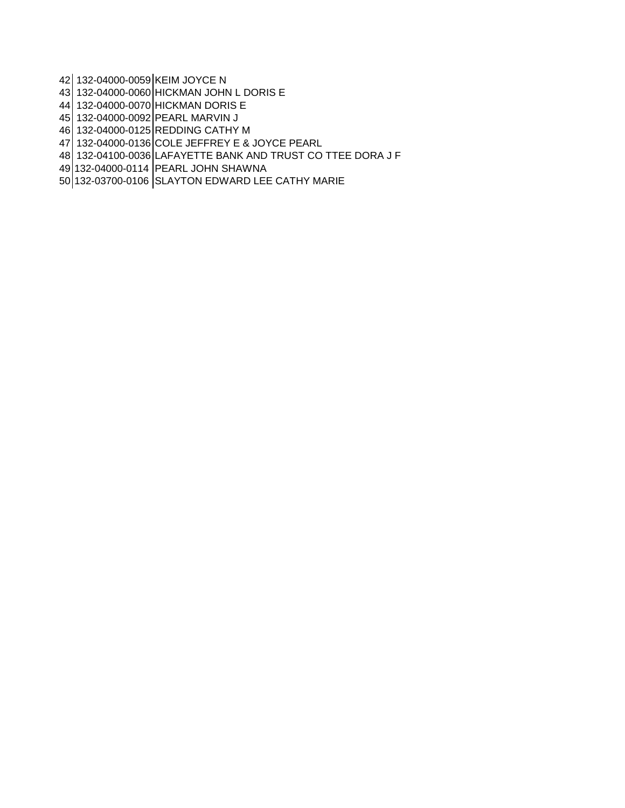132-04000-0059 KEIM JOYCE N

132-04000-0060 HICKMAN JOHN L DORIS E

132-04000-0070 HICKMAN DORIS E

132-04000-0092 PEARL MARVIN J

132-04000-0125 REDDING CATHY M

132-04000-0136 COLE JEFFREY E & JOYCE PEARL

132-04100-0036 LAFAYETTE BANK AND TRUST CO TTEE DORA J F

132-04000-0114 PEARL JOHN SHAWNA

132-03700-0106 SLAYTON EDWARD LEE CATHY MARIE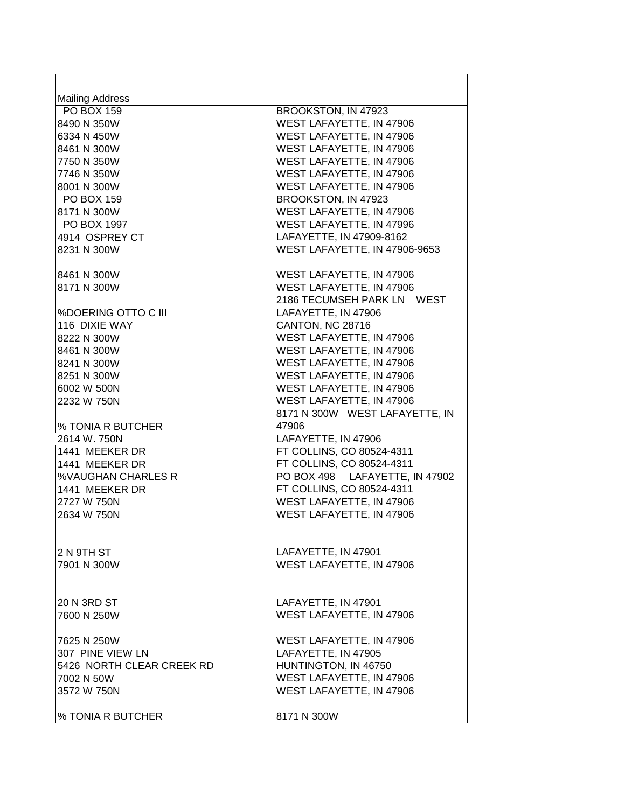| <b>Mailing Address</b>    |                                |
|---------------------------|--------------------------------|
| <b>PO BOX 159</b>         | BROOKSTON, IN 47923            |
| 8490 N 350W               | WEST LAFAYETTE, IN 47906       |
| 6334 N 450W               | WEST LAFAYETTE, IN 47906       |
| 8461 N 300W               | WEST LAFAYETTE, IN 47906       |
| 7750 N 350W               | WEST LAFAYETTE, IN 47906       |
| 7746 N 350W               | WEST LAFAYETTE, IN 47906       |
| 8001 N 300W               | WEST LAFAYETTE, IN 47906       |
| <b>PO BOX 159</b>         | BROOKSTON, IN 47923            |
| 8171 N 300W               | WEST LAFAYETTE, IN 47906       |
| PO BOX 1997               | WEST LAFAYETTE, IN 47996       |
| 4914 OSPREY CT            | LAFAYETTE, IN 47909-8162       |
| 8231 N 300W               | WEST LAFAYETTE, IN 47906-9653  |
| 8461 N 300W               | WEST LAFAYETTE, IN 47906       |
| 8171 N 300W               | WEST LAFAYETTE, IN 47906       |
|                           | 2186 TECUMSEH PARK LN WEST     |
| %DOERING OTTO C III       | LAFAYETTE, IN 47906            |
|                           |                                |
| 116 DIXIE WAY             | <b>CANTON, NC 28716</b>        |
| 8222 N 300W               | WEST LAFAYETTE, IN 47906       |
| 8461 N 300W               | WEST LAFAYETTE, IN 47906       |
| 8241 N 300W               | WEST LAFAYETTE, IN 47906       |
| 8251 N 300W               | WEST LAFAYETTE, IN 47906       |
| 6002 W 500N               | WEST LAFAYETTE, IN 47906       |
| 2232 W 750N               | WEST LAFAYETTE, IN 47906       |
|                           | 8171 N 300W WEST LAFAYETTE, IN |
| % TONIA R BUTCHER         | 47906                          |
| 2614 W. 750N              | LAFAYETTE, IN 47906            |
| 1441 MEEKER DR            | FT COLLINS, CO 80524-4311      |
| 1441 MEEKER DR            | FT COLLINS, CO 80524-4311      |
| %VAUGHAN CHARLES R        | PO BOX 498 LAFAYETTE, IN 47902 |
| 1441 MEEKER DR            | FT COLLINS, CO 80524-4311      |
| 2727 W 750N               | WEST LAFAYETTE, IN 47906       |
| 2634 W 750N               | WEST LAFAYETTE, IN 47906       |
|                           |                                |
| 2 N 9TH ST                | LAFAYETTE, IN 47901            |
| 7901 N 300W               | WEST LAFAYETTE, IN 47906       |
|                           |                                |
| 20 N 3RD ST               | LAFAYETTE, IN 47901            |
| 7600 N 250W               | WEST LAFAYETTE, IN 47906       |
| 7625 N 250W               | WEST LAFAYETTE, IN 47906       |
| 307 PINE VIEW LN          | LAFAYETTE, IN 47905            |
| 5426 NORTH CLEAR CREEK RD | HUNTINGTON, IN 46750           |
| 7002 N 50W                | WEST LAFAYETTE, IN 47906       |
| 3572 W 750N               | WEST LAFAYETTE, IN 47906       |
|                           | 8171 N 300W                    |
| % TONIA R BUTCHER         |                                |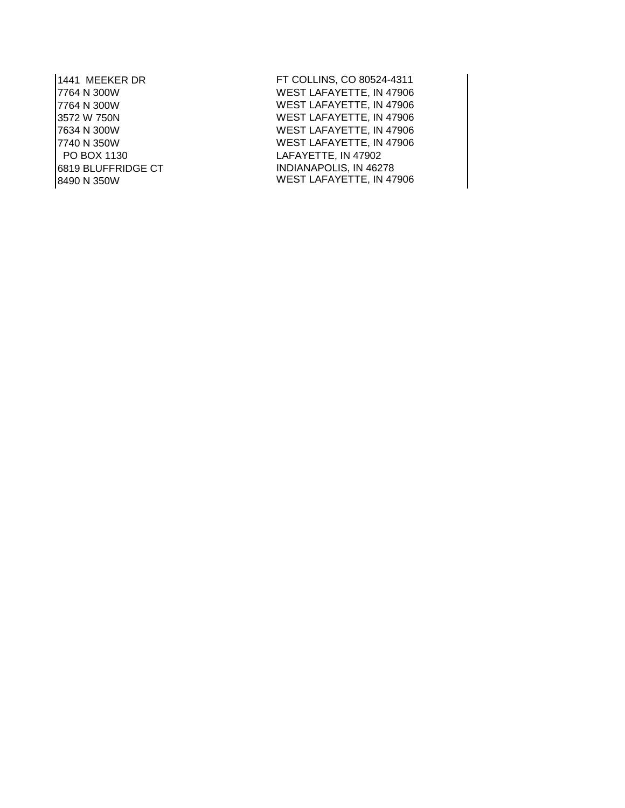PO BOX 1130 LAFAYETTE, IN 47902 6819 BLUFFRIDGE CT INDIANAPOLIS, IN 46278

1441 MEEKER DR FT COLLINS, CO 80524-4311 7764 N 300W WEST LAFAYETTE, IN 47906<br>7764 N 300W WEST LAFAYETTE, IN 47906 7764 N 300W WEST LAFAYETTE, IN 47906 3572 W 750N WEST LAFAYETTE, IN 47906 7634 N 300W WEST LAFAYETTE, IN 47906 7740 N 350W WEST LAFAYETTE, IN 47906 WEST LAFAYETTE, IN 47906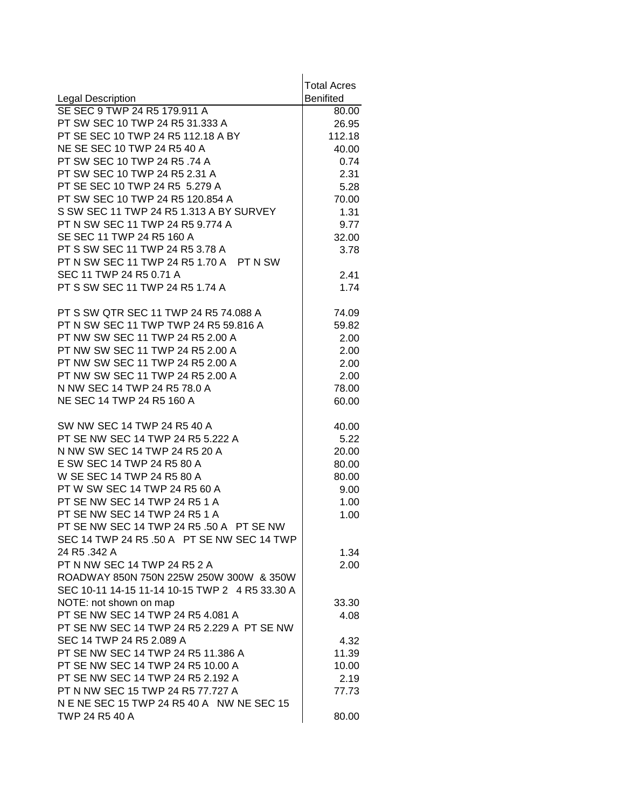|                                                                | <b>Total Acres</b> |
|----------------------------------------------------------------|--------------------|
| <b>Legal Description</b>                                       | <b>Benifited</b>   |
| SE SEC 9 TWP 24 R5 179.911 A                                   | 80.00              |
| PT SW SEC 10 TWP 24 R5 31.333 A                                | 26.95              |
| PT SE SEC 10 TWP 24 R5 112.18 A BY                             | 112.18             |
| NE SE SEC 10 TWP 24 R5 40 A                                    | 40.00              |
| PT SW SEC 10 TWP 24 R5 .74 A                                   | 0.74               |
| PT SW SEC 10 TWP 24 R5 2.31 A                                  | 2.31               |
| PT SE SEC 10 TWP 24 R5 5.279 A                                 | 5.28               |
| PT SW SEC 10 TWP 24 R5 120.854 A                               | 70.00              |
| S SW SEC 11 TWP 24 R5 1.313 A BY SURVEY                        | 1.31               |
| PT N SW SEC 11 TWP 24 R5 9.774 A                               | 9.77               |
| SE SEC 11 TWP 24 R5 160 A                                      | 32.00              |
| PT S SW SEC 11 TWP 24 R5 3.78 A                                | 3.78               |
| PT N SW SEC 11 TWP 24 R5 1.70 A PT N SW                        |                    |
| SEC 11 TWP 24 R5 0.71 A                                        | 2.41               |
| PT S SW SEC 11 TWP 24 R5 1.74 A                                | 1.74               |
| PT S SW QTR SEC 11 TWP 24 R5 74.088 A                          | 74.09              |
| PT N SW SEC 11 TWP TWP 24 R5 59.816 A                          | 59.82              |
| PT NW SW SEC 11 TWP 24 R5 2.00 A                               | 2.00               |
| PT NW SW SEC 11 TWP 24 R5 2.00 A                               | 2.00               |
| PT NW SW SEC 11 TWP 24 R5 2.00 A                               | 2.00               |
| PT NW SW SEC 11 TWP 24 R5 2.00 A                               | 2.00               |
| N NW SEC 14 TWP 24 R5 78.0 A                                   | 78.00              |
| NE SEC 14 TWP 24 R5 160 A                                      | 60.00              |
| SW NW SEC 14 TWP 24 R5 40 A                                    | 40.00              |
| PT SE NW SEC 14 TWP 24 R5 5.222 A                              | 5.22               |
| N NW SW SEC 14 TWP 24 R5 20 A                                  | 20.00              |
| E SW SEC 14 TWP 24 R5 80 A                                     | 80.00              |
| W SE SEC 14 TWP 24 R5 80 A                                     | 80.00              |
| PT W SW SEC 14 TWP 24 R5 60 A                                  | 9.00               |
| PT SE NW SEC 14 TWP 24 R5 1 A                                  | 1.00               |
| PT SE NW SEC 14 TWP 24 R5 1 A                                  | 1.00               |
| PT SE NW SEC 14 TWP 24 R5 .50 A PT SE NW                       |                    |
| SEC 14 TWP 24 R5 .50 A PT SE NW SEC 14 TWP                     |                    |
| 24 R5 .342 A                                                   | 1.34               |
| PT N NW SEC 14 TWP 24 R5 2 A                                   | 2.00               |
| ROADWAY 850N 750N 225W 250W 300W & 350W                        |                    |
| SEC 10-11 14-15 11-14 10-15 TWP 2 4 R5 33.30 A                 |                    |
| NOTE: not shown on map                                         | 33.30              |
| PT SE NW SEC 14 TWP 24 R5 4.081 A                              | 4.08               |
| PT SE NW SEC 14 TWP 24 R5 2.229 A PT SE NW                     |                    |
| SEC 14 TWP 24 R5 2.089 A<br>PT SE NW SEC 14 TWP 24 R5 11.386 A | 4.32               |
| PT SE NW SEC 14 TWP 24 R5 10.00 A                              | 11.39              |
| PT SE NW SEC 14 TWP 24 R5 2.192 A                              | 10.00              |
| PT N NW SEC 15 TWP 24 R5 77.727 A                              | 2.19               |
| N E NE SEC 15 TWP 24 R5 40 A NW NE SEC 15                      | 77.73              |
| TWP 24 R5 40 A                                                 | 80.00              |